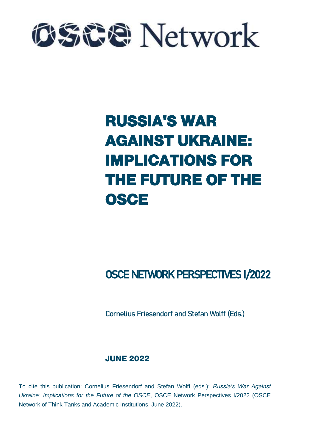

# RUSSIA'S WAR AGAINST UKRAINE: IMPLICATIONS FOR THE FUTURE OF THE **OSCE**

# OSCE NETWORK PERSPECTIVES I/2022

Cornelius Friesendorf and Stefan Wolff (Eds.)

# JUNE 2022

To cite this publication: Cornelius Friesendorf and Stefan Wolff (eds.): *Russia's War Against Ukraine: Implications for the Future of the OSCE*, OSCE Network Perspectives I/2022 (OSCE Network of Think Tanks and Academic Institutions, June 2022).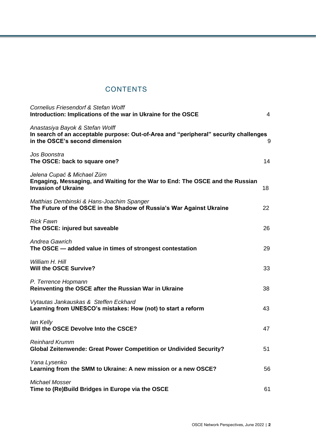# **CONTENTS**

| <b>Cornelius Friesendorf &amp; Stefan Wolff</b><br>Introduction: Implications of the war in Ukraine for the OSCE                                          | $\overline{4}$ |
|-----------------------------------------------------------------------------------------------------------------------------------------------------------|----------------|
| Anastasiya Bayok & Stefan Wolff<br>In search of an acceptable purpose: Out-of-Area and "peripheral" security challenges<br>in the OSCE's second dimension | 9              |
| Jos Boonstra<br>The OSCE: back to square one?                                                                                                             | 14             |
| Jelena Cupać & Michael Zürn<br>Engaging, Messaging, and Waiting for the War to End: The OSCE and the Russian<br><b>Invasion of Ukraine</b>                | 18             |
| Matthias Dembinski & Hans-Joachim Spanger<br>The Future of the OSCE in the Shadow of Russia's War Against Ukraine                                         | 22             |
| <b>Rick Fawn</b><br>The OSCE: injured but saveable                                                                                                        | 26             |
| <b>Andrea Gawrich</b><br>The OSCE - added value in times of strongest contestation                                                                        | 29             |
| William H. Hill<br><b>Will the OSCE Survive?</b>                                                                                                          | 33             |
| P. Terrence Hopmann<br>Reinventing the OSCE after the Russian War in Ukraine                                                                              | 38             |
| Vytautas Jankauskas & Steffen Eckhard<br>Learning from UNESCO's mistakes: How (not) to start a reform                                                     | 43             |
| lan Kelly<br>Will the OSCE Devolve Into the CSCE?                                                                                                         | 47             |
| <b>Reinhard Krumm</b><br><b>Global Zeitenwende: Great Power Competition or Undivided Security?</b>                                                        | 51             |
| Yana Lysenko<br>Learning from the SMM to Ukraine: A new mission or a new OSCE?                                                                            | 56             |
| <b>Michael Mosser</b><br>Time to (Re)Build Bridges in Europe via the OSCE                                                                                 | 61             |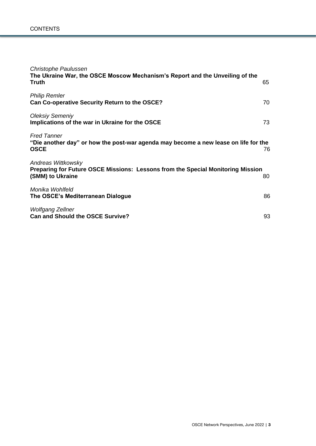| Christophe Paulussen<br>The Ukraine War, the OSCE Moscow Mechanism's Report and the Unveiling of the<br>Truth             | 65 |
|---------------------------------------------------------------------------------------------------------------------------|----|
| <b>Philip Remler</b><br>Can Co-operative Security Return to the OSCE?                                                     | 70 |
| <b>Oleksiy Semeniy</b><br>Implications of the war in Ukraine for the OSCE                                                 | 73 |
| <b>Fred Tanner</b><br>"Die another day" or how the post-war agenda may become a new lease on life for the<br><b>OSCE</b>  | 76 |
| Andreas Wittkowsky<br>Preparing for Future OSCE Missions: Lessons from the Special Monitoring Mission<br>(SMM) to Ukraine | 80 |
| Monika Wohlfeld<br>The OSCE's Mediterranean Dialogue                                                                      | 86 |
| <b>Wolfgang Zellner</b><br><b>Can and Should the OSCE Survive?</b>                                                        | 93 |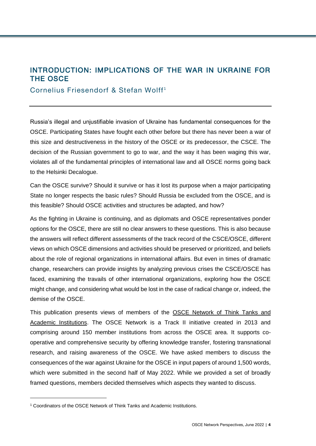# <span id="page-3-0"></span>INTRODUCTION: IMPLICATIONS OF THE WAR IN UKRAINE FOR THE OSCE

Cornelius Friesendorf & Stefan Wolff<sup>1</sup>

Russia's illegal and unjustifiable invasion of Ukraine has fundamental consequences for the OSCE. Participating States have fought each other before but there has never been a war of this size and destructiveness in the history of the OSCE or its predecessor, the CSCE. The decision of the Russian government to go to war, and the way it has been waging this war, violates all of the fundamental principles of international law and all OSCE norms going back to the Helsinki Decalogue.

Can the OSCE survive? Should it survive or has it lost its purpose when a major participating State no longer respects the basic rules? Should Russia be excluded from the OSCE, and is this feasible? Should OSCE activities and structures be adapted, and how?

As the fighting in Ukraine is continuing, and as diplomats and OSCE representatives ponder options for the OSCE, there are still no clear answers to these questions. This is also because the answers will reflect different assessments of the track record of the CSCE/OSCE, different views on which OSCE dimensions and activities should be preserved or prioritized, and beliefs about the role of regional organizations in international affairs. But even in times of dramatic change, researchers can provide insights by analyzing previous crises the CSCE/OSCE has faced, examining the travails of other international organizations, exploring how the OSCE might change, and considering what would be lost in the case of radical change or, indeed, the demise of the OSCE.

This publication presents views of members of the [OSCE Network of Think Tanks and](https://osce-network.net/)  [Academic Institutions.](https://osce-network.net/) The OSCE Network is a Track II initiative created in 2013 and comprising around 150 member institutions from across the OSCE area. It supports cooperative and comprehensive security by offering knowledge transfer, fostering transnational research, and raising awareness of the OSCE. We have asked members to discuss the consequences of the war against Ukraine for the OSCE in input papers of around 1,500 words, which were submitted in the second half of May 2022. While we provided a set of broadly framed questions, members decided themselves which aspects they wanted to discuss.

l

<sup>1</sup> Coordinators of the OSCE Network of Think Tanks and Academic Institutions.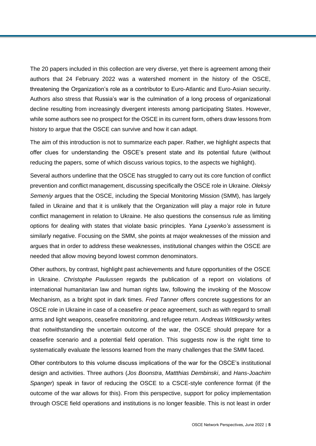The 20 papers included in this collection are very diverse, yet there is agreement among their authors that 24 February 2022 was a watershed moment in the history of the OSCE, threatening the Organization's role as a contributor to Euro-Atlantic and Euro-Asian security. Authors also stress that Russia's war is the culmination of a long process of organizational decline resulting from increasingly divergent interests among participating States. However, while some authors see no prospect for the OSCE in its current form, others draw lessons from history to arque that the OSCE can survive and how it can adapt.

The aim of this introduction is not to summarize each paper. Rather, we highlight aspects that offer clues for understanding the OSCE's present state and its potential future (without reducing the papers, some of which discuss various topics, to the aspects we highlight).

Several authors underline that the OSCE has struggled to carry out its core function of conflict prevention and conflict management, discussing specifically the OSCE role in Ukraine. *Oleksiy Semeniy* argues that the OSCE, including the Special Monitoring Mission (SMM), has largely failed in Ukraine and that it is unlikely that the Organization will play a major role in future conflict management in relation to Ukraine. He also questions the consensus rule as limiting options for dealing with states that violate basic principles. *Yana Lysenko's* assessment is similarly negative. Focusing on the SMM, she points at major weaknesses of the mission and argues that in order to address these weaknesses, institutional changes within the OSCE are needed that allow moving beyond lowest common denominators.

Other authors, by contrast, highlight past achievements and future opportunities of the OSCE in Ukraine. *Christophe Paulussen* regards the publication of a report on violations of international humanitarian law and human rights law, following the invoking of the Moscow Mechanism, as a bright spot in dark times. *Fred Tanner* offers concrete suggestions for an OSCE role in Ukraine in case of a ceasefire or peace agreement, such as with regard to small arms and light weapons, ceasefire monitoring, and refugee return. *Andreas Wittkowsky* writes that notwithstanding the uncertain outcome of the war, the OSCE should prepare for a ceasefire scenario and a potential field operation. This suggests now is the right time to systematically evaluate the lessons learned from the many challenges that the SMM faced.

Other contributors to this volume discuss implications of the war for the OSCE's institutional design and activities. Three authors (*Jos Boonstra*, *Mattthias Dembinski*, and *Hans-Joachim Spanger*) speak in favor of reducing the OSCE to a CSCE-style conference format (if the outcome of the war allows for this). From this perspective, support for policy implementation through OSCE field operations and institutions is no longer feasible. This is not least in order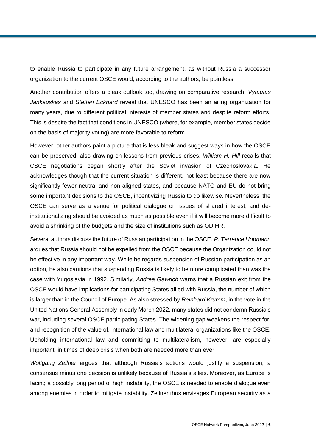to enable Russia to participate in any future arrangement, as without Russia a successor organization to the current OSCE would, according to the authors, be pointless.

Another contribution offers a bleak outlook too, drawing on comparative research. *Vytautas Jankauskas* and *Steffen Eckhard* reveal that UNESCO has been an ailing organization for many years, due to different political interests of member states and despite reform efforts. This is despite the fact that conditions in UNESCO (where, for example, member states decide on the basis of majority voting) are more favorable to reform.

However, other authors paint a picture that is less bleak and suggest ways in how the OSCE can be preserved, also drawing on lessons from previous crises. *William H. Hill* recalls that CSCE negotiations began shortly after the Soviet invasion of Czechoslovakia. He acknowledges though that the current situation is different, not least because there are now significantly fewer neutral and non-aligned states, and because NATO and EU do not bring some important decisions to the OSCE, incentivizing Russia to do likewise. Nevertheless, the OSCE can serve as a venue for political dialogue on issues of shared interest, and deinstitutionalizing should be avoided as much as possible even if it will become more difficult to avoid a shrinking of the budgets and the size of institutions such as ODIHR.

Several authors discuss the future of Russian participation in the OSCE. *P. Terrence Hopmann* argues that Russia should not be expelled from the OSCE because the Organization could not be effective in any important way. While he regards suspension of Russian participation as an option, he also cautions that suspending Russia is likely to be more complicated than was the case with Yugoslavia in 1992. Similarly, *Andrea Gawrich* warns that a Russian exit from the OSCE would have implications for participating States allied with Russia, the number of which is larger than in the Council of Europe. As also stressed by *Reinhard Krumm*, in the vote in the United Nations General Assembly in early March 2022, many states did not condemn Russia's war, including several OSCE participating States. The widening gap weakens the respect for, and recognition of the value of, international law and multilateral organizations like the OSCE. Upholding international law and committing to multilateralism, however, are especially important in times of deep crisis when both are needed more than ever.

*Wolfgang Zellner* argues that although Russia's actions would justify a suspension, a consensus minus one decision is unlikely because of Russia's allies. Moreover, as Europe is facing a possibly long period of high instability, the OSCE is needed to enable dialogue even among enemies in order to mitigate instability. Zellner thus envisages European security as a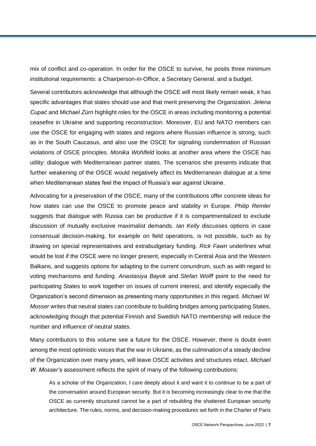mix of conflict and co-operation. In order for the OSCE to survive, he posits three minimum institutional requirements: a Chairperson-in-Office, a Secretary General, and a budget.

Several contributors acknowledge that although the OSCE will most likely remain weak, it has specific advantages that states should use and that merit preserving the Organization. *Jelena Cupać* and *Michael Zürn* highlight roles for the OSCE in areas including monitoring a potential ceasefire in Ukraine and supporting reconstruction. Moreover, EU and NATO members can use the OSCE for engaging with states and regions where Russian influence is strong, such as in the South Caucasus, and also use the OSCE for signaling condemnation of Russian violations of OSCE principles. *Monika Wohlfeld* looks at another area where the OSCE has utility: dialogue with Mediterranean partner states. The scenarios she presents indicate that further weakening of the OSCE would negatively affect its Mediterranean dialogue at a time when Mediterranean states feel the impact of Russia's war against Ukraine.

Advocating for a preservation of the OSCE, many of the contributions offer concrete ideas for how states can use the OSCE to promote peace and stability in Europe. *Philip Remler* suggests that dialogue with Russia can be productive if it is compartmentalized to exclude discussion of mutually exclusive maximalist demands. *Ian Kelly* discusses options in case consensual decision-making, for example on field operations, is not possible, such as by drawing on special representatives and extrabudgetary funding. *Rick Fawn* underlines what would be lost if the OSCE were no longer present, especially in Central Asia and the Western Balkans, and suggests options for adapting to the current conundrum, such as with regard to voting mechanisms and funding. *Anastasiya Bayok* and *Stefan Wolff* point to the need for participating States to work together on issues of current interest, and identify especially the Organization's second dimension as presenting many opportunities in this regard. *Michael W. Mosser* writes that neutral states can contribute to building bridges among participating States, acknowledging though that potential Finnish and Swedish NATO membership will reduce the number and influence of neutral states.

Many contributors to this volume see a future for the OSCE. However, there is doubt even among the most optimistic voices that the war in Ukraine, as the culmination of a steady decline of the Organization over many years, will leave OSCE activities and structures intact. *Michael W. Mosser's* assessment reflects the spirit of many of the following contributions:

As a scholar of the Organization, I care deeply about it and want it to continue to be a part of the conversation around European security. But it is becoming increasingly clear to me that the OSCE as currently structured cannot be a part of rebuilding the shattered European security architecture. The rules, norms, and decision-making procedures set forth in the Charter of Paris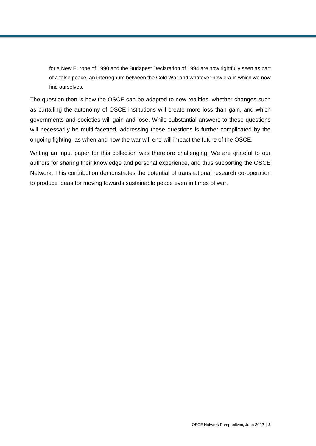for a New Europe of 1990 and the Budapest Declaration of 1994 are now rightfully seen as part of a false peace, an interregnum between the Cold War and whatever new era in which we now find ourselves.

The question then is how the OSCE can be adapted to new realities, whether changes such as curtailing the autonomy of OSCE institutions will create more loss than gain, and which governments and societies will gain and lose. While substantial answers to these questions will necessarily be multi-facetted, addressing these questions is further complicated by the ongoing fighting, as when and how the war will end will impact the future of the OSCE.

Writing an input paper for this collection was therefore challenging. We are grateful to our authors for sharing their knowledge and personal experience, and thus supporting the OSCE Network. This contribution demonstrates the potential of transnational research co-operation to produce ideas for moving towards sustainable peace even in times of war.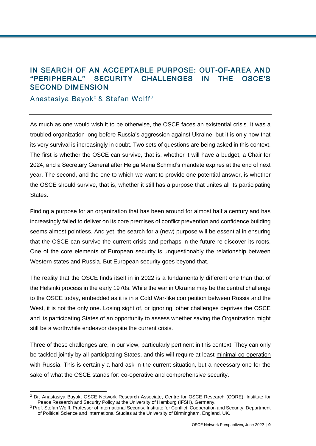# <span id="page-8-0"></span>IN SEARCH OF AN ACCEPTABLE PURPOSE: OUT-OF-AREA AND "PERIPHERAL" SECURITY CHALLENGES IN THE OSCE'S SECOND DIMENSION

Anastasiya Bayok<sup>2</sup> & Stefan Wolff<sup>3</sup>

l

As much as one would wish it to be otherwise, the OSCE faces an existential crisis. It was a troubled organization long before Russia's aggression against Ukraine, but it is only now that its very survival is increasingly in doubt. Two sets of questions are being asked in this context. The first is whether the OSCE can survive, that is, whether it will have a budget, a Chair for 2024, and a Secretary General after Helga Maria Schmid's mandate expires at the end of next year. The second, and the one to which we want to provide one potential answer, is whether the OSCE should survive, that is, whether it still has a purpose that unites all its participating States.

Finding a purpose for an organization that has been around for almost half a century and has increasingly failed to deliver on its core premises of conflict prevention and confidence building seems almost pointless. And yet, the search for a (new) purpose will be essential in ensuring that the OSCE can survive the current crisis and perhaps in the future re-discover its roots. One of the core elements of European security is unquestionably the relationship between Western states and Russia. But European security goes beyond that.

The reality that the OSCE finds itself in in 2022 is a fundamentally different one than that of the Helsinki process in the early 1970s. While the war in Ukraine may be the central challenge to the OSCE today, embedded as it is in a Cold War-like competition between Russia and the West, it is not the only one. Losing sight of, or ignoring, other challenges deprives the OSCE and its participating States of an opportunity to assess whether saving the Organization might still be a worthwhile endeavor despite the current crisis.

Three of these challenges are, in our view, particularly pertinent in this context. They can only be tackled jointly by all participating States, and this will require at least [minimal co-operation](https://www.shrmonitor.org/options-for-dealing-with-russia-in-the-osce/) with Russia. This is certainly a hard ask in the current situation, but a necessary one for the sake of what the OSCE stands for: co-operative and comprehensive security.

<sup>2</sup> Dr. Anastasiya Bayok, OSCE Network Research Associate, Centre for OSCE Research (CORE), Institute for Peace Research and Security Policy at the University of Hamburg (IFSH), Germany.

<sup>3</sup> Prof. Stefan Wolff, Professor of International Security, Institute for Conflict, Cooperation and Security, Department of Political Science and International Studies at the University of Birmingham, England, UK.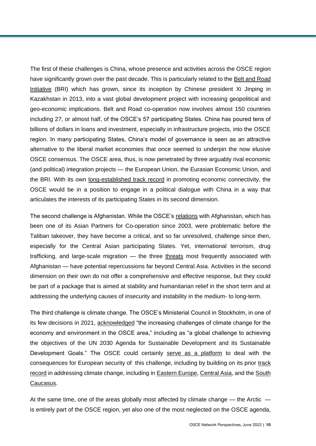The first of these challenges is China, whose presence and activities across the OSCE region have significantly grown over the past decade. This is particularly related to the [Belt and Road](https://osce-network.net/fileadmin/user_upload/publications/China-BRI-Report-2021-fin.pdf)  [Initiative](https://osce-network.net/fileadmin/user_upload/publications/China-BRI-Report-2021-fin.pdf) (BRI) which has grown, since its inception by Chinese president Xi Jinping in Kazakhstan in 2013, into a vast global development project with increasing geopolitical and geo-economic implications. Belt and Road co-operation now involves almost 150 countries including 27, or almost half, of the OSCE's 57 participating States. China has poured tens of billions of dollars in loans and investment, especially in infrastructure projects, into the OSCE region. In many participating States, China's model of governance is seen as an attractive alternative to the liberal market economies that once seemed to underpin the now elusive OSCE consensus. The OSCE area, thus, is now penetrated by three arguably rival economic (and political) integration projects — the European Union, the Eurasian Economic Union, and the BRI. With its own [long-established track record](https://www.osce.org/oceea/446224) in promoting economic connectivity, the OSCE would be in a position to engage in a political dialogue with China in a way that articulates the interests of its participating States in its second dimension.

The second challenge is Afghanistan. While the OSCE's [relations](https://www.osce.org/files/f/documents/1/2/197801_1.pdf) with Afghanistan, which has been one of its Asian Partners for Co-operation since 2003, were problematic before the Taliban takeover, they have become a critical, and so far unresolved, challenge since then, especially for the Central Asian participating States. Yet, international terrorism, drug trafficking, and large-scale migration — the three [threats](https://www.foreignaffairs.com/articles/afghanistan/2021-08-13/osama-bin-ladens-911-catastrophic-success) most frequently associated with Afghanistan — have potential repercussions far beyond Central Asia. Activities in the second dimension on their own do not offer a comprehensive and effective response, but they could be part of a package that is aimed at stability and humanitarian relief in the short term and at addressing the underlying causes of insecurity and instability in the medium- to long-term.

The third challenge is climate change. The OSCE's Ministerial Council in Stockholm, in one of its few decisions in 2021, [acknowledged](https://www.osce.org/files/f/documents/2/f/507050.pdf) "the increasing challenges of climate change for the economy and environment in the OSCE area," including as "a global challenge to achieving the objectives of the UN 2030 Agenda for Sustainable Development and its Sustainable Development Goals." The OSCE could certainly [serve as a platform](https://www.aies.at/download/2022/AIES-Kommentar-2022-01.pdf) to deal with the consequences for European security of this challenge, including by building on its prior [track](https://www.osce.org/oceea/446296)  [record](https://www.osce.org/oceea/446296) in addressing climate change, including in **Eastern Europe**, [Central Asia,](https://www.osce.org/files/f/documents/b/7/355471.pdf) and the South [Caucasus.](https://www.osce.org/files/f/documents/3/1/355546.pdf)

At the same time, one of the areas globally most affected by climate change  $-$  the Arctic  $$ is entirely part of the OSCE region, yet also one of the most neglected on the OSCE agenda,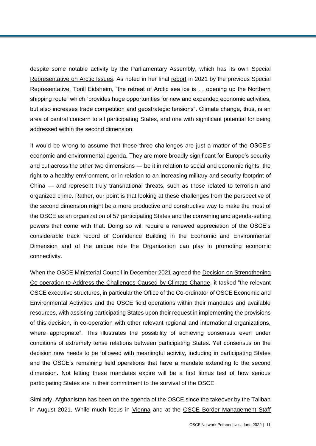despite some notable activity by the Parliamentary Assembly, which has its own [Special](https://www.oscepa.org/en/activities/special-representatives/arctic-issues)  [Representative on Arctic Issues.](https://www.oscepa.org/en/activities/special-representatives/arctic-issues) As noted in her final [report](https://www.oscepa.org/en/documents/special-representatives/arctic-issues/report-24/4262-final-report-of-special-representative-on-arctic-issues-torill-eidsheim-30-september-2021/file) in 2021 by the previous Special Representative, Torill Eidsheim, "the retreat of Arctic sea ice is … opening up the Northern shipping route" which "provides huge opportunities for new and expanded economic activities, but also increases trade competition and geostrategic tensions". Climate change, thus, is an area of central concern to all participating States, and one with significant potential for being addressed within the second dimension.

It would be wrong to assume that these three challenges are just a matter of the OSCE's economic and environmental agenda. They are more broadly significant for Europe's security and cut across the other two dimensions — be it in relation to social and economic rights, the right to a healthy environment, or in relation to an increasing military and security footprint of China — and represent truly transnational threats, such as those related to terrorism and organized crime. Rather, our point is that looking at these challenges from the perspective of the second dimension might be a more productive and constructive way to make the most of the OSCE as an organization of 57 participating States and the convening and agenda-setting powers that come with that. Doing so will require a renewed appreciation of the OSCE's considerable track record of [Confidence Building in the Economic and Environmental](https://osce-network.net/fileadmin/user_upload/publications/OSCE_Confidence_Building_in_EED_final.pdf)  [Dimension](https://osce-network.net/fileadmin/user_upload/publications/OSCE_Confidence_Building_in_EED_final.pdf) and of the unique role the Organization can play in promoting economic [connectivity.](https://www.osce.org/magazine/405374)

When the OSCE Ministerial Council in December 2021 agreed the [Decision on Strengthening](https://www.osce.org/files/f/documents/2/f/507050.pdf)  [Co-operation to Address the Challenges Caused by Climate Change,](https://www.osce.org/files/f/documents/2/f/507050.pdf) it tasked "the relevant OSCE executive structures, in particular the Office of the Co-ordinator of OSCE Economic and Environmental Activities and the OSCE field operations within their mandates and available resources, with assisting participating States upon their request in implementing the provisions of this decision, in co-operation with other relevant regional and international organizations, where appropriate". This illustrates the possibility of achieving consensus even under conditions of extremely tense relations between participating States. Yet consensus on the decision now needs to be followed with meaningful activity, including in participating States and the OSCE's remaining field operations that have a mandate extending to the second dimension. Not letting these mandates expire will be a first litmus test of how serious participating States are in their commitment to the survival of the OSCE.

Similarly, Afghanistan has been on the agenda of the OSCE since the takeover by the Taliban in August 2021. While much focus in [Vienna](https://www.osce.org/secretariat/503866) and at the [OSCE Border Management Staff](https://www.osce.org/programme-office-in-dushanbe/505051)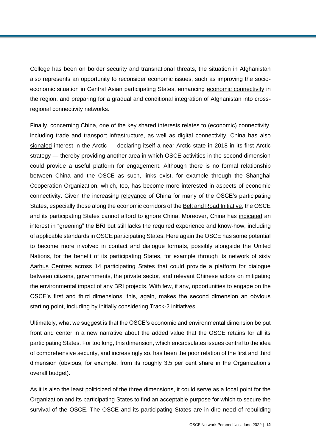[College](https://www.osce.org/programme-office-in-dushanbe/505051) has been on border security and transnational threats, the situation in Afghanistan also represents an opportunity to reconsider economic issues, such as improving the socioeconomic situation in Central Asian participating States, enhancing [economic connectivity](https://thediplomat.com/2019/04/afghanistan-prospects-and-challenges-to-regional-connectivity/) in the region, and preparing for a gradual and conditional integration of Afghanistan into crossregional connectivity networks.

Finally, concerning China, one of the key shared interests relates to (economic) connectivity, including trade and transport infrastructure, as well as digital connectivity. China has also [signaled](https://www.clingendael.org/pub/2020/presence-before-power/2-presence-before-power-why-china-became-a-near-arctic-state/) interest in the Arctic — declaring itself a near-Arctic state in 2018 in its first Arctic strategy — thereby providing another area in which OSCE activities in the second dimension could provide a useful platform for engagement. Although there is no formal relationship between China and the OSCE as such, links exist, for example through the Shanghai Cooperation Organization, which, too, has become more interested in aspects of economic connectivity. Given the increasing [relevance](https://www.nomos-elibrary.de/10.5771/9783748911456-02/osce-engagement-with-china-why-and-how?page=1) of China for many of the OSCE's participating States, especially those along the economic corridors of th[e Belt and Road Initiative,](https://osce-network.net/fileadmin/user_upload/publications/China-BRI-Report-2021-fin.pdf) the OSCE and its participating States cannot afford to ignore China. Moreover, China has [indicated](https://greenfdc.org/interpretation-opinions-on-the-joint-implementation-of-green-development-in-the-belt-and-road-initiative-bri-by-four-ministries/) an [interest](https://neec.no/ndrc-opinions-on-promoting-the-green-development-of-the-belt-and-road-initiative/) in "greening" the BRI but still lacks the required experience and know-how, including of applicable standards in OSCE participating States. Here again the OSCE has some potential to become more involved in contact and dialogue formats, possibly alongside the [United](https://www.unep.org/regions/asia-and-pacific/regional-initiatives/belt-and-road-initiative-international-green)  [Nations,](https://www.unep.org/regions/asia-and-pacific/regional-initiatives/belt-and-road-initiative-international-green) for the benefit of its participating States, for example through its network of sixty [Aarhus Centres](https://aarhus.osce.org/) across 14 participating States that could provide a platform for dialogue between citizens, governments, the private sector, and relevant Chinese actors on mitigating the environmental impact of any BRI projects. With few, if any, opportunities to engage on the OSCE's first and third dimensions, this, again, makes the second dimension an obvious starting point, including by initially considering Track-2 initiatives.

Ultimately, what we suggest is that the OSCE's economic and environmental dimension be put front and center in a new narrative about the added value that the OSCE retains for all its participating States. For too long, this dimension, which encapsulates issues central to the idea of comprehensive security, and increasingly so, has been the poor relation of the first and third dimension (obvious, for example, from its roughly 3.5 per cent share in the Organization's overall budget).

As it is also the least politicized of the three dimensions, it could serve as a focal point for the Organization and its participating States to find an acceptable purpose for which to secure the survival of the OSCE. The OSCE and its participating States are in dire need of rebuilding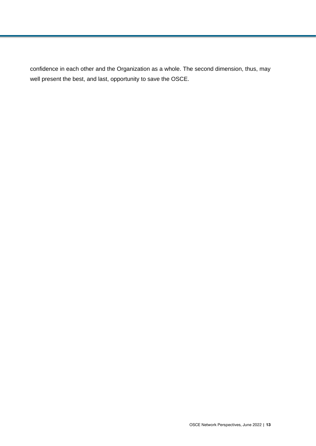confidence in each other and the Organization as a whole. The second dimension, thus, may well present the best, and last, opportunity to save the OSCE.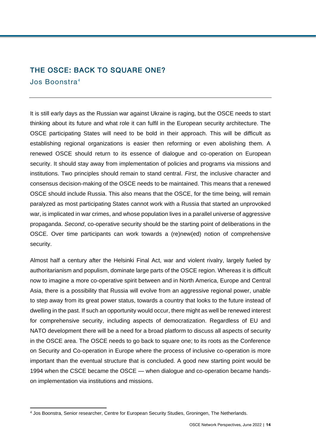# <span id="page-13-0"></span>THE OSCE: BACK TO SQUARE ONE? Jos Boonstra <sup>4</sup>

It is still early days as the Russian war against Ukraine is raging, but the OSCE needs to start thinking about its future and what role it can fulfil in the European security architecture. The OSCE participating States will need to be bold in their approach. This will be difficult as establishing regional organizations is easier then reforming or even abolishing them. A renewed OSCE should return to its essence of dialogue and co-operation on European security. It should stay away from implementation of policies and programs via missions and institutions. Two principles should remain to stand central. *First*, the inclusive character and consensus decision-making of the OSCE needs to be maintained. This means that a renewed OSCE should include Russia. This also means that the OSCE, for the time being, will remain paralyzed as most participating States cannot work with a Russia that started an unprovoked war, is implicated in war crimes, and whose population lives in a parallel universe of aggressive propaganda. *Second*, co-operative security should be the starting point of deliberations in the OSCE. Over time participants can work towards a (re)new(ed) notion of comprehensive security.

Almost half a century after the Helsinki Final Act, war and violent rivalry, largely fueled by authoritarianism and populism, dominate large parts of the OSCE region. Whereas it is difficult now to imagine a more co-operative spirit between and in North America, Europe and Central Asia, there is a possibility that Russia will evolve from an aggressive regional power, unable to step away from its great power status, towards a country that looks to the future instead of dwelling in the past. If such an opportunity would occur, there might as well be renewed interest for comprehensive security, including aspects of democratization. Regardless of EU and NATO development there will be a need for a broad platform to discuss all aspects of security in the OSCE area. The OSCE needs to go back to square one; to its roots as the Conference on Security and Co-operation in Europe where the process of inclusive co-operation is more important than the eventual structure that is concluded. A good new starting point would be 1994 when the CSCE became the OSCE — when dialogue and co-operation became handson implementation via institutions and missions.

l

<sup>4</sup> Jos Boonstra, Senior researcher, Centre for European Security Studies, Groningen, The Netherlands.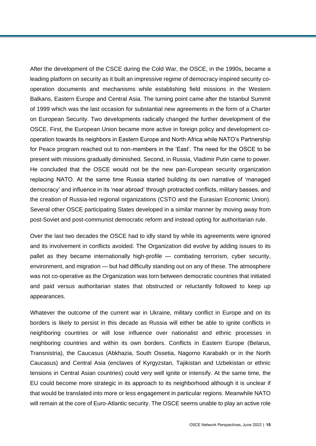After the development of the CSCE during the Cold War, the OSCE, in the 1990s, became a leading platform on security as it built an impressive regime of democracy inspired security cooperation documents and mechanisms while establishing field missions in the Western Balkans, Eastern Europe and Central Asia. The turning point came after the Istanbul Summit of 1999 which was the last occasion for substantial new agreements in the form of a Charter on European Security. Two developments radically changed the further development of the OSCE. First, the European Union became more active in foreign policy and development cooperation towards its neighbors in Eastern Europe and North Africa while NATO's Partnership for Peace program reached out to non-members in the 'East'. The need for the OSCE to be present with missions gradually diminished. Second, in Russia, Vladimir Putin came to power. He concluded that the OSCE would not be the new pan-European security organization replacing NATO. At the same time Russia started building its own narrative of 'managed democracy' and influence in its 'near abroad' through protracted conflicts, military basses, and the creation of Russia-led regional organizations (CSTO and the Eurasian Economic Union). Several other OSCE participating States developed in a similar manner by moving away from post-Soviet and post-communist democratic reform and instead opting for authoritarian rule.

Over the last two decades the OSCE had to idly stand by while its agreements were ignored and its involvement in conflicts avoided. The Organization did evolve by adding issues to its pallet as they became internationally high-profile — combating terrorism, cyber security, environment, and migration — but had difficulty standing out on any of these. The atmosphere was not co-operative as the Organization was torn between democratic countries that initiated and paid versus authoritarian states that obstructed or reluctantly followed to keep up appearances.

Whatever the outcome of the current war in Ukraine, military conflict in Europe and on its borders is likely to persist in this decade as Russia will either be able to ignite conflicts in neighboring countries or will lose influence over nationalist and ethnic processes in neighboring countries and within its own borders. Conflicts in Eastern Europe (Belarus, Transnistria), the Caucasus (Abkhazia, South Ossetia, Nagorno Karabakh or in the North Caucasus) and Central Asia (enclaves of Kyrgyzstan, Tajikistan and Uzbekistan or ethnic tensions in Central Asian countries) could very well ignite or intensify. At the same time, the EU could become more strategic in its approach to its neighborhood although it is unclear if that would be translated into more or less engagement in particular regions. Meanwhile NATO will remain at the core of Euro-Atlantic security. The OSCE seems unable to play an active role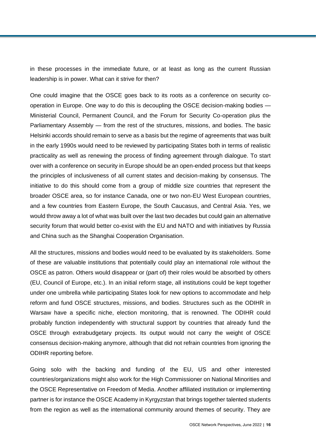in these processes in the immediate future, or at least as long as the current Russian leadership is in power. What can it strive for then?

One could imagine that the OSCE goes back to its roots as a conference on security cooperation in Europe. One way to do this is decoupling the OSCE decision-making bodies — Ministerial Council, Permanent Council, and the Forum for Security Co-operation plus the Parliamentary Assembly — from the rest of the structures, missions, and bodies. The basic Helsinki accords should remain to serve as a basis but the regime of agreements that was built in the early 1990s would need to be reviewed by participating States both in terms of realistic practicality as well as renewing the process of finding agreement through dialogue. To start over with a conference on security in Europe should be an open-ended process but that keeps the principles of inclusiveness of all current states and decision-making by consensus. The initiative to do this should come from a group of middle size countries that represent the broader OSCE area, so for instance Canada, one or two non-EU West European countries, and a few countries from Eastern Europe, the South Caucasus, and Central Asia. Yes, we would throw away a lot of what was built over the last two decades but could gain an alternative security forum that would better co-exist with the EU and NATO and with initiatives by Russia and China such as the Shanghai Cooperation Organisation.

All the structures, missions and bodies would need to be evaluated by its stakeholders. Some of these are valuable institutions that potentially could play an international role without the OSCE as patron. Others would disappear or (part of) their roles would be absorbed by others (EU, Council of Europe, etc.). In an initial reform stage, all institutions could be kept together under one umbrella while participating States look for new options to accommodate and help reform and fund OSCE structures, missions, and bodies. Structures such as the ODIHR in Warsaw have a specific niche, election monitoring, that is renowned. The ODIHR could probably function independently with structural support by countries that already fund the OSCE through extrabudgetary projects. Its output would not carry the weight of OSCE consensus decision-making anymore, although that did not refrain countries from ignoring the ODIHR reporting before.

Going solo with the backing and funding of the EU, US and other interested countries/organizations might also work for the High Commissioner on National Minorities and the OSCE Representative on Freedom of Media. Another affiliated institution or implementing partner is for instance the OSCE Academy in Kyrgyzstan that brings together talented students from the region as well as the international community around themes of security. They are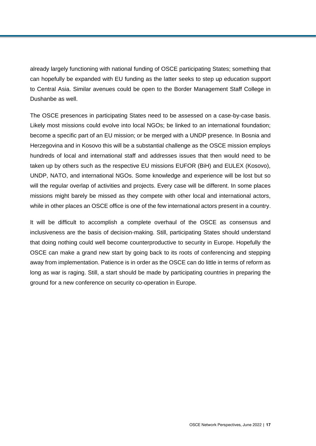already largely functioning with national funding of OSCE participating States; something that can hopefully be expanded with EU funding as the latter seeks to step up education support to Central Asia. Similar avenues could be open to the Border Management Staff College in Dushanbe as well.

The OSCE presences in participating States need to be assessed on a case-by-case basis. Likely most missions could evolve into local NGOs; be linked to an international foundation; become a specific part of an EU mission; or be merged with a UNDP presence. In Bosnia and Herzegovina and in Kosovo this will be a substantial challenge as the OSCE mission employs hundreds of local and international staff and addresses issues that then would need to be taken up by others such as the respective EU missions EUFOR (BiH) and EULEX (Kosovo), UNDP, NATO, and international NGOs. Some knowledge and experience will be lost but so will the regular overlap of activities and projects. Every case will be different. In some places missions might barely be missed as they compete with other local and international actors, while in other places an OSCE office is one of the few international actors present in a country.

It will be difficult to accomplish a complete overhaul of the OSCE as consensus and inclusiveness are the basis of decision-making. Still, participating States should understand that doing nothing could well become counterproductive to security in Europe. Hopefully the OSCE can make a grand new start by going back to its roots of conferencing and stepping away from implementation. Patience is in order as the OSCE can do little in terms of reform as long as war is raging. Still, a start should be made by participating countries in preparing the ground for a new conference on security co-operation in Europe.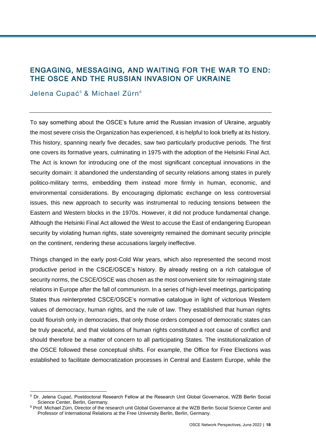# <span id="page-17-0"></span>ENGAGING, MESSAGING, AND WAITING FOR THE WAR TO END: THE OSCE AND THE RUSSIAN INVASION OF UKRAINE

#### Jelena Cupać<sup>5</sup> & Michael Zürn<sup>6</sup>

To say something about the OSCE's future amid the Russian invasion of Ukraine, arguably the most severe crisis the Organization has experienced, it is helpful to look briefly at its history. This history, spanning nearly five decades, saw two particularly productive periods. The first one covers its formative years, culminating in 1975 with the adoption of the Helsinki Final Act. The Act is known for introducing one of the most significant conceptual innovations in the security domain: it abandoned the understanding of security relations among states in purely politico-military terms, embedding them instead more firmly in human, economic, and environmental considerations. By encouraging diplomatic exchange on less controversial issues, this new approach to security was instrumental to reducing tensions between the Eastern and Western blocks in the 1970s. However, it did not produce fundamental change. Although the Helsinki Final Act allowed the West to accuse the East of endangering European security by violating human rights, state sovereignty remained the dominant security principle on the continent, rendering these accusations largely ineffective.

Things changed in the early post-Cold War years, which also represented the second most productive period in the CSCE/OSCE's history. By already resting on a rich catalogue of security norms, the CSCE/OSCE was chosen as the most convenient site for reimagining state relations in Europe after the fall of communism. In a series of high-level meetings, participating States thus reinterpreted CSCE/OSCE's normative catalogue in light of victorious Western values of democracy, human rights, and the rule of law. They established that human rights could flourish only in democracies, that only those orders composed of democratic states can be truly peaceful, and that violations of human rights constituted a root cause of conflict and should therefore be a matter of concern to all participating States. The institutionalization of the OSCE followed these conceptual shifts. For example, the Office for Free Elections was established to facilitate democratization processes in Central and Eastern Europe, while the

l <sup>5</sup> Dr. Jelena Cupać, Postdoctoral Research Fellow at the Research Unit Global Governance, WZB Berlin Social Science Center, Berlin, Germany.

<sup>&</sup>lt;sup>6</sup> Prof. Michael Zürn, Director of the research unit Global Governance at the WZB Berlin Social Science Center and Professor of International Relations at the Free University Berlin, Berlin, Germany.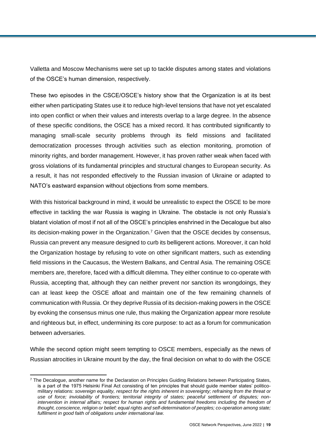Valletta and Moscow Mechanisms were set up to tackle disputes among states and violations of the OSCE's human dimension, respectively.

These two episodes in the CSCE/OSCE's history show that the Organization is at its best either when participating States use it to reduce high-level tensions that have not yet escalated into open conflict or when their values and interests overlap to a large degree. In the absence of these specific conditions, the OSCE has a mixed record. It has contributed significantly to managing small-scale security problems through its field missions and facilitated democratization processes through activities such as election monitoring, promotion of minority rights, and border management. However, it has proven rather weak when faced with gross violations of its fundamental principles and structural changes to European security. As a result, it has not responded effectively to the Russian invasion of Ukraine or adapted to NATO's eastward expansion without objections from some members.

With this historical background in mind, it would be unrealistic to expect the OSCE to be more effective in tackling the war Russia is waging in Ukraine. The obstacle is not only Russia's blatant violation of most if not all of the OSCE's principles enshrined in the Decalogue but also its decision-making power in the Organization.<sup>7</sup> Given that the OSCE decides by consensus, Russia can prevent any measure designed to curb its belligerent actions. Moreover, it can hold the Organization hostage by refusing to vote on other significant matters, such as extending field missions in the Caucasus, the Western Balkans, and Central Asia. The remaining OSCE members are, therefore, faced with a difficult dilemma. They either continue to co-operate with Russia, accepting that, although they can neither prevent nor sanction its wrongdoings, they can at least keep the OSCE afloat and maintain one of the few remaining channels of communication with Russia. Or they deprive Russia of its decision-making powers in the OSCE by evoking the consensus minus one rule, thus making the Organization appear more resolute and righteous but, in effect, undermining its core purpose: to act as a forum for communication between adversaries.

While the second option might seem tempting to OSCE members, especially as the news of Russian atrocities in Ukraine mount by the day, the final decision on what to do with the OSCE

l

 $7$  The Decalogue, another name for the Declaration on Principles Guiding Relations between Participating States, is a part of the 1975 Helsinki Final Act consisting of ten principles that should guide member states' politicomilitary relations: *sovereign equality, respect for the rights inherent in sovereignty; refraining from the threat or use of force; inviolability of frontiers; territorial integrity of states; peaceful settlement of disputes; nonintervention in internal affairs; respect for human rights and fundamental freedoms including the freedom of thought, conscience, religion or belief; equal rights and self-determination of peoples; co-operation among state; fulfilment in good faith of obligations under international law.*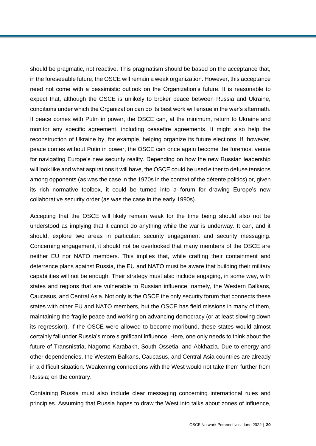should be pragmatic, not reactive. This pragmatism should be based on the acceptance that, in the foreseeable future, the OSCE will remain a weak organization. However, this acceptance need not come with a pessimistic outlook on the Organization's future. It is reasonable to expect that, although the OSCE is unlikely to broker peace between Russia and Ukraine, conditions under which the Organization can do its best work will ensue in the war's aftermath. If peace comes with Putin in power, the OSCE can, at the minimum, return to Ukraine and monitor any specific agreement, including ceasefire agreements. It might also help the reconstruction of Ukraine by, for example, helping organize its future elections. If, however, peace comes without Putin in power, the OSCE can once again become the foremost venue for navigating Europe's new security reality. Depending on how the new Russian leadership will look like and what aspirations it will have, the OSCE could be used either to defuse tensions among opponents (as was the case in the 1970s in the context of the détente politics) or, given its rich normative toolbox, it could be turned into a forum for drawing Europe's new collaborative security order (as was the case in the early 1990s).

Accepting that the OSCE will likely remain weak for the time being should also not be understood as implying that it cannot do anything while the war is underway. It can, and it should, explore two areas in particular: security engagement and security messaging. Concerning engagement, it should not be overlooked that many members of the OSCE are neither EU nor NATO members. This implies that, while crafting their containment and deterrence plans against Russia, the EU and NATO must be aware that building their military capabilities will not be enough. Their strategy must also include engaging, in some way, with states and regions that are vulnerable to Russian influence, namely, the Western Balkans, Caucasus, and Central Asia. Not only is the OSCE the only security forum that connects these states with other EU and NATO members, but the OSCE has field missions in many of them, maintaining the fragile peace and working on advancing democracy (or at least slowing down its regression). If the OSCE were allowed to become moribund, these states would almost certainly fall under Russia's more significant influence. Here, one only needs to think about the future of Transnistria, Nagorno-Karabakh, South Ossetia, and Abkhazia. Due to energy and other dependencies, the Western Balkans, Caucasus, and Central Asia countries are already in a difficult situation. Weakening connections with the West would not take them further from Russia; on the contrary.

Containing Russia must also include clear messaging concerning international rules and principles. Assuming that Russia hopes to draw the West into talks about zones of influence,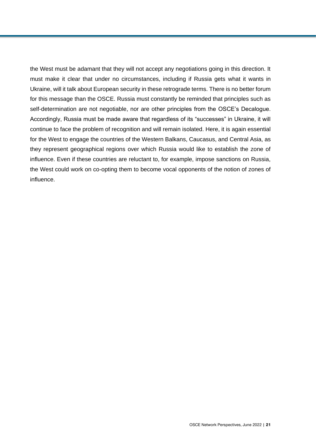the West must be adamant that they will not accept any negotiations going in this direction. It must make it clear that under no circumstances, including if Russia gets what it wants in Ukraine, will it talk about European security in these retrograde terms. There is no better forum for this message than the OSCE. Russia must constantly be reminded that principles such as self-determination are not negotiable, nor are other principles from the OSCE's Decalogue. Accordingly, Russia must be made aware that regardless of its "successes" in Ukraine, it will continue to face the problem of recognition and will remain isolated. Here, it is again essential for the West to engage the countries of the Western Balkans, Caucasus, and Central Asia, as they represent geographical regions over which Russia would like to establish the zone of influence. Even if these countries are reluctant to, for example, impose sanctions on Russia, the West could work on co-opting them to become vocal opponents of the notion of zones of influence.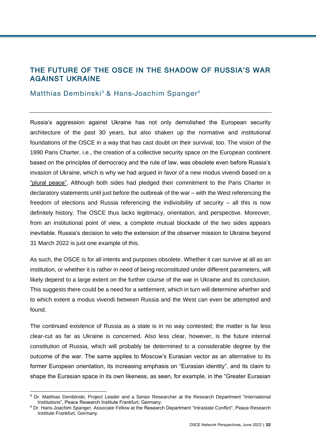# <span id="page-21-1"></span>THE FUTURE OF THE OSCE IN THE SHADOW OF RUSSIA'S WAR AGAINST UKRAINE

#### <span id="page-21-0"></span>Matthias Dembinski<sup>8</sup> & Hans-Joachim Spanger<sup>9</sup>

Russia's aggression against Ukraine has not only demolished the European security architecture of the past 30 years, but also shaken up the normative and institutional foundations of the OSCE in a way that has cast doubt on their survival, too. The vision of the 1990 Paris Charter, i.e., the creation of a collective security space on the European continent based on the principles of democracy and the rule of law, was obsolete even before Russia's invasion of Ukraine, which is why we had argued in favor of a new modus vivendi based on a ["plural peace".](https://www.hsfk.de/fileadmin/HSFK/hsfk_publikationen/prif145.pdf) Although both sides had pledged their commitment to the Paris Charter in declaratory statements until just before the outbreak of the war – with the West referencing the freedom of elections and Russia referencing the indivisibility of security – all this is now definitely history. The OSCE thus lacks legitimacy, orientation, and perspective. Moreover, from an institutional point of view, a complete mutual blockade of the two sides appears inevitable. Russia's decision to veto the extension of the observer mission to Ukraine beyond 31 March 2022 is just one example of this.

As such, the OSCE is for all intents and purposes obsolete. Whether it can survive at all as an institution, or whether it is rather in need of being reconstituted under different parameters, will likely depend to a large extent on the further course of the war in Ukraine and its conclusion. This suggests there could be a need for a settlement, which in turn will determine whether and to which extent a modus vivendi between Russia and the West can even be attempted and found.

The continued existence of Russia as a state is in no way contested; the matter is far less clear-cut as far as Ukraine is concerned. Also less clear, however, is the future internal constitution of Russia, which will probably be determined to a considerable degree by the outcome of the war. The same applies to Moscow's Eurasian vector as an alternative to its former European orientation, its increasing emphasis on "Eurasian identity", and its claim to shape the Eurasian space in its own likeness, as seen, for example, in the "Greater Eurasian

l

<sup>&</sup>lt;sup>8</sup> Dr. Matthias Dembinski, Project Leader and a Senior Researcher at the Research Department "International [Institutions"](https://www.hsfk.de/en/research/international-institutions), Peace Research Institute Frankfurt, Germany.

<sup>9</sup> Dr. Hans-Joachim Spanger, Associate Fellow at the Research Department ["Intrastate Conflict"](https://www.hsfk.de/en/research/intrastate-conflict), Peace Research Institute Frankfurt, Germany.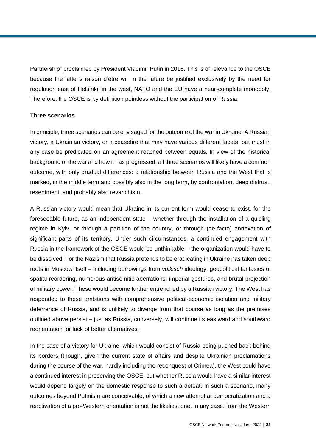Partnership" proclaimed by President Vladimir Putin in 2016. This is of relevance to the OSCE because the latter's raison d'être will in the future be justified exclusively by the need for regulation east of Helsinki; in the west, NATO and the EU have a near-complete monopoly. Therefore, the OSCE is by definition pointless without the participation of Russia.

#### **Three scenarios**

In principle, three scenarios can be envisaged for the outcome of the war in Ukraine: A Russian victory, a Ukrainian victory, or a ceasefire that may have various different facets, but must in any case be predicated on an agreement reached between equals. In view of the historical background of the war and how it has progressed, all three scenarios will likely have a common outcome, with only gradual differences: a relationship between Russia and the West that is marked, in the middle term and possibly also in the long term, by confrontation, deep distrust, resentment, and probably also revanchism.

A Russian victory would mean that Ukraine in its current form would cease to exist, for the foreseeable future, as an independent state – whether through the installation of a quisling regime in Kyiv, or through a partition of the country, or through (de-facto) annexation of significant parts of its territory. Under such circumstances, a continued engagement with Russia in the framework of the OSCE would be unthinkable – the organization would have to be dissolved. For the Nazism that Russia pretends to be eradicating in Ukraine has taken deep roots in Moscow itself – including borrowings from *völkisch* ideology, geopolitical fantasies of spatial reordering, numerous antisemitic aberrations, imperial gestures, and brutal projection of military power. These would become further entrenched by a Russian victory. The West has responded to these ambitions with comprehensive political-economic isolation and military deterrence of Russia, and is unlikely to diverge from that course as long as the premises outlined above persist – just as Russia, conversely, will continue its eastward and southward reorientation for lack of better alternatives.

In the case of a victory for Ukraine, which would consist of Russia being pushed back behind its borders (though, given the current state of affairs and despite Ukrainian proclamations during the course of the war, hardly including the reconquest of Crimea), the West could have a continued interest in preserving the OSCE, but whether Russia would have a similar interest would depend largely on the domestic response to such a defeat. In such a scenario, many outcomes beyond Putinism are conceivable, of which a new attempt at democratization and a reactivation of a pro-Western orientation is not the likeliest one. In any case, from the Western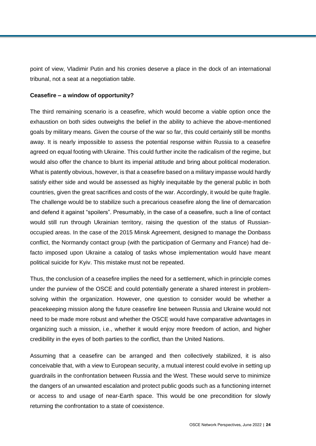point of view, Vladimir Putin and his cronies deserve a place in the dock of an international tribunal, not a seat at a negotiation table.

#### **Ceasefire – a window of opportunity?**

The third remaining scenario is a ceasefire, which would become a viable option once the exhaustion on both sides outweighs the belief in the ability to achieve the above-mentioned goals by military means. Given the course of the war so far, this could certainly still be months away. It is nearly impossible to assess the potential response within Russia to a ceasefire agreed on equal footing with Ukraine. This could further incite the radicalism of the regime, but would also offer the chance to blunt its imperial attitude and bring about political moderation. What is patently obvious, however, is that a ceasefire based on a military impasse would hardly satisfy either side and would be assessed as highly inequitable by the general public in both countries, given the great sacrifices and costs of the war. Accordingly, it would be quite fragile. The challenge would be to stabilize such a precarious ceasefire along the line of demarcation and defend it against "spoilers". Presumably, in the case of a ceasefire, such a line of contact would still run through Ukrainian territory, raising the question of the status of Russianoccupied areas. In the case of the 2015 Minsk Agreement, designed to manage the Donbass conflict, the Normandy contact group (with the participation of Germany and France) had defacto imposed upon Ukraine a catalog of tasks whose implementation would have meant political suicide for Kyiv. This mistake must not be repeated.

Thus, the conclusion of a ceasefire implies the need for a settlement, which in principle comes under the purview of the OSCE and could potentially generate a shared interest in problemsolving within the organization. However, one question to consider would be whether a peacekeeping mission along the future ceasefire line between Russia and Ukraine would not need to be made more robust and whether the OSCE would have comparative advantages in organizing such a mission, i.e., whether it would enjoy more freedom of action, and higher credibility in the eyes of both parties to the conflict, than the United Nations.

Assuming that a ceasefire can be arranged and then collectively stabilized, it is also conceivable that, with a view to European security, a mutual interest could evolve in setting up guardrails in the confrontation between Russia and the West. These would serve to minimize the dangers of an unwanted escalation and protect public goods such as a functioning internet or access to and usage of near-Earth space. This would be one precondition for slowly returning the confrontation to a state of coexistence.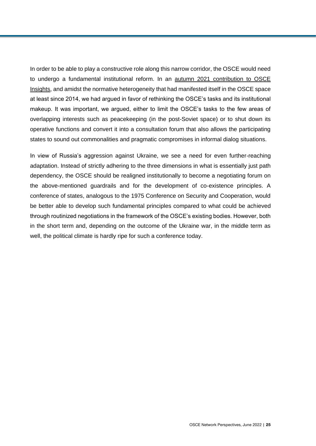In order to be able to play a constructive role along this narrow corridor, the OSCE would need to undergo a fundamental institutional reform. In an [autumn 2021 contribution to OSCE](https://www.nomos-elibrary.de/10.5771/9783748911456-09/pluralistic-peace-new-perspectives-for-the-osce?page=1)  [Insights,](https://www.nomos-elibrary.de/10.5771/9783748911456-09/pluralistic-peace-new-perspectives-for-the-osce?page=1) and amidst the normative heterogeneity that had manifested itself in the OSCE space at least since 2014, we had argued in favor of rethinking the OSCE's tasks and its institutional makeup. It was important, we argued, either to limit the OSCE's tasks to the few areas of overlapping interests such as peacekeeping (in the post-Soviet space) or to shut down its operative functions and convert it into a consultation forum that also allows the participating states to sound out commonalities and pragmatic compromises in informal dialog situations.

In view of Russia's aggression against Ukraine, we see a need for even further-reaching adaptation. Instead of strictly adhering to the three dimensions in what is essentially just path dependency, the OSCE should be realigned institutionally to become a negotiating forum on the above-mentioned guardrails and for the development of co-existence principles. A conference of states, analogous to the 1975 Conference on Security and Cooperation, would be better able to develop such fundamental principles compared to what could be achieved through routinized negotiations in the framework of the OSCE's existing bodies. However, both in the short term and, depending on the outcome of the Ukraine war, in the middle term as well, the political climate is hardly ripe for such a conference today.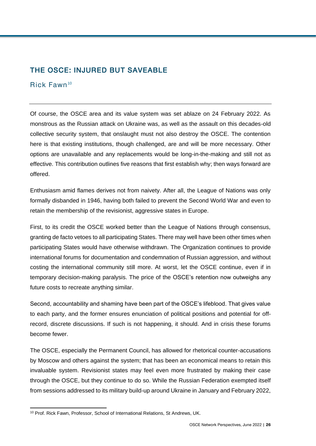# <span id="page-25-0"></span>THE OSCE: INJURED BUT SAVEABLE

### Rick Fawn <sup>10</sup>

Of course, the OSCE area and its value system was set ablaze on 24 February 2022. As monstrous as the Russian attack on Ukraine was, as well as the assault on this decades-old collective security system, that onslaught must not also destroy the OSCE. The contention here is that existing institutions, though challenged, are and will be more necessary. Other options are unavailable and any replacements would be long-in-the-making and still not as effective. This contribution outlines five reasons that first establish why; then ways forward are offered.

Enthusiasm amid flames derives not from naivety. After all, the League of Nations was only formally disbanded in 1946, having both failed to prevent the Second World War and even to retain the membership of the revisionist, aggressive states in Europe.

First, to its credit the OSCE worked better than the League of Nations through consensus, granting de facto vetoes to all participating States. There may well have been other times when participating States would have otherwise withdrawn. The Organization continues to provide international forums for documentation and condemnation of Russian aggression, and without costing the international community still more. At worst, let the OSCE continue, even if in temporary decision-making paralysis. The price of the OSCE's retention now outweighs any future costs to recreate anything similar.

Second, accountability and shaming have been part of the OSCE's lifeblood. That gives value to each party, and the former ensures enunciation of political positions and potential for offrecord, discrete discussions. If such is not happening, it should. And in crisis these forums become fewer.

The OSCE, especially the Permanent Council, has allowed for rhetorical counter-accusations by Moscow and others against the system; that has been an economical means to retain this invaluable system. Revisionist states may feel even more frustrated by making their case through the OSCE, but they continue to do so. While the Russian Federation exempted itself from sessions addressed to its military build-up around Ukraine in January and February 2022,

l <sup>10</sup> Prof. Rick Fawn, Professor, School of International Relations, St Andrews, UK.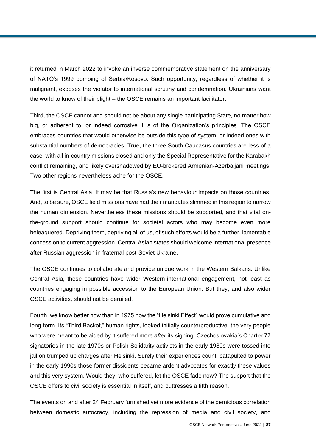it returned in March 2022 to invoke an inverse commemorative statement on the anniversary of NATO's 1999 bombing of Serbia/Kosovo. Such opportunity, regardless of whether it is malignant, exposes the violator to international scrutiny and condemnation. Ukrainians want the world to know of their plight – the OSCE remains an important facilitator.

Third, the OSCE cannot and should not be about any single participating State, no matter how big, or adherent to, or indeed corrosive it is of the Organization's principles. The OSCE embraces countries that would otherwise be outside this type of system, or indeed ones with substantial numbers of democracies. True, the three South Caucasus countries are less of a case, with all in-country missions closed and only the Special Representative for the Karabakh conflict remaining, and likely overshadowed by EU-brokered Armenian-Azerbaijani meetings. Two other regions nevertheless ache for the OSCE.

The first is Central Asia. It may be that Russia's new behaviour impacts on those countries. And, to be sure, OSCE field missions have had their mandates slimmed in this region to narrow the human dimension. Nevertheless these missions should be supported, and that vital onthe-ground support should continue for societal actors who may become even more beleaguered. Depriving them, depriving all of us, of such efforts would be a further, lamentable concession to current aggression. Central Asian states should welcome international presence after Russian aggression in fraternal post-Soviet Ukraine.

The OSCE continues to collaborate and provide unique work in the Western Balkans. Unlike Central Asia, these countries have wider Western-international engagement, not least as countries engaging in possible accession to the European Union. But they, and also wider OSCE activities, should not be derailed.

Fourth, we know better now than in 1975 how the "Helsinki Effect" would prove cumulative and long-term. Its "Third Basket," human rights, looked initially counterproductive: the very people who were meant to be aided by it suffered more *after* its signing. Czechoslovakia's Charter 77 signatories in the late 1970s or Polish Solidarity activists in the early 1980s were tossed into jail on trumped up charges after Helsinki. Surely their experiences count; catapulted to power in the early 1990s those former dissidents became ardent advocates for exactly these values and this very system. Would they, who suffered, let the OSCE fade now? The support that the OSCE offers to civil society is essential in itself, and buttresses a fifth reason.

The events on and after 24 February furnished yet more evidence of the pernicious correlation between domestic autocracy, including the repression of media and civil society, and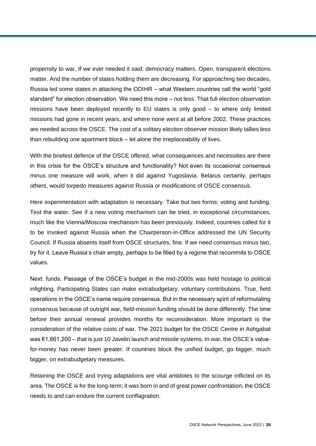propensity to war. If we ever needed it said: democracy matters. Open, transparent elections matter. And the number of states holding them are decreasing. For approaching two decades, Russia led some states in attacking the ODIHR – what Western countries call the world "gold standard" for election observation. We need this more – not less. That full election observation missions have been deployed recently to EU states is only good – to where only limited missions had gone in recent years, and where none went at all before 2002. These practices are needed across the OSCE. The cost of a solitary election observer mission likely tallies less than rebuilding one apartment block – let alone the irreplaceability of lives.

With the briefest defence of the OSCE offered, what consequences and necessities are there in this crisis for the OSCE's structure and functionality? Not even its occasional consensus minus one measure will work, when it did against Yugoslavia. Belarus certainly, perhaps others, would torpedo measures against Russia or modifications of OSCE consensus.

Here experimentation with adaptation is necessary. Take but two forms: voting and funding. Test the water. See if a new voting mechanism can be tried, in exceptional circumstances, much like the Vienna/Moscow mechanism has been previously. Indeed, countries called for it to be invoked against Russia when the Chairperson-in-Office addressed the UN Security Council. If Russia absents itself from OSCE structures, fine. If we need consensus minus two, try for it. Leave Russia's chair empty, perhaps to be filled by a regime that recommits to OSCE values.

Next: funds. Passage of the OSCE's budget in the mid-2000s was held hostage to political infighting. Participating States can make extrabudgetary, voluntary contributions. True, field operations in the OSCE's name require consensus. But in the necessary spirit of reformulating consensus because of outright war, field-mission funding should be done differently. The time before their annual renewal provides months for reconsideration. More important is the consideration of the relative costs of war. The 2021 budget for the OSCE Centre in Ashgabat was €1,661,200 – that is just 10 Javelin launch and missile systems. In war, the OSCE's valuefor-money has never been greater. If countries block the unified budget, go bigger, much bigger, on extrabudgetary measures.

Retaining the OSCE and trying adaptations are vital antidotes to the scourge inflicted on its area. The OSCE is for the long-term; it was born in and of great power confrontation; the OSCE needs to and can endure the current conflagration.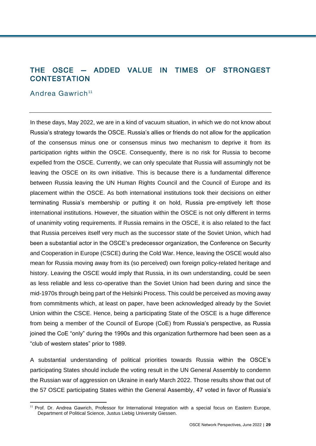# <span id="page-28-0"></span>THE OSCE — ADDED VALUE IN TIMES OF STRONGEST **CONTESTATION**

#### Andrea Gawrich <sup>11</sup>

l

In these days, May 2022, we are in a kind of vacuum situation, in which we do not know about Russia's strategy towards the OSCE. Russia's allies or friends do not allow for the application of the consensus minus one or consensus minus two mechanism to deprive it from its participation rights within the OSCE. Consequently, there is no risk for Russia to become expelled from the OSCE. Currently, we can only speculate that Russia will assumingly not be leaving the OSCE on its own initiative. This is because there is a fundamental difference between Russia leaving the UN Human Rights Council and the Council of Europe and its placement within the OSCE. As both international institutions took their decisions on either terminating Russia's membership or putting it on hold, Russia pre-emptively left those international institutions. However, the situation within the OSCE is not only different in terms of unanimity voting requirements. If Russia remains in the OSCE, it is also related to the fact that Russia perceives itself very much as the successor state of the Soviet Union, which had been a substantial actor in the OSCE's predecessor organization, the Conference on Security and Cooperation in Europe (CSCE) during the Cold War. Hence, leaving the OSCE would also mean for Russia moving away from its (so perceived) own foreign policy-related heritage and history. Leaving the OSCE would imply that Russia, in its own understanding, could be seen as less reliable and less co-operative than the Soviet Union had been during and since the mid-1970s through being part of the Helsinki Process. This could be perceived as moving away from commitments which, at least on paper, have been acknowledged already by the Soviet Union within the CSCE. Hence, being a participating State of the OSCE is a huge difference from being a member of the Council of Europe (CoE) from Russia's perspective, as Russia joined the CoE "only" during the 1990s and this organization furthermore had been seen as a "club of western states" prior to 1989.

A substantial understanding of political priorities towards Russia within the OSCE's participating States should include the voting result in the UN General Assembly to condemn the Russian war of aggression on Ukraine in early March 2022. Those results show that out of the 57 OSCE participating States within the General Assembly, 47 voted in favor of Russia's

<sup>11</sup> Prof. Dr. Andrea Gawrich, Professor for International Integration with a special focus on Eastern Europe, Department of Political Science, Justus Liebig University Giessen.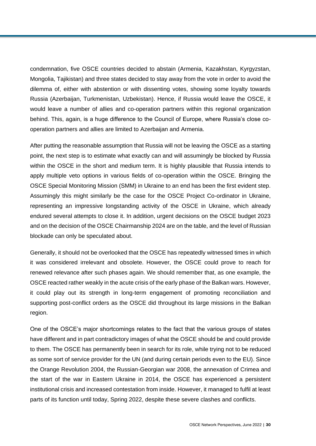condemnation, five OSCE countries decided to abstain (Armenia, Kazakhstan, Kyrgyzstan, Mongolia, Tajikistan) and three states decided to stay away from the vote in order to avoid the dilemma of, either with abstention or with dissenting votes, showing some loyalty towards Russia (Azerbaijan, Turkmenistan, Uzbekistan). Hence, if Russia would leave the OSCE, it would leave a number of allies and co-operation partners within this regional organization behind. This, again, is a huge difference to the Council of Europe, where Russia's close cooperation partners and allies are limited to Azerbaijan and Armenia.

After putting the reasonable assumption that Russia will not be leaving the OSCE as a starting point, the next step is to estimate what exactly can and will assumingly be blocked by Russia within the OSCE in the short and medium term. It is highly plausible that Russia intends to apply multiple veto options in various fields of co-operation within the OSCE. Bringing the OSCE Special Monitoring Mission (SMM) in Ukraine to an end has been the first evident step. Assumingly this might similarly be the case for the OSCE Project Co-ordinator in Ukraine, representing an impressive longstanding activity of the OSCE in Ukraine, which already endured several attempts to close it. In addition, urgent decisions on the OSCE budget 2023 and on the decision of the OSCE Chairmanship 2024 are on the table, and the level of Russian blockade can only be speculated about.

Generally, it should not be overlooked that the OSCE has repeatedly witnessed times in which it was considered irrelevant and obsolete. However, the OSCE could prove to reach for renewed relevance after such phases again. We should remember that, as one example, the OSCE reacted rather weakly in the acute crisis of the early phase of the Balkan wars. However, it could play out its strength in long-term engagement of promoting reconciliation and supporting post-conflict orders as the OSCE did throughout its large missions in the Balkan region.

One of the OSCE's major shortcomings relates to the fact that the various groups of states have different and in part contradictory images of what the OSCE should be and could provide to them. The OSCE has permanently been in search for its role, while trying not to be reduced as some sort of service provider for the UN (and during certain periods even to the EU). Since the Orange Revolution 2004, the Russian-Georgian war 2008, the annexation of Crimea and the start of the war in Eastern Ukraine in 2014, the OSCE has experienced a persistent institutional crisis and increased contestation from inside. However, it managed to fulfil at least parts of its function until today, Spring 2022, despite these severe clashes and conflicts.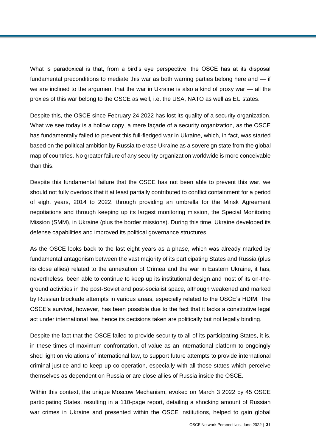What is paradoxical is that, from a bird's eye perspective, the OSCE has at its disposal fundamental preconditions to mediate this war as both warring parties belong here and — if we are inclined to the argument that the war in Ukraine is also a kind of proxy war — all the proxies of this war belong to the OSCE as well, i.e. the USA, NATO as well as EU states.

Despite this, the OSCE since February 24 2022 has lost its quality of a security organization. What we see today is a hollow copy, a mere façade of a security organization, as the OSCE has fundamentally failed to prevent this full-fledged war in Ukraine, which, in fact, was started based on the political ambition by Russia to erase Ukraine as a sovereign state from the global map of countries. No greater failure of any security organization worldwide is more conceivable than this.

Despite this fundamental failure that the OSCE has not been able to prevent this war, we should not fully overlook that it at least partially contributed to conflict containment for a period of eight years, 2014 to 2022, through providing an umbrella for the Minsk Agreement negotiations and through keeping up its largest monitoring mission, the Special Monitoring Mission (SMM), in Ukraine (plus the border missions). During this time, Ukraine developed its defense capabilities and improved its political governance structures.

As the OSCE looks back to the last eight years as a phase, which was already marked by fundamental antagonism between the vast majority of its participating States and Russia (plus its close allies) related to the annexation of Crimea and the war in Eastern Ukraine, it has, nevertheless, been able to continue to keep up its institutional design and most of its on-theground activities in the post-Soviet and post-socialist space, although weakened and marked by Russian blockade attempts in various areas, especially related to the OSCE's HDIM. The OSCE's survival, however, has been possible due to the fact that it lacks a constitutive legal act under international law, hence its decisions taken are politically but not legally binding.

Despite the fact that the OSCE failed to provide security to all of its participating States, it is, in these times of maximum confrontation, of value as an international platform to ongoingly shed light on violations of international law, to support future attempts to provide international criminal justice and to keep up co-operation, especially with all those states which perceive themselves as dependent on Russia or are close allies of Russia inside the OSCE.

Within this context, the unique Moscow Mechanism, evoked on March 3 2022 by 45 OSCE participating States, resulting in a 110-page report, detailing a shocking amount of Russian war crimes in Ukraine and presented within the OSCE institutions, helped to gain global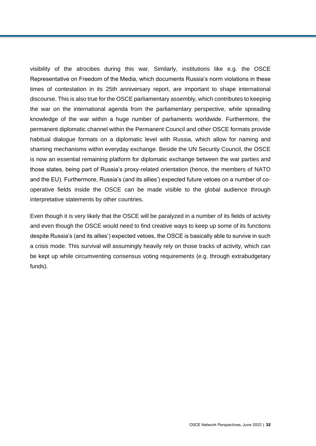visibility of the atrocities during this war. Similarly, institutions like e.g. the OSCE Representative on Freedom of the Media, which documents Russia's norm violations in these times of contestation in its 25th anniversary report, are important to shape international discourse. This is also true for the OSCE parliamentary assembly, which contributes to keeping the war on the international agenda from the parliamentary perspective, while spreading knowledge of the war within a huge number of parliaments worldwide. Furthermore, the permanent diplomatic channel within the Permanent Council and other OSCE formats provide habitual dialogue formats on a diplomatic level with Russia, which allow for naming and shaming mechanisms within everyday exchange. Beside the UN Security Council, the OSCE is now an essential remaining platform for diplomatic exchange between the war parties and those states, being part of Russia's proxy-related orientation (hence, the members of NATO and the EU). Furthermore, Russia's (and its allies') expected future vetoes on a number of cooperative fields inside the OSCE can be made visible to the global audience through interpretative statements by other countries.

Even though it is very likely that the OSCE will be paralyzed in a number of its fields of activity and even though the OSCE would need to find creative ways to keep up some of its functions despite Russia's (and its allies') expected vetoes, the OSCE is basically able to survive in such a crisis mode. This survival will assumingly heavily rely on those tracks of activity, which can be kept up while circumventing consensus voting requirements (e.g. through extrabudgetary funds).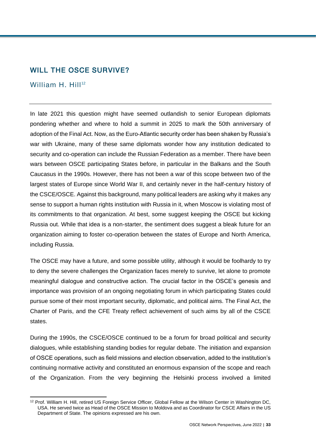# <span id="page-32-0"></span>WILL THE OSCE SURVIVE?

#### William H.  $H<sup>12</sup>$

In late 2021 this question might have seemed outlandish to senior European diplomats pondering whether and where to hold a summit in 2025 to mark the 50th anniversary of adoption of the Final Act. Now, as the Euro-Atlantic security order has been shaken by Russia's war with Ukraine, many of these same diplomats wonder how any institution dedicated to security and co-operation can include the Russian Federation as a member. There have been wars between OSCE participating States before, in particular in the Balkans and the South Caucasus in the 1990s. However, there has not been a war of this scope between two of the largest states of Europe since World War II, and certainly never in the half-century history of the CSCE/OSCE. Against this background, many political leaders are asking why it makes any sense to support a human rights institution with Russia in it, when Moscow is violating most of its commitments to that organization. At best, some suggest keeping the OSCE but kicking Russia out. While that idea is a non-starter, the sentiment does suggest a bleak future for an organization aiming to foster co-operation between the states of Europe and North America, including Russia.

The OSCE may have a future, and some possible utility, although it would be foolhardy to try to deny the severe challenges the Organization faces merely to survive, let alone to promote meaningful dialogue and constructive action. The crucial factor in the OSCE's genesis and importance was provision of an ongoing negotiating forum in which participating States could pursue some of their most important security, diplomatic, and political aims. The Final Act, the Charter of Paris, and the CFE Treaty reflect achievement of such aims by all of the CSCE states.

During the 1990s, the CSCE/OSCE continued to be a forum for broad political and security dialogues, while establishing standing bodies for regular debate. The initiation and expansion of OSCE operations, such as field missions and election observation, added to the institution's continuing normative activity and constituted an enormous expansion of the scope and reach of the Organization. From the very beginning the Helsinki process involved a limited

 $\overline{a}$ <sup>12</sup> Prof. William H. Hill, retired US Foreign Service Officer, Global Fellow at the Wilson Center in Washington DC, USA. He served twice as Head of the OSCE Mission to Moldova and as Coordinator for CSCE Affairs in the US Department of State. The opinions expressed are his own.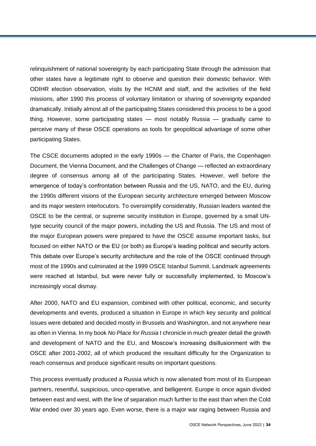relinquishment of national sovereignty by each participating State through the admission that other states have a legitimate right to observe and question their domestic behavior. With ODIHR election observation, visits by the HCNM and staff, and the activities of the field missions, after 1990 this process of voluntary limitation or sharing of sovereignty expanded dramatically. Initially almost all of the participating States considered this process to be a good thing. However, some participating states — most notably Russia — gradually came to perceive many of these OSCE operations as tools for geopolitical advantage of some other participating States.

The CSCE documents adopted in the early 1990s — the Charter of Paris, the Copenhagen Document, the Vienna Document, and the Challenges of Change — reflected an extraordinary degree of consensus among all of the participating States. However, well before the emergence of today's confrontation between Russia and the US, NATO, and the EU, during the 1990s different visions of the European security architecture emerged between Moscow and its major western interlocutors. To oversimplify considerably, Russian leaders wanted the OSCE to be the central, or supreme security institution in Europe, governed by a small UNtype security council of the major powers, including the US and Russia. The US and most of the major European powers were prepared to have the OSCE assume important tasks, but focused on either NATO or the EU (or both) as Europe's leading political and security actors. This debate over Europe's security architecture and the role of the OSCE continued through most of the 1990s and culminated at the 1999 OSCE Istanbul Summit. Landmark agreements were reached at Istanbul, but were never fully or successfully implemented, to Moscow's increasingly vocal dismay.

After 2000, NATO and EU expansion, combined with other political, economic, and security developments and events, produced a situation in Europe in which key security and political issues were debated and decided mostly in Brussels and Washington, and not anywhere near as often in Vienna. In my book *No Place for Russia* I chronicle in much greater detail the growth and development of NATO and the EU, and Moscow's increasing disillusionment with the OSCE after 2001-2002, all of which produced the resultant difficulty for the Organization to reach consensus and produce significant results on important questions.

This process eventually produced a Russia which is now alienated from most of its European partners, resentful, suspicious, unco-operative, and belligerent. Europe is once again divided between east and west, with the line of separation much further to the east than when the Cold War ended over 30 years ago. Even worse, there is a major war raging between Russia and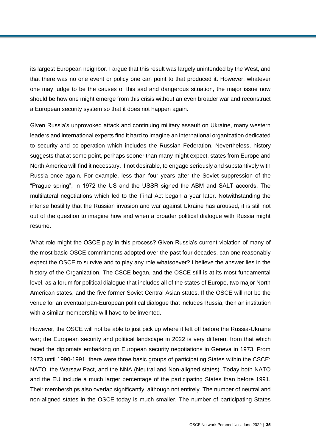its largest European neighbor. I argue that this result was largely unintended by the West, and that there was no one event or policy one can point to that produced it. However, whatever one may judge to be the causes of this sad and dangerous situation, the major issue now should be how one might emerge from this crisis without an even broader war and reconstruct a European security system so that it does not happen again.

Given Russia's unprovoked attack and continuing military assault on Ukraine, many western leaders and international experts find it hard to imagine an international organization dedicated to security and co-operation which includes the Russian Federation. Nevertheless, history suggests that at some point, perhaps sooner than many might expect, states from Europe and North America will find it necessary, if not desirable, to engage seriously and substantively with Russia once again. For example, less than four years after the Soviet suppression of the "Prague spring", in 1972 the US and the USSR signed the ABM and SALT accords. The multilateral negotiations which led to the Final Act began a year later. Notwithstanding the intense hostility that the Russian invasion and war against Ukraine has aroused, it is still not out of the question to imagine how and when a broader political dialogue with Russia might resume.

What role might the OSCE play in this process? Given Russia's current violation of many of the most basic OSCE commitments adopted over the past four decades, can one reasonably expect the OSCE to survive and to play any role whatsoever? I believe the answer lies in the history of the Organization. The CSCE began, and the OSCE still is at its most fundamental level, as a forum for political dialogue that includes all of the states of Europe, two major North American states, and the five former Soviet Central Asian states. If the OSCE will not be the venue for an eventual pan-European political dialogue that includes Russia, then an institution with a similar membership will have to be invented.

However, the OSCE will not be able to just pick up where it left off before the Russia-Ukraine war; the European security and political landscape in 2022 is very different from that which faced the diplomats embarking on European security negotiations in Geneva in 1973. From 1973 until 1990-1991, there were three basic groups of participating States within the CSCE: NATO, the Warsaw Pact, and the NNA (Neutral and Non-aligned states). Today both NATO and the EU include a much larger percentage of the participating States than before 1991. Their memberships also overlap significantly, although not entirely. The number of neutral and non-aligned states in the OSCE today is much smaller. The number of participating States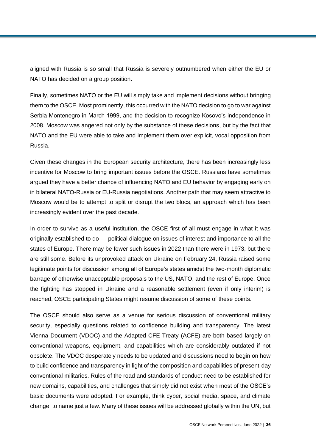aligned with Russia is so small that Russia is severely outnumbered when either the EU or NATO has decided on a group position.

Finally, sometimes NATO or the EU will simply take and implement decisions without bringing them to the OSCE. Most prominently, this occurred with the NATO decision to go to war against Serbia-Montenegro in March 1999, and the decision to recognize Kosovo's independence in 2008. Moscow was angered not only by the substance of these decisions, but by the fact that NATO and the EU were able to take and implement them over explicit, vocal opposition from Russia.

Given these changes in the European security architecture, there has been increasingly less incentive for Moscow to bring important issues before the OSCE. Russians have sometimes argued they have a better chance of influencing NATO and EU behavior by engaging early on in bilateral NATO-Russia or EU-Russia negotiations. Another path that may seem attractive to Moscow would be to attempt to split or disrupt the two blocs, an approach which has been increasingly evident over the past decade.

In order to survive as a useful institution, the OSCE first of all must engage in what it was originally established to do — political dialogue on issues of interest and importance to all the states of Europe. There may be fewer such issues in 2022 than there were in 1973, but there are still some. Before its unprovoked attack on Ukraine on February 24, Russia raised some legitimate points for discussion among all of Europe's states amidst the two-month diplomatic barrage of otherwise unacceptable proposals to the US, NATO, and the rest of Europe. Once the fighting has stopped in Ukraine and a reasonable settlement (even if only interim) is reached, OSCE participating States might resume discussion of some of these points.

The OSCE should also serve as a venue for serious discussion of conventional military security, especially questions related to confidence building and transparency. The latest Vienna Document (VDOC) and the Adapted CFE Treaty (ACFE) are both based largely on conventional weapons, equipment, and capabilities which are considerably outdated if not obsolete. The VDOC desperately needs to be updated and discussions need to begin on how to build confidence and transparency in light of the composition and capabilities of present-day conventional militaries. Rules of the road and standards of conduct need to be established for new domains, capabilities, and challenges that simply did not exist when most of the OSCE's basic documents were adopted. For example, think cyber, social media, space, and climate change, to name just a few. Many of these issues will be addressed globally within the UN, but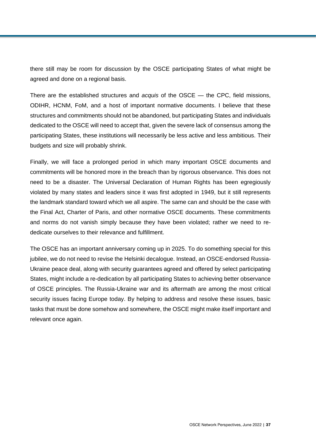there still may be room for discussion by the OSCE participating States of what might be agreed and done on a regional basis.

There are the established structures and *acquis* of the OSCE — the CPC, field missions, ODIHR, HCNM, FoM, and a host of important normative documents. I believe that these structures and commitments should not be abandoned, but participating States and individuals dedicated to the OSCE will need to accept that, given the severe lack of consensus among the participating States, these institutions will necessarily be less active and less ambitious. Their budgets and size will probably shrink.

Finally, we will face a prolonged period in which many important OSCE documents and commitments will be honored more in the breach than by rigorous observance. This does not need to be a disaster. The Universal Declaration of Human Rights has been egregiously violated by many states and leaders since it was first adopted in 1949, but it still represents the landmark standard toward which we all aspire. The same can and should be the case with the Final Act, Charter of Paris, and other normative OSCE documents. These commitments and norms do not vanish simply because they have been violated; rather we need to rededicate ourselves to their relevance and fulfillment.

The OSCE has an important anniversary coming up in 2025. To do something special for this jubilee, we do not need to revise the Helsinki decalogue. Instead, an OSCE-endorsed Russia-Ukraine peace deal, along with security guarantees agreed and offered by select participating States, might include a re-dedication by all participating States to achieving better observance of OSCE principles. The Russia-Ukraine war and its aftermath are among the most critical security issues facing Europe today. By helping to address and resolve these issues, basic tasks that must be done somehow and somewhere, the OSCE might make itself important and relevant once again.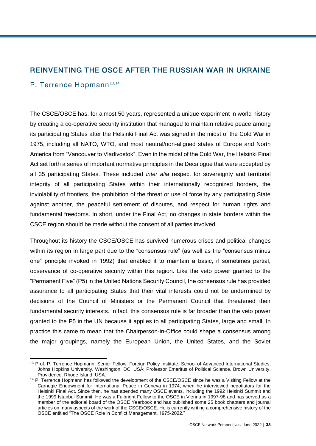# REINVENTING THE OSCE AFTER THE RUSSIAN WAR IN UKRAINE

## P. Terrence Hopmann<sup>13,14</sup>

The CSCE/OSCE has, for almost 50 years, represented a unique experiment in world history by creating a co-operative security institution that managed to maintain relative peace among its participating States after the Helsinki Final Act was signed in the midst of the Cold War in 1975, including all NATO, WTO, and most neutral/non-aligned states of Europe and North America from "Vancouver to Vladivostok". Even in the midst of the Cold War, the Helsinki Final Act set forth a series of important normative principles in the Decalogue that were accepted by all 35 participating States. These included *inter alia* respect for sovereignty and territorial integrity of all participating States within their internationally recognized borders, the inviolability of frontiers, the prohibition of the threat or use of force by any participating State against another, the peaceful settlement of disputes, and respect for human rights and fundamental freedoms. In short, under the Final Act, no changes in state borders within the CSCE region should be made without the consent of all parties involved.

Throughout its history the CSCE/OSCE has survived numerous crises and political changes within its region in large part due to the "consensus rule" (as well as the "consensus minus one" principle invoked in 1992) that enabled it to maintain a basic, if sometimes partial, observance of co-operative security within this region. Like the veto power granted to the "Permanent Five" (P5) in the United Nations Security Council, the consensus rule has provided assurance to all participating States that their vital interests could not be undermined by decisions of the Council of Ministers or the Permanent Council that threatened their fundamental security interests. In fact, this consensus rule is far broader than the veto power granted to the P5 in the UN because it applies to all participating States, large and small. In practice this came to mean that the Chairperson-in-Office could shape a consensus among the major groupings, namely the European Union, the United States, and the Soviet

 $\overline{a}$ <sup>13</sup> Prof. P. Terrence Hopmann, Senior Fellow, Foreign Policy Institute, School of Advanced International Studies, Johns Hopkins University, Washington, DC, USA; Professor Emeritus of Political Science, Brown University, Providence, Rhode Island, USA.

<sup>&</sup>lt;sup>14</sup> P. Terrence Hopmann has followed the development of the CSCE/OSCE since he was a Visiting Fellow at the Carnegie Endowment for International Peace in Geneva in 1974, when he interviewed negotiators for the Helsinki Final Act. Since then, he has attended many OSCE events, including the 1992 Helsinki Summit and the 1999 Istanbul Summit. He was a Fulbright Fellow to the OSCE in Vienna in 1997-98 and has served as a member of the editorial board of the OSCE Yearbook and has published some 25 book chapters and journal articles on many aspects of the work of the CSCE/OSCE. He is currently writing a comprehensive history of the OSCE entitled "The OSCE Role in Conflict Management, 1975-2022."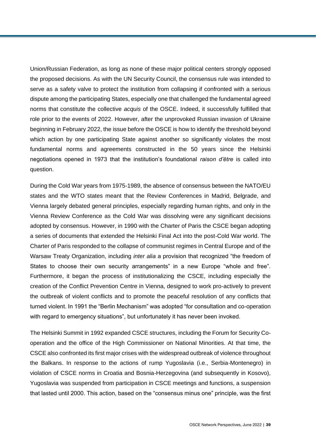Union/Russian Federation, as long as none of these major political centers strongly opposed the proposed decisions. As with the UN Security Council, the consensus rule was intended to serve as a safety valve to protect the institution from collapsing if confronted with a serious dispute among the participating States, especially one that challenged the fundamental agreed norms that constitute the collective *acquis* of the OSCE. Indeed, it successfully fulfilled that role prior to the events of 2022. However, after the unprovoked Russian invasion of Ukraine beginning in February 2022, the issue before the OSCE is how to identify the threshold beyond which action by one participating State against another so significantly violates the most fundamental norms and agreements constructed in the 50 years since the Helsinki negotiations opened in 1973 that the institution's foundational *raison d'être* is called into question.

During the Cold War years from 1975-1989, the absence of consensus between the NATO/EU states and the WTO states meant that the Review Conferences in Madrid, Belgrade, and Vienna largely debated general principles, especially regarding human rights, and only in the Vienna Review Conference as the Cold War was dissolving were any significant decisions adopted by consensus. However, in 1990 with the Charter of Paris the CSCE began adopting a series of documents that extended the Helsinki Final Act into the post-Cold War world. The Charter of Paris responded to the collapse of communist regimes in Central Europe and of the Warsaw Treaty Organization, including *inter alia* a provision that recognized "the freedom of States to choose their own security arrangements" in a new Europe "whole and free". Furthermore, it began the process of institutionalizing the CSCE, including especially the creation of the Conflict Prevention Centre in Vienna, designed to work pro-actively to prevent the outbreak of violent conflicts and to promote the peaceful resolution of any conflicts that turned violent. In 1991 the "Berlin Mechanism" was adopted "for consultation and co-operation with regard to emergency situations", but unfortunately it has never been invoked.

The Helsinki Summit in 1992 expanded CSCE structures, including the Forum for Security Cooperation and the office of the High Commissioner on National Minorities. At that time, the CSCE also confronted its first major crises with the widespread outbreak of violence throughout the Balkans. In response to the actions of rump Yugoslavia (i.e., Serbia-Montenegro) in violation of CSCE norms in Croatia and Bosnia-Herzegovina (and subsequently in Kosovo), Yugoslavia was suspended from participation in CSCE meetings and functions, a suspension that lasted until 2000. This action, based on the "consensus minus one" principle, was the first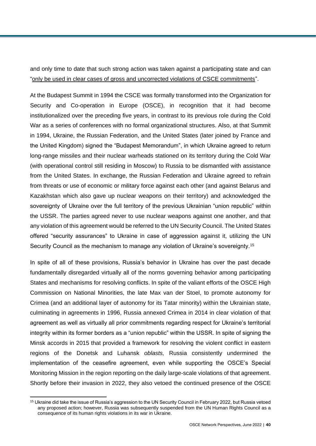and only time to date that such strong action was taken against a participating state and can ["only be used in clear cases of gross and uncorrected violations of CSCE commitments"](https://www.osce.org/pa/58322).

At the Budapest Summit in 1994 the CSCE was formally transformed into the Organization for Security and Co-operation in Europe (OSCE), in recognition that it had become institutionalized over the preceding five years, in contrast to its previous role during the Cold War as a series of conferences with no formal organizational structures. Also, at that Summit in 1994, Ukraine, the Russian Federation, and the United States (later joined by France and the United Kingdom) signed the "Budapest Memorandum", in which Ukraine agreed to return long-range missiles and their nuclear warheads stationed on its territory during the Cold War (with operational control still residing in Moscow) to Russia to be dismantled with assistance from the United States. In exchange, the Russian Federation and Ukraine agreed to refrain from threats or use of economic or military force against each other (and against Belarus and Kazakhstan which also gave up nuclear weapons on their territory) and acknowledged the sovereignty of Ukraine over the full territory of the previous Ukrainian "union republic" within the USSR. The parties agreed never to use nuclear weapons against one another, and that any violation of this agreement would be referred to the UN Security Council. The United States offered "security assurances" to Ukraine in case of aggression against it, utilizing the UN Security Council as the mechanism to manage any violation of Ukraine's sovereignty.<sup>15</sup>

In spite of all of these provisions, Russia's behavior in Ukraine has over the past decade fundamentally disregarded virtually all of the norms governing behavior among participating States and mechanisms for resolving conflicts. In spite of the valiant efforts of the OSCE High Commission on National Minorities, the late Max van der Stoel, to promote autonomy for Crimea (and an additional layer of autonomy for its Tatar minority) within the Ukrainian state, culminating in agreements in 1996, Russia annexed Crimea in 2014 in clear violation of that agreement as well as virtually all prior commitments regarding respect for Ukraine's territorial integrity within its former borders as a "union republic" within the USSR. In spite of signing the Minsk accords in 2015 that provided a framework for resolving the violent conflict in eastern regions of the Donetsk and Luhansk *oblasts,* Russia consistently undermined the implementation of the ceasefire agreement, even while supporting the OSCE's Special Monitoring Mission in the region reporting on the daily large-scale violations of that agreement. Shortly before their invasion in 2022, they also vetoed the continued presence of the OSCE

 $\overline{a}$ <sup>15</sup> Ukraine did take the issue of Russia's aggression to the UN Security Council in February 2022, but Russia vetoed any proposed action; however, Russia was subsequently suspended from the UN Human Rights Council as a consequence of its human rights violations in its war in Ukraine.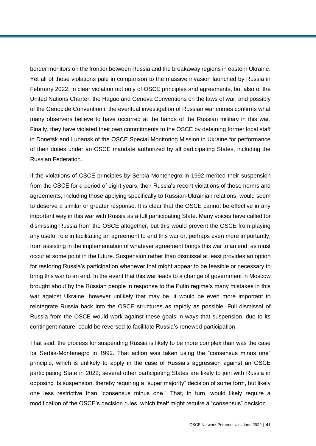border monitors on the frontier between Russia and the breakaway regions in eastern Ukraine. Yet all of these violations pale in comparison to the massive invasion launched by Russia in February 2022, in clear violation not only of OSCE principles and agreements, but also of the United Nations Charter, the Hague and Geneva Conventions on the laws of war, and possibly of the Genocide Convention if the eventual investigation of Russian war crimes confirms what many observers believe to have occurred at the hands of the Russian military in this war. Finally, they have violated their own commitments to the OSCE by detaining former local staff in Donetsk and Luhansk of the OSCE Special Monitoring Mission in Ukraine for performance of their duties under an OSCE mandate authorized by all participating States, including the Russian Federation.

If the violations of CSCE principles by Serbia-Montenegro in 1992 merited their suspension from the CSCE for a period of eight years, then Russia's recent violations of those norms and agreements, including those applying specifically to Russian-Ukrainian relations, would seem to deserve a similar or greater response. It is clear that the OSCE cannot be effective in any important way in this war with Russia as a full participating State. Many voices have called for dismissing Russia from the OSCE altogether, but this would prevent the OSCE from playing any useful role in facilitating an agreement to end this war or, perhaps even more importantly, from assisting in the implementation of whatever agreement brings this war to an end, as must occur at some point in the future. Suspension rather than dismissal at least provides an option for restoring Russia's participation whenever that might appear to be feasible or necessary to bring this war to an end. In the event that this war leads to a change of government in Moscow brought about by the Russian people in response to the Putin regime's many mistakes in this war against Ukraine, however unlikely that may be, it would be even more important to reintegrate Russia back into the OSCE structures as rapidly as possible. Full dismissal of Russia from the OSCE would work against these goals in ways that suspension, due to its contingent nature, could be reversed to facilitate Russia's renewed participation.

That said, the process for suspending Russia is likely to be more complex than was the case for Serbia-Montenegro in 1992. That action was taken using the "consensus minus one" principle, which is unlikely to apply in the case of Russia's aggression against an OSCE participating State in 2022; several other participating States are likely to join with Russia in opposing its suspension, thereby requiring a "super majority" decision of some form, but likely one less restrictive than "consensus minus one." That, in turn, would likely require a modification of the OSCE's decision rules, which itself might require a "consensus" decision.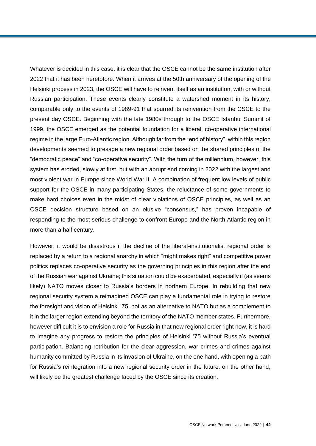Whatever is decided in this case, it is clear that the OSCE cannot be the same institution after 2022 that it has been heretofore. When it arrives at the 50th anniversary of the opening of the Helsinki process in 2023, the OSCE will have to reinvent itself as an institution, with or without Russian participation. These events clearly constitute a watershed moment in its history, comparable only to the events of 1989-91 that spurred its reinvention from the CSCE to the present day OSCE. Beginning with the late 1980s through to the OSCE Istanbul Summit of 1999, the OSCE emerged as the potential foundation for a liberal, co-operative international regime in the large Euro-Atlantic region. Although far from the "end of history", within this region developments seemed to presage a new regional order based on the shared principles of the "democratic peace" and "co-operative security". With the turn of the millennium, however, this system has eroded, slowly at first, but with an abrupt end coming in 2022 with the largest and most violent war in Europe since World War II. A combination of frequent low levels of public support for the OSCE in many participating States, the reluctance of some governments to make hard choices even in the midst of clear violations of OSCE principles, as well as an OSCE decision structure based on an elusive "consensus," has proven incapable of responding to the most serious challenge to confront Europe and the North Atlantic region in more than a half century.

However, it would be disastrous if the decline of the liberal-institutionalist regional order is replaced by a return to a regional anarchy in which "might makes right" and competitive power politics replaces co-operative security as the governing principles in this region after the end of the Russian war against Ukraine; this situation could be exacerbated, especially if (as seems likely) NATO moves closer to Russia's borders in northern Europe. In rebuilding that new regional security system a reimagined OSCE can play a fundamental role in trying to restore the foresight and vision of Helsinki '75, not as an alternative to NATO but as a complement to it in the larger region extending beyond the territory of the NATO member states. Furthermore, however difficult it is to envision a role for Russia in that new regional order right now, it is hard to imagine any progress to restore the principles of Helsinki '75 without Russia's eventual participation. Balancing retribution for the clear aggression, war crimes and crimes against humanity committed by Russia in its invasion of Ukraine, on the one hand, with opening a path for Russia's reintegration into a new regional security order in the future, on the other hand, will likely be the greatest challenge faced by the OSCE since its creation.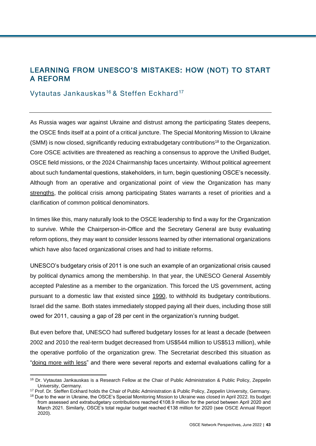# LEARNING FROM UNESCO'S MISTAKES: HOW (NOT) TO START A REFORM

## Vytautas Jankauskas<sup>16</sup> & Steffen Eckhard<sup>17</sup>

As Russia wages war against Ukraine and distrust among the participating States deepens, the OSCE finds itself at a point of a critical juncture. The Special Monitoring Mission to Ukraine (SMM) is now closed, significantly reducing extrabudgetary contributions<sup>18</sup> to the Organization. Core OSCE activities are threatened as reaching a consensus to approve the Unified Budget, OSCE field missions, or the 2024 Chairmanship faces uncertainty. Without political agreement about such fundamental questions, stakeholders, in turn, begin questioning OSCE's necessity. Although from an operative and organizational point of view the Organization has many [strengths,](https://www.tandfonline.com/doi/abs/10.1080/21647259.2019.1646692) the political crisis among participating States warrants a reset of priorities and a clarification of common political denominators.

In times like this, many naturally look to the OSCE leadership to find a way for the Organization to survive. While the Chairperson-in-Office and the Secretary General are busy evaluating reform options, they may want to consider lessons learned by other international organizations which have also faced organizational crises and had to initiate reforms.

UNESCO's budgetary crisis of 2011 is one such an example of an organizational crisis caused by political dynamics among the membership. In that year, the UNESCO General Assembly accepted Palestine as a member to the organization. This forced the US government, acting pursuant to a domestic law that existed since [1990,](https://www.govinfo.gov/content/pkg/STATUTE-104/pdf/STATUTE-104-Pg15.pdf) to withhold its budgetary contributions. Israel did the same. Both states immediately stopped paying all their dues, including those still owed for 2011, causing a gap of 28 per cent in the organization's running budget.

But even before that, UNESCO had suffered budgetary losses for at least a decade (between 2002 and 2010 the real-term budget decreased from US\$544 million to US\$513 million), while the operative portfolio of the organization grew. The Secretariat described this situation as ["doing more with less"](http://unescoeducation.blogspot.com/2013/06/facts-and-figures-on-unescos-reform.html) and there were several reports and external evaluations calling for a

l

2020).

<sup>&</sup>lt;sup>16</sup> Dr. Vytautas Jankauskas is a Research Fellow at the [Chair of Public Administration & Public Policy,](https://www.zeppelin-university.com/chairs/public-administration/) Zeppelin University, Germany.

<sup>&</sup>lt;sup>17</sup> Prof. Dr. Steffen Eckhard holds the [Chair of Public Administration & Public Policy,](https://www.zeppelin-university.com/chairs/public-administration/) Zeppelin University, Germany. <sup>18</sup> Due to the war in Ukraine, the OSCE's Special Monitoring Mission to Ukraine was closed in April 2022. Its budget from assessed and extrabudgetary contributions reached €108.9 million for the period between April 2020 and March 2021. Similarly, OSCE's total regular budget reached €138 million for 2020 (see OSCE Annual Report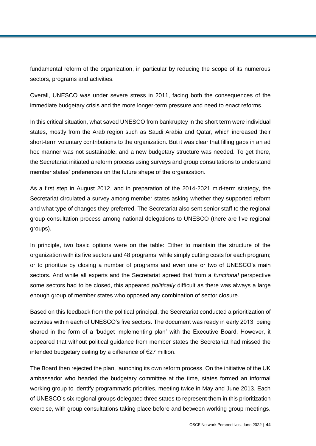fundamental reform of the organization, in particular by reducing the scope of its numerous sectors, programs and activities.

Overall, UNESCO was under severe stress in 2011, facing both the consequences of the immediate budgetary crisis and the more longer-term pressure and need to enact reforms.

In this critical situation, what saved UNESCO from bankruptcy in the short term were individual states, mostly from the Arab region such as Saudi Arabia and Qatar, which increased their short-term voluntary contributions to the organization. But it was clear that filling gaps in an ad hoc manner was not sustainable, and a new budgetary structure was needed. To get there, the Secretariat initiated a reform process using surveys and group consultations to understand member states' preferences on the future shape of the organization.

As a first step in August 2012, and in preparation of the 2014-2021 mid-term strategy, the Secretariat circulated a survey among member states asking whether they supported reform and what type of changes they preferred. The Secretariat also sent senior staff to the regional group consultation process among national delegations to UNESCO (there are five regional groups).

In principle, two basic options were on the table: Either to maintain the structure of the organization with its five sectors and 48 programs, while simply cutting costs for each program; or to prioritize by closing a number of programs and even one or two of UNESCO's main sectors. And while all experts and the Secretariat agreed that from a *functional* perspective some sectors had to be closed, this appeared *politically* difficult as there was always a large enough group of member states who opposed any combination of sector closure.

Based on this feedback from the political principal, the Secretariat conducted a prioritization of activities within each of UNESCO's five sectors. The document was ready in early 2013, being shared in the form of a 'budget implementing plan' with the Executive Board. However, it appeared that without political guidance from member states the Secretariat had missed the intended budgetary ceiling by a difference of €27 million.

The Board then rejected the plan, launching its own reform process. On the initiative of the UK ambassador who headed the budgetary committee at the time, states formed an informal working group to identify programmatic priorities, meeting twice in May and June 2013. Each of UNESCO's six regional groups delegated three states to represent them in this prioritization exercise, with group consultations taking place before and between working group meetings.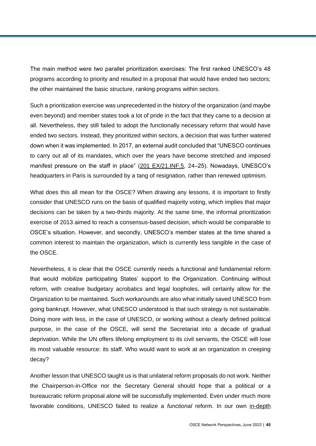The main method were two parallel prioritization exercises: The first ranked UNESCO's 48 programs according to priority and resulted in a proposal that would have ended two sectors; the other maintained the basic structure, ranking programs within sectors.

Such a prioritization exercise was unprecedented in the history of the organization (and maybe even beyond) and member states took a lot of pride in the fact that they came to a decision at all. Nevertheless, they still failed to adopt the functionally necessary reform that would have ended two sectors. Instead, they prioritized within sectors, a decision that was further watered down when it was implemented. In 2017, an external audit concluded that "UNESCO continues to carry out all of its mandates, which over the years have become stretched and imposed manifest pressure on the staff in place" [\(201 EX/21.INF.5,](https://unesdoc.unesco.org/ark:/48223/pf0000247911?posInSet=2&queryId=f1b8728f-0568-453d-b733-d484b6a35d3d) 24–25). Nowadays, UNESCO's headquarters in Paris is surrounded by a tang of resignation, rather than renewed optimism.

What does this all mean for the OSCE? When drawing any lessons, it is important to firstly consider that UNESCO runs on the basis of qualified majority voting, which implies that major decisions can be taken by a two-thirds majority. At the same time, the informal prioritization exercise of 2013 aimed to reach a consensus-based decision, which would be comparable to OSCE's situation. However, and secondly, UNESCO's member states at the time shared a common interest to maintain the organization, which is currently less tangible in the case of the OSCE.

Nevertheless, it is clear that the OSCE currently needs a functional and fundamental reform that would mobilize participating States' support to the Organization. Continuing without reform, with creative budgetary acrobatics and legal loopholes, will certainly allow for the Organization to be maintained. Such workarounds are also what initially saved UNESCO from going bankrupt. However, what UNESCO understood is that such strategy is not sustainable. Doing more with less, in the case of UNESCO, or working without a clearly defined political purpose, in the case of the OSCE, will send the Secretariat into a decade of gradual deprivation. While the UN offers lifelong employment to its civil servants, the OSCE will lose its most valuable resource: its staff. Who would want to work at an organization in creeping decay?

Another lesson that UNESCO taught us is that unilateral reform proposals do not work. Neither the Chairperson-in-Office nor the Secretary General should hope that a political or a bureaucratic reform proposal alone will be successfully implemented. Even under much more favorable conditions, UNESCO failed to realize a *functional* reform. In our own [in-depth](https://www.tandfonline.com/doi/abs/10.1080/13501763.2018.1539116)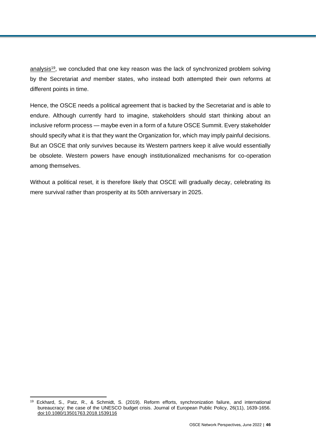[analysis](https://www.tandfonline.com/doi/abs/10.1080/13501763.2018.1539116)<sup>19</sup>, we concluded that one key reason was the lack of synchronized problem solving by the Secretariat *and* member states, who instead both attempted their own reforms at different points in time.

Hence, the OSCE needs a political agreement that is backed by the Secretariat and is able to endure. Although currently hard to imagine, stakeholders should start thinking about an inclusive reform process — maybe even in a form of a future OSCE Summit. Every stakeholder should specify what it is that they want the Organization for, which may imply painful decisions. But an OSCE that only survives because its Western partners keep it alive would essentially be obsolete. Western powers have enough institutionalized mechanisms for co-operation among themselves.

Without a political reset, it is therefore likely that OSCE will gradually decay, celebrating its mere survival rather than prosperity at its 50th anniversary in 2025.

 $\overline{a}$ <sup>19</sup> Eckhard, S., Patz, R., & Schmidt, S. (2019). Reform efforts, synchronization failure, and international bureaucracy: the case of the UNESCO budget crisis. Journal of European Public Policy, 26(11), 1639-1656. [doi:10.1080/13501763.2018.1539116](https://www.tandfonline.com/doi/abs/10.1080/13501763.2018.1539116)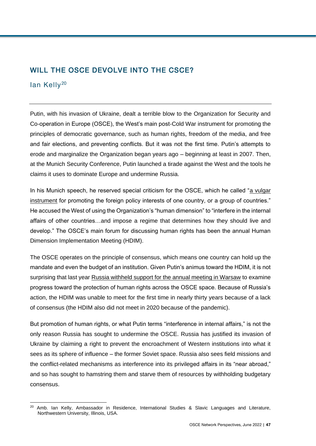# WILL THE OSCE DEVOLVE INTO THE CSCE?

### lan Kelly<sup>20</sup>

Putin, with his invasion of Ukraine, dealt a terrible blow to the Organization for Security and Co-operation in Europe (OSCE), the West's main post-Cold War instrument for promoting the principles of democratic governance, such as human rights, freedom of the media, and free and fair elections, and preventing conflicts. But it was not the first time. Putin's attempts to erode and marginalize the Organization began years ago – beginning at least in 2007. Then, at the Munich Security Conference, Putin launched a tirade against the West and the tools he claims it uses to dominate Europe and undermine Russia.

In his Munich speech, he reserved special criticism for the OSCE, which he called ["a vulgar](http://en.kremlin.ru/events/president/transcripts/24034)  [instrument](http://en.kremlin.ru/events/president/transcripts/24034) for promoting the foreign policy interests of one country, or a group of countries." He accused the West of using the Organization's "human dimension" to "interfere in the internal affairs of other countries…and impose a regime that determines how they should live and develop." The OSCE's main forum for discussing human rights has been the annual Human Dimension Implementation Meeting (HDIM).

The OSCE operates on the principle of consensus, which means one country can hold up the mandate and even the budget of an institution. Given Putin's animus toward the HDIM, it is not surprising that last year [Russia withheld support for the annual meeting in Warsaw](https://www.shrmonitor.org/russia-blocks-holding-of-osce-human-rights-conference-diplomats-say/) to examine progress toward the protection of human rights across the OSCE space. Because of Russia's action, the HDIM was unable to meet for the first time in nearly thirty years because of a lack of consensus (the HDIM also did not meet in 2020 because of the pandemic).

But promotion of human rights, or what Putin terms "interference in internal affairs," is not the only reason Russia has sought to undermine the OSCE. Russia has justified its invasion of Ukraine by claiming a right to prevent the encroachment of Western institutions into what it sees as its sphere of influence – the former Soviet space. Russia also sees field missions and the conflict-related mechanisms as interference into its privileged affairs in its "near abroad," and so has sought to hamstring them and starve them of resources by withholding budgetary consensus.

l <sup>20</sup> Amb. Ian Kelly, Ambassador in Residence, International Studies & Slavic Languages and Literature, Northwestern University, Illinois, USA.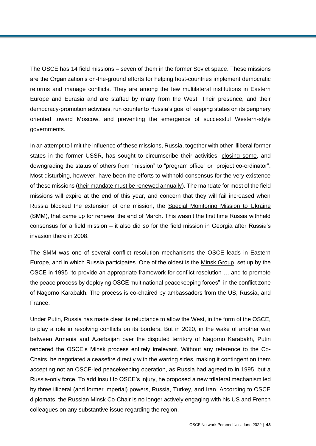The OSCE has [14 field missions](https://www.osce.org/where-we-are) – seven of them in the former Soviet space. These missions are the Organization's on-the-ground efforts for helping host-countries implement democratic reforms and manage conflicts. They are among the few multilateral institutions in Eastern Europe and Eurasia and are staffed by many from the West. Their presence, and their democracy-promotion activities, run counter to Russia's goal of keeping states on its periphery oriented toward Moscow, and preventing the emergence of successful Western-style governments.

In an attempt to limit the influence of these missions, Russia, together with other illiberal former states in the former USSR, has sought to circumscribe their activities, [closing some,](https://www.osce.org/closed-field-operations) and downgrading the status of others from "mission" to "program office" or "project co-ordinator". Most disturbing, however, have been the efforts to withhold consensus for the very existence of these missions [\(their mandate must be renewed annually\)](https://www.crisisgroup.org/europe-central-asia/eastern-europe/ukraine/preserving-osce-time-war). The mandate for most of the field missions will expire at the end of this year, and concern that they will fail increased when Russia blocked the extension of one mission, the [Special Monitoring Mission to Ukraine](https://www.osce.org/chairmanship/516933) (SMM), that came up for renewal the end of March. This wasn't the first time Russia withheld consensus for a field mission – it also did so for the field mission in Georgia after Russia's invasion there in 2008.

The SMM was one of several conflict resolution mechanisms the OSCE leads in Eastern Europe, and in which Russia participates. One of the oldest is the [Minsk Group,](https://www.osce.org/minsk-group/108308) set up by the OSCE in 1995 "to provide an appropriate framework for conflict resolution … and to promote the peace process by deploying OSCE multinational peacekeeping forces" in the conflict zone of Nagorno Karabakh. The process is co-chaired by ambassadors from the US, Russia, and France.

Under Putin, Russia has made clear its reluctance to allow the West, in the form of the OSCE, to play a role in resolving conflicts on its borders. But in 2020, in the wake of another war between Armenia and Azerbaijan over the disputed territory of Nagorno Karabakh, [Putin](https://www.theatlantic.com/ideas/archive/2021/11/russia-west-caucasus/620581/)  [rendered the OSCE's Minsk process entirely irrelevant.](https://www.theatlantic.com/ideas/archive/2021/11/russia-west-caucasus/620581/) Without any reference to the Co-Chairs, he negotiated a ceasefire directly with the warring sides, making it contingent on them accepting not an OSCE-led peacekeeping operation, as Russia had agreed to in 1995, but a Russia-only force. To add insult to OSCE's injury, he proposed a new trilateral mechanism led by three illiberal (and former imperial) powers, Russia, Turkey, and Iran. According to OSCE diplomats, the Russian Minsk Co-Chair is no longer actively engaging with his US and French colleagues on any substantive issue regarding the region.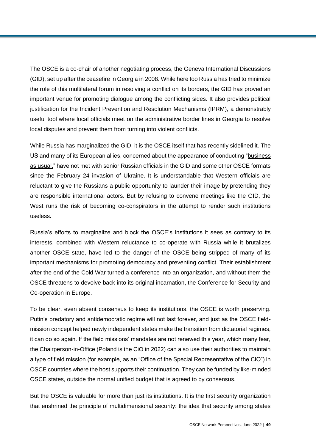The OSCE is a co-chair of another negotiating process, the [Geneva International Discussions](https://www.osce.org/chairmanship/193976) (GID), set up after the ceasefire in Georgia in 2008. While here too Russia has tried to minimize the role of this multilateral forum in resolving a conflict on its borders, the GID has proved an important venue for promoting dialogue among the conflicting sides. It also provides political justification for the Incident Prevention and Resolution Mechanisms (IPRM), a demonstrably useful tool where local officials meet on the administrative border lines in Georgia to resolve local disputes and prevent them from turning into violent conflicts.

While Russia has marginalized the GID, it is the OSCE itself that has recently sidelined it. The US and many of its European allies, concerned about the appearance of conducting ["business](https://www.crisisgroup.org/europe-central-asia/eastern-europe/ukraine/preserving-osce-time-war)  [as usual,"](https://www.crisisgroup.org/europe-central-asia/eastern-europe/ukraine/preserving-osce-time-war) have not met with senior Russian officials in the GID and some other OSCE formats since the February 24 invasion of Ukraine. It is understandable that Western officials are reluctant to give the Russians a public opportunity to launder their image by pretending they are responsible international actors. But by refusing to convene meetings like the GID, the West runs the risk of becoming co-conspirators in the attempt to render such institutions useless.

Russia's efforts to marginalize and block the OSCE's institutions it sees as contrary to its interests, combined with Western reluctance to co-operate with Russia while it brutalizes another OSCE state, have led to the danger of the OSCE being stripped of many of its important mechanisms for promoting democracy and preventing conflict. Their establishment after the end of the Cold War turned a conference into an organization, and without them the OSCE threatens to devolve back into its original incarnation, the Conference for Security and Co-operation in Europe.

To be clear, even absent consensus to keep its institutions, the OSCE is worth preserving. Putin's predatory and antidemocratic regime will not last forever, and just as the OSCE fieldmission concept helped newly independent states make the transition from dictatorial regimes, it can do so again. If the field missions' mandates are not renewed this year, which many fear, the Chairperson-in-Office (Poland is the CiO in 2022) can also use their authorities to maintain a type of field mission (for example, as an "Office of the Special Representative of the CiO") in OSCE countries where the host supports their continuation. They can be funded by like-minded OSCE states, outside the normal unified budget that is agreed to by consensus.

But the OSCE is valuable for more than just its institutions. It is the first security organization that enshrined the principle of multidimensional security: the idea that security among states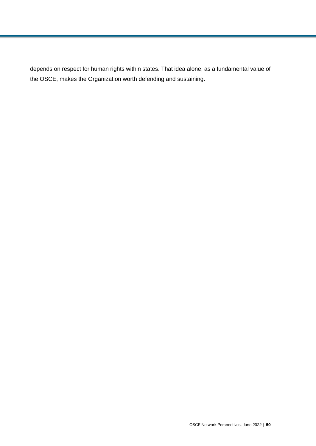depends on respect for human rights within states. That idea alone, as a fundamental value of the OSCE, makes the Organization worth defending and sustaining.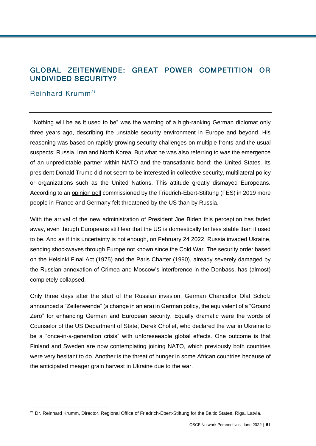# GLOBAL ZEITENWENDE: GREAT POWER COMPETITION OR UNDIVIDED SECURITY?

## Reinhard Krumm<sup>21</sup>

"Nothing will be as it used to be" was the warning of a high-ranking German diplomat only three years ago, describing the unstable security environment in Europe and beyond. His reasoning was based on rapidly growing security challenges on multiple fronts and the usual suspects: Russia, Iran and North Korea. But what he was also referring to was the emergence of an unpredictable partner within NATO and the transatlantic bond: the United States. Its president Donald Trump did not seem to be interested in collective security, multilateral policy or organizations such as the United Nations. This attitude greatly dismayed Europeans. According to an [opinion poll](http://library.fes.de/pdf-files/bueros/wien/15176-20190412.pdf) commissioned by the Friedrich-Ebert-Stiftung (FES) in 2019 more people in France and Germany felt threatened by the US than by Russia.

With the arrival of the new administration of President Joe Biden this perception has faded away, even though Europeans still fear that the US is domestically far less stable than it used to be. And as if this uncertainty is not enough, on February 24 2022, Russia invaded Ukraine, sending shockwaves through Europe not known since the Cold War. The security order based on the Helsinki Final Act (1975) and the Paris Charter (1990), already severely damaged by the Russian annexation of Crimea and Moscow's interference in the Donbass, has (almost) completely collapsed.

Only three days after the start of the Russian invasion, German Chancellor Olaf Scholz announced a "Zeitenwende" (a change in an era) in German policy, the equivalent of a "Ground Zero" for enhancing German and European security. Equally dramatic were the words of Counselor of the US Department of State, Derek Chollet, who [declared the war](https://warontherocks.com/2022/04/a-conversation-with-the-counselor-derek-chollet-on-navigating-the-world/) in Ukraine to be a "once-in-a-generation crisis" with unforeseeable global effects. One outcome is that Finland and Sweden are now contemplating joining NATO, which previously both countries were very hesitant to do. Another is the threat of hunger in some African countries because of the anticipated meager grain harvest in Ukraine due to the war.

l <sup>21</sup> Dr. Reinhard Krumm, Director, Regional Office of Friedrich-Ebert-Stiftung for the Baltic States, Riga, Latvia.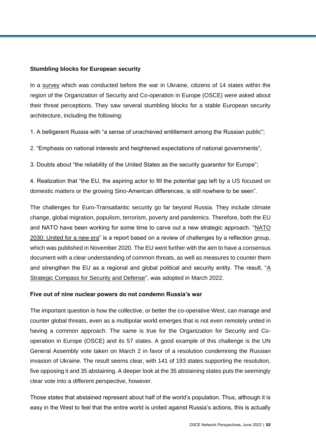### **Stumbling blocks for European security**

In a [survey](http://library.fes.de/pdf-files/bueros/wien/18980-20220310.pdf) which was conducted before the war in Ukraine, citizens of 14 states within the region of the Organization of Security and Co-operation in Europe (OSCE) were asked about their threat perceptions. They saw several stumbling blocks for a stable European security architecture, including the following:

1. A belligerent Russia with "a sense of unachieved entitlement among the Russian public";

2. "Emphasis on national interests and heightened expectations of national governments";

3. Doubts about "the reliability of the United States as the security guarantor for Europe";

4. Realization that "the EU, the aspiring actor to fill the potential gap left by a US focused on domestic matters or the growing Sino-American differences, is still nowhere to be seen".

The challenges for Euro-Transatlantic security go far beyond Russia. They include climate change, global migration, populism, terrorism, poverty and pandemics. Therefore, both the EU and NATO have been working for some time to carve out a new strategic approach. "NATO [2030: United for a new era"](https://www.nato.int/nato_static_fl2014/assets/pdf/2020/12/pdf/201201-Reflection-Group-Final-Report-Uni.pdf) is a report based on a review of challenges by a reflection group, which was published in November 2020. The EU went further with the aim to have a consensus document with a clear understanding of common threats, as well as measures to counter them and strengthen the EU as a regional and global political and security entity. The result, " $\underline{A}$ [Strategic Compass for Security and Defense"](https://www.eeas.europa.eu/sites/default/files/documents/strategic_compass_en3_web.pdf), was adopted in March 2022.

#### **Five out of nine nuclear powers do not condemn Russia's war**

The important question is how the collective, or better the co-operative West, can manage and counter global threats, even as a multipolar world emerges that is not even remotely united in having a common approach. The same is true for the Organization for Security and Cooperation in Europe (OSCE) and its 57 states. A good example of this challenge is the UN General Assembly vote taken on March 2 in favor of a resolution condemning the Russian invasion of Ukraine. The result seems clear, with 141 of 193 states supporting the resolution, five opposing it and 35 abstaining. A deeper look at the 35 abstaining states puts the seemingly clear vote into a different perspective, however.

Those states that abstained represent about half of the world's population. Thus, although it is easy in the West to feel that the entire world is united against Russia's actions, this is actually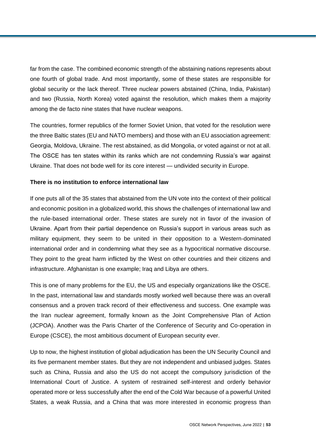far from the case. The combined economic strength of the abstaining nations represents about one fourth of global trade. And most importantly, some of these states are responsible for global security or the lack thereof. Three nuclear powers abstained (China, India, Pakistan) and two (Russia, North Korea) voted against the resolution, which makes them a majority among the de facto nine states that have nuclear weapons.

The countries, former republics of the former Soviet Union, that voted for the resolution were the three Baltic states (EU and NATO members) and those with an EU association agreement: Georgia, Moldova, Ukraine. The rest abstained, as did Mongolia, or voted against or not at all. The OSCE has ten states within its ranks which are not condemning Russia's war against Ukraine. That does not bode well for its core interest — undivided security in Europe.

### **There is no institution to enforce international law**

If one puts all of the 35 states that abstained from the UN vote into the context of their political and economic position in a globalized world, this shows the challenges of international law and the rule-based international order. These states are surely not in favor of the invasion of Ukraine. Apart from their partial dependence on Russia's support in various areas such as military equipment, they seem to be united in their opposition to a Western-dominated international order and in condemning what they see as a hypocritical normative discourse. They point to the great harm inflicted by the West on other countries and their citizens and infrastructure. Afghanistan is one example; Iraq and Libya are others.

This is one of many problems for the EU, the US and especially organizations like the OSCE. In the past, international law and standards mostly worked well because there was an overall consensus and a proven track record of their effectiveness and success. One example was the Iran nuclear agreement, formally known as the Joint Comprehensive Plan of Action (JCPOA). Another was the Paris Charter of the Conference of Security and Co-operation in Europe (CSCE), the most ambitious document of European security ever.

Up to now, the highest institution of global adjudication has been the UN Security Council and its five permanent member states. But they are not independent and unbiased judges. States such as China, Russia and also the US do not accept the compulsory jurisdiction of the International Court of Justice. A system of restrained self-interest and orderly behavior operated more or less successfully after the end of the Cold War because of a powerful United States, a weak Russia, and a China that was more interested in economic progress than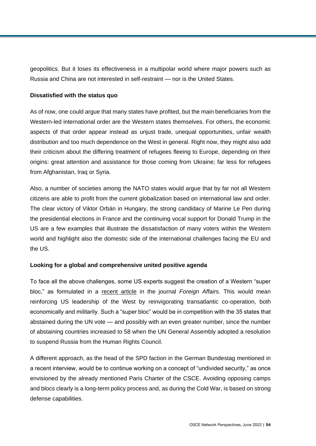geopolitics. But it loses its effectiveness in a multipolar world where major powers such as Russia and China are not interested in self-restraint — nor is the United States.

### **Dissatisfied with the status quo**

As of now, one could argue that many states have profited, but the main beneficiaries from the Western-led international order are the Western states themselves. For others, the economic aspects of that order appear instead as unjust trade, unequal opportunities, unfair wealth distribution and too much dependence on the West in general. Right now, they might also add their criticism about the differing treatment of refugees fleeing to Europe, depending on their origins: great attention and assistance for those coming from Ukraine; far less for refugees from Afghanistan, Iraq or Syria.

Also, a number of societies among the NATO states would argue that by far not all Western citizens are able to profit from the current globalization based on international law and order. The clear victory of Viktor Orbán in Hungary, the strong candidacy of Marine Le Pen during the presidential elections in France and the continuing vocal support for Donald Trump in the US are a few examples that illustrate the dissatisfaction of many voters within the Western world and highlight also the domestic side of the international challenges facing the EU and the US.

### **Looking for a global and comprehensive united positive agenda**

To face all the above challenges, some US experts suggest the creation of a Western "super bloc," as formulated in a [recent article](https://www.foreignaffairs.com/articles/world/2022-04-20/made-alliance) in the journal *Foreign Affairs*. This would mean reinforcing US leadership of the West by reinvigorating transatlantic co-operation, both economically and militarily. Such a "super bloc" would be in competition with the 35 states that abstained during the UN vote — and possibly with an even greater number, since the number of abstaining countries increased to 58 when the UN General Assembly adopted a resolution to suspend Russia from the Human Rights Council.

A different approach, as the head of the SPD faction in the German Bundestag mentioned in a recent interview, would be to continue working on a concept of "undivided security," as once envisioned by the already mentioned Paris Charter of the CSCE. Avoiding opposing camps and blocs clearly is a long-term policy process and, as during the Cold War, is based on strong defense capabilities.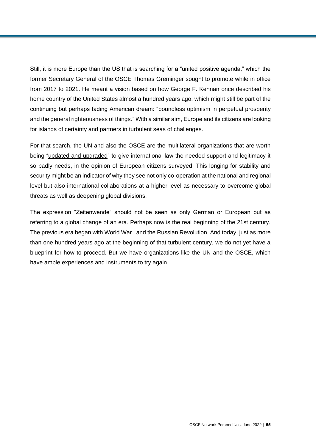Still, it is more Europe than the US that is searching for a "united positive agenda," which the former Secretary General of the OSCE Thomas Greminger sought to promote while in office from 2017 to 2021. He meant a vision based on how George F. Kennan once described his home country of the United States almost a hundred years ago, which might still be part of the continuing but perhaps fading American dream: ["boundless optimism in perpetual prosperity](http://maxima-library.org/mob/b/295971?format=read)  [and the general righteousness of things.](http://maxima-library.org/mob/b/295971?format=read)" With a similar aim, Europe and its citizens are looking for islands of certainty and partners in turbulent seas of challenges.

For that search, the UN and also the OSCE are the multilateral organizations that are worth being ["updated and upgraded"](http://library.fes.de/pdf-files/bueros/wien/18980-20220310.pdf) to give international law the needed support and legitimacy it so badly needs, in the opinion of European citizens surveyed. This longing for stability and security might be an indicator of why they see not only co-operation at the national and regional level but also international collaborations at a higher level as necessary to overcome global threats as well as deepening global divisions.

The expression "Zeitenwende" should not be seen as only German or European but as referring to a global change of an era. Perhaps now is the real beginning of the 21st century. The previous era began with World War I and the Russian Revolution. And today, just as more than one hundred years ago at the beginning of that turbulent century, we do not yet have a blueprint for how to proceed. But we have organizations like the UN and the OSCE, which have ample experiences and instruments to try again.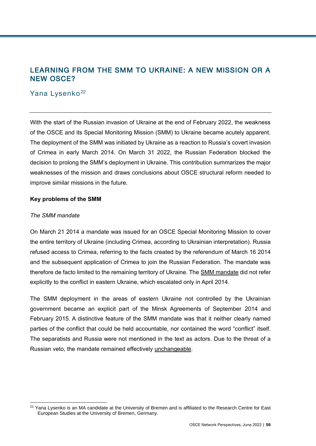# LEARNING FROM THE SMM TO UKRAINE: A NEW MISSION OR A NEW OSCE?

## Yana Lysenko<sup>22</sup>

With the start of the Russian invasion of Ukraine at the end of February 2022, the weakness of the OSCE and its Special Monitoring Mission (SMM) to Ukraine became acutely apparent. The deployment of the SMM was initiated by Ukraine as a reaction to Russia's covert invasion of Crimea in early March 2014. On March 31 2022, the Russian Federation blocked the decision to prolong the SMM's deployment in Ukraine. This contribution summarizes the major weaknesses of the mission and draws conclusions about OSCE structural reform needed to improve similar missions in the future.

### **Key problems of the SMM**

### *The SMM mandate*

l

On March 21 2014 a mandate was issued for an OSCE Special Monitoring Mission to cover the entire territory of Ukraine (including Crimea, according to Ukrainian interpretation). Russia refused access to Crimea, referring to the facts created by the referendum of March 16 2014 and the subsequent application of Crimea to join the Russian Federation. The mandate was therefore de facto limited to the remaining territory of Ukraine. The [SMM mandate](https://www.osce.org/files/f/documents/d/6/116747.pdf) did not refer explicitly to the conflict in eastern Ukraine, which escalated only in April 2014.

The SMM deployment in the areas of eastern Ukraine not controlled by the Ukrainian government became an explicit part of the Minsk Agreements of September 2014 and February 2015. A distinctive feature of the SMM mandate was that it neither clearly named parties of the conflict that could be held accountable, nor contained the word "conflict" itself. The separatists and Russia were not mentioned in the text as actors. Due to the threat of a Russian veto, the mandate remained effectively [unchangeable.](http://prismua.org/osce-ukraine-role-russia-smm-peacekeepers/)

<sup>&</sup>lt;sup>22</sup> Yana Lysenko is an MA candidate at the University of Bremen and is affiliated to the Research Centre for East European Studies at the University of Bremen, Germany.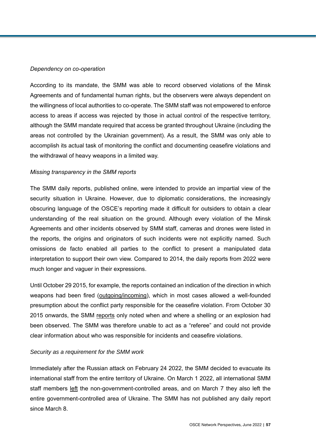#### *Dependency on co-operation*

According to its mandate, the SMM was able to record observed violations of the Minsk Agreements and of fundamental human rights, but the observers were always dependent on the willingness of local authorities to co-operate. The SMM staff was not empowered to enforce access to areas if access was rejected by those in actual control of the respective territory, although the SMM mandate required that access be granted throughout Ukraine (including the areas not controlled by the Ukrainian government). As a result, the SMM was only able to accomplish its actual task of monitoring the conflict and documenting ceasefire violations and the withdrawal of heavy weapons in a limited way.

#### *Missing transparency in the SMM reports*

The SMM daily reports, published online, were intended to provide an impartial view of the security situation in Ukraine. However, due to diplomatic considerations, the increasingly obscuring language of the OSCE's reporting made it difficult for outsiders to obtain a clear understanding of the real situation on the ground. Although every violation of the Minsk Agreements and other incidents observed by SMM staff, cameras and drones were listed in the reports, the origins and originators of such incidents were not explicitly named. Such omissions de facto enabled all parties to the conflict to present a manipulated data interpretation to support their own view. Compared to 2014, the daily reports from 2022 were much longer and vaguer in their expressions.

Until October 29 2015, for example, the reports contained an indication of the direction in which weapons had been fired [\(outgoing/incoming\)](https://www.osce.org/files/f/documents/b/8/196001.pdf), which in most cases allowed a well-founded presumption about the conflict party responsible for the ceasefire violation. From October 30 2015 onwards, the SMM [reports](https://www.osce.org/files/f/documents/5/a/196131.pdf) only noted when and where a shelling or an explosion had been observed. The SMM was therefore unable to act as a "referee" and could not provide clear information about who was responsible for incidents and ceasefire violations.

#### *Security as a requirement for the SMM work*

Immediately after the Russian attack on February 24 2022, the SMM decided to evacuate its international staff from the entire territory of Ukraine. On March 1 2022, all international SMM staff members [left](https://www.osce.org/files/2022-03-07%20Daily%20Report_ENG.pdf?itok=89323) the non-government-controlled areas, and on March 7 they also left the entire government-controlled area of Ukraine. The SMM has not published any daily report since March 8.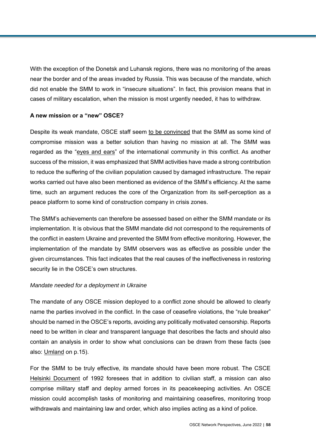With the exception of the Donetsk and Luhansk regions, there was no monitoring of the areas near the border and of the areas invaded by Russia. This was because of the mandate, which did not enable the SMM to work in "insecure situations". In fact, this provision means that in cases of military escalation, when the mission is most urgently needed, it has to withdraw.

### **A new mission or a "new" OSCE?**

Despite its weak mandate, OSCE staff seem [to be convinced](https://www.osce.org/chairmanship/516933) that the SMM as some kind of compromise mission was a better solution than having no mission at all. The SMM was regarded as the ["eyes and ears"](https://www.csce.gov/international-impact/background-osce-special-monitoring-mission-ukraine?sort_by=field_date_value&page=32) of the international community in this conflict. As another success of the mission, it was emphasized that SMM activities have made a strong contribution to reduce the suffering of the civilian population caused by damaged infrastructure. The repair works carried out have also been mentioned as evidence of the SMM's efficiency. At the same time, such an argument reduces the core of the Organization from its self-perception as a peace platform to some kind of construction company in crisis zones.

The SMM's achievements can therefore be assessed based on either the SMM mandate or its implementation. It is obvious that the SMM mandate did not correspond to the requirements of the conflict in eastern Ukraine and prevented the SMM from effective monitoring. However, the implementation of the mandate by SMM observers was as effective as possible under the given circumstances. This fact indicates that the real causes of the ineffectiveness in restoring security lie in the OSCE's own structures.

#### *Mandate needed for a deployment in Ukraine*

The mandate of any OSCE mission deployed to a conflict zone should be allowed to clearly name the parties involved in the conflict. In the case of ceasefire violations, the "rule breaker" should be named in the OSCE's reports, avoiding any politically motivated censorship. Reports need to be written in clear and transparent language that describes the facts and should also contain an analysis in order to show what conclusions can be drawn from these facts (see also: [Umland](https://www.ui.se/globalassets/ui.se-eng/publications/ui-publications/2021/ui-report-no-3-2021.pdf) on p.15).

For the SMM to be truly effective, its mandate should have been more robust. The CSCE [Helsinki Document](https://www.osce.org/files/f/documents/7/c/39530.pdf) of 1992 foresees that in addition to civilian staff, a mission can also comprise military staff and deploy armed forces in its peacekeeping activities. An OSCE mission could accomplish tasks of monitoring and maintaining ceasefires, monitoring troop withdrawals and maintaining law and order, which also implies acting as a kind of police.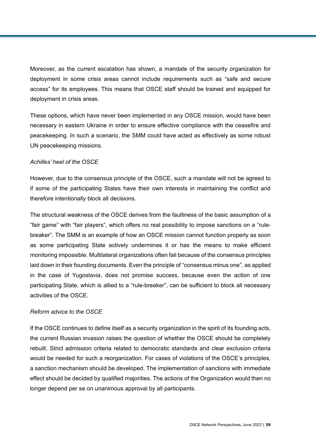Moreover, as the current escalation has shown, a mandate of the security organization for deployment in some crisis areas cannot include requirements such as "safe and secure access" for its employees. This means that OSCE staff should be trained and equipped for deployment in crisis areas.

These options, which have never been implemented in any OSCE mission, would have been necessary in eastern Ukraine in order to ensure effective compliance with the ceasefire and peacekeeping. In such a scenario, the SMM could have acted as effectively as some robust UN peacekeeping missions.

### *Achilles' heel of the OSCE*

However, due to the consensus principle of the OSCE, such a mandate will not be agreed to if some of the participating States have their own interests in maintaining the conflict and therefore intentionally block all decisions.

The structural weakness of the OSCE derives from the faultiness of the basic assumption of a "fair game" with "fair players", which offers no real possibility to impose sanctions on a "rulebreaker". The SMM is an example of how an OSCE mission cannot function properly as soon as some participating State actively undermines it or has the means to make efficient monitoring impossible. Multilateral organizations often fail because of the consensus principles laid down in their founding documents. Even the principle of "consensus minus one", as applied in the case of Yugoslavia, does not promise success, because even the action of one participating State, which is allied to a "rule-breaker", can be sufficient to block all necessary activities of the OSCE.

#### *Reform advice to the OSCE*

If the OSCE continues to define itself as a security organization in the spirit of its founding acts, the current Russian invasion raises the question of whether the OSCE should be completely rebuilt. Strict admission criteria related to democratic standards and clear exclusion criteria would be needed for such a reorganization. For cases of violations of the OSCE's principles, a sanction mechanism should be developed. The implementation of sanctions with immediate effect should be decided by qualified majorities. The actions of the Organization would then no longer depend per se on unanimous approval by all participants.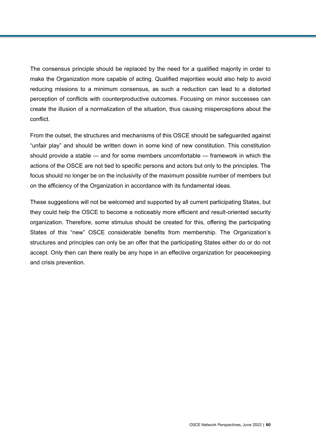The consensus principle should be replaced by the need for a qualified majority in order to make the Organization more capable of acting. Qualified majorities would also help to avoid reducing missions to a minimum consensus, as such a reduction can lead to a distorted perception of conflicts with counterproductive outcomes. Focusing on minor successes can create the illusion of a normalization of the situation, thus causing misperceptions about the conflict.

From the outset, the structures and mechanisms of this OSCE should be safeguarded against "unfair play" and should be written down in some kind of new constitution. This constitution should provide a stable — and for some members uncomfortable — framework in which the actions of the OSCE are not tied to specific persons and actors but only to the principles. The focus should no longer be on the inclusivity of the maximum possible number of members but on the efficiency of the Organization in accordance with its fundamental ideas.

These suggestions will not be welcomed and supported by all current participating States, but they could help the OSCE to become a noticeably more efficient and result-oriented security organization. Therefore, some stimulus should be created for this, offering the participating States of this "new" OSCE considerable benefits from membership. The Organization's structures and principles can only be an offer that the participating States either do or do not accept. Only then can there really be any hope in an effective organization for peacekeeping and crisis prevention.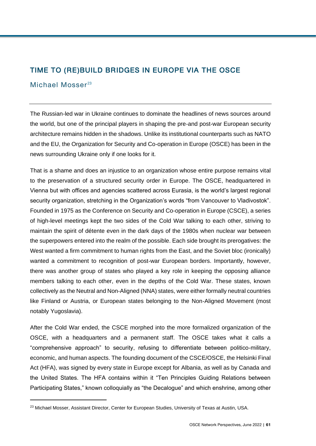## TIME TO (RE)BUILD BRIDGES IN EUROPE VIA THE OSCE

## Michael Mosser<sup>23</sup>

 $\overline{a}$ 

The Russian-led war in Ukraine continues to dominate the headlines of news sources around the world, but one of the principal players in shaping the pre-and post-war European security architecture remains hidden in the shadows. Unlike its institutional counterparts such as NATO and the EU, the Organization for Security and Co-operation in Europe (OSCE) has been in the news surrounding Ukraine only if one looks for it.

That is a shame and does an injustice to an organization whose entire purpose remains vital to the preservation of a structured security order in Europe. The OSCE, headquartered in Vienna but with offices and agencies scattered across Eurasia, is the world's largest regional security organization, stretching in the Organization's words "from Vancouver to Vladivostok". Founded in 1975 as the Conference on Security and Co-operation in Europe (CSCE), a series of high-level meetings kept the two sides of the Cold War talking to each other, striving to maintain the spirit of détente even in the dark days of the 1980s when nuclear war between the superpowers entered into the realm of the possible. Each side brought its prerogatives: the West wanted a firm commitment to human rights from the East, and the Soviet bloc (ironically) wanted a commitment to recognition of post-war European borders. Importantly, however, there was another group of states who played a key role in keeping the opposing alliance members talking to each other, even in the depths of the Cold War. These states, known collectively as the Neutral and Non-Aligned (NNA) states, were either formally neutral countries like Finland or Austria, or European states belonging to the Non-Aligned Movement (most notably Yugoslavia).

After the Cold War ended, the CSCE morphed into the more formalized organization of the OSCE, with a headquarters and a permanent staff. The OSCE takes what it calls a "comprehensive approach" to security, refusing to differentiate between politico-military, economic, and human aspects. The founding document of the CSCE/OSCE, the Helsinki Final Act (HFA), was signed by every state in Europe except for Albania, as well as by Canada and the United States. The HFA contains within it "Ten Principles Guiding Relations between Participating States," known colloquially as "the Decalogue" and which enshrine, among other

<sup>&</sup>lt;sup>23</sup> Michael Mosser, Assistant Director, Center for European Studies, University of Texas at Austin, USA.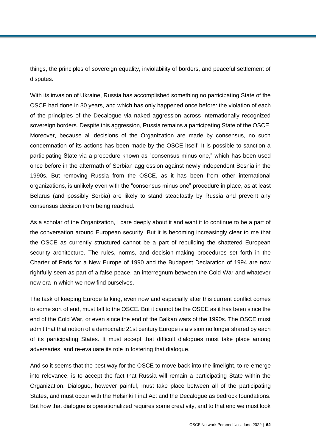things, the principles of sovereign equality, inviolability of borders, and peaceful settlement of disputes.

With its invasion of Ukraine, Russia has accomplished something no participating State of the OSCE had done in 30 years, and which has only happened once before: the violation of each of the principles of the Decalogue via naked aggression across internationally recognized sovereign borders. Despite this aggression, Russia remains a participating State of the OSCE. Moreover, because all decisions of the Organization are made by consensus, no such condemnation of its actions has been made by the OSCE itself. It is possible to sanction a participating State via a procedure known as "consensus minus one," which has been used once before in the aftermath of Serbian aggression against newly independent Bosnia in the 1990s. But removing Russia from the OSCE, as it has been from other international organizations, is unlikely even with the "consensus minus one" procedure in place, as at least Belarus (and possibly Serbia) are likely to stand steadfastly by Russia and prevent any consensus decision from being reached.

As a scholar of the Organization, I care deeply about it and want it to continue to be a part of the conversation around European security. But it is becoming increasingly clear to me that the OSCE as currently structured cannot be a part of rebuilding the shattered European security architecture. The rules, norms, and decision-making procedures set forth in the Charter of Paris for a New Europe of 1990 and the Budapest Declaration of 1994 are now rightfully seen as part of a false peace, an interregnum between the Cold War and whatever new era in which we now find ourselves.

The task of keeping Europe talking, even now and especially after this current conflict comes to some sort of end, must fall to the OSCE. But it cannot be the OSCE as it has been since the end of the Cold War, or even since the end of the Balkan wars of the 1990s. The OSCE must admit that that notion of a democratic 21st century Europe is a vision no longer shared by each of its participating States. It must accept that difficult dialogues must take place among adversaries, and re-evaluate its role in fostering that dialogue.

And so it seems that the best way for the OSCE to move back into the limelight, to re-emerge into relevance, is to accept the fact that Russia will remain a participating State within the Organization. Dialogue, however painful, must take place between all of the participating States, and must occur with the Helsinki Final Act and the Decalogue as bedrock foundations. But how that dialogue is operationalized requires some creativity, and to that end we must look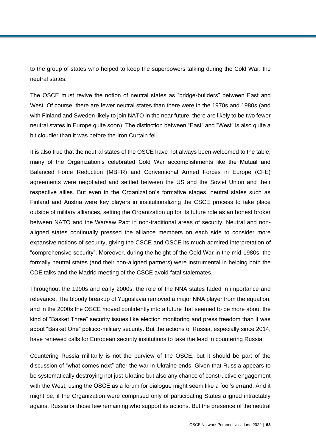to the group of states who helped to keep the superpowers talking during the Cold War: the neutral states.

The OSCE must revive the notion of neutral states as "bridge-builders" between East and West. Of course, there are fewer neutral states than there were in the 1970s and 1980s (and with Finland and Sweden likely to join NATO in the near future, there are likely to be two fewer neutral states in Europe quite soon). The distinction between "East" and "West" is also quite a bit cloudier than it was before the Iron Curtain fell.

It is also true that the neutral states of the OSCE have not always been welcomed to the table; many of the Organization's celebrated Cold War accomplishments like the Mutual and Balanced Force Reduction (MBFR) and Conventional Armed Forces in Europe (CFE) agreements were negotiated and settled between the US and the Soviet Union and their respective allies. But even in the Organization's formative stages, neutral states such as Finland and Austria were key players in institutionalizing the CSCE process to take place outside of military alliances, setting the Organization up for its future role as an honest broker between NATO and the Warsaw Pact in non-traditional areas of security. Neutral and nonaligned states continually pressed the alliance members on each side to consider more expansive notions of security, giving the CSCE and OSCE its much-admired interpretation of "comprehensive security". Moreover, during the height of the Cold War in the mid-1980s, the formally neutral states (and their non-aligned partners) were instrumental in helping both the CDE talks and the Madrid meeting of the CSCE avoid fatal stalemates.

Throughout the 1990s and early 2000s, the role of the NNA states faded in importance and relevance. The bloody breakup of Yugoslavia removed a major NNA player from the equation, and in the 2000s the OSCE moved confidently into a future that seemed to be more about the kind of "Basket Three" security issues like election monitoring and press freedom than it was about "Basket One" politico-military security. But the actions of Russia, especially since 2014, have renewed calls for European security institutions to take the lead in countering Russia.

Countering Russia militarily is not the purview of the OSCE, but it should be part of the discussion of "what comes next" after the war in Ukraine ends. Given that Russia appears to be systematically destroying not just Ukraine but also any chance of constructive engagement with the West, using the OSCE as a forum for dialogue might seem like a fool's errand. And it might be, if the Organization were comprised only of participating States aligned intractably against Russia or those few remaining who support its actions. But the presence of the neutral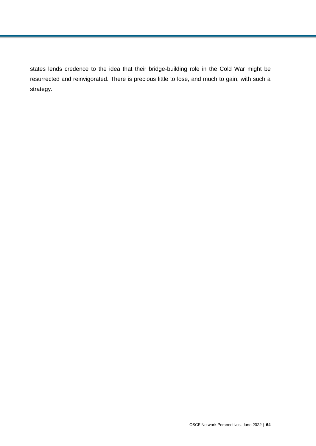states lends credence to the idea that their bridge-building role in the Cold War might be resurrected and reinvigorated. There is precious little to lose, and much to gain, with such a strategy.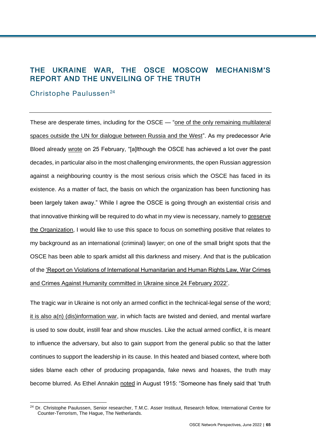## THE UKRAINE WAR, THE OSCE MOSCOW MECHANISM'S REPORT AND THE UNVEILING OF THE TRUTH

### Christophe Paulussen<sup>24</sup>

l

These are desperate times, including for the OSCE — ["one of the only remaining multilateral](https://reliefweb.int/report/world/preserving-osce-time-war)  [spaces outside the UN for dialogue between Russia and the West"](https://reliefweb.int/report/world/preserving-osce-time-war). As my predecessor Arie Bloed already [wrote](https://www.shrmonitor.org/is-this-the-death-of-the-osce-decalogue/) on 25 February, "[a]lthough the OSCE has achieved a lot over the past decades, in particular also in the most challenging environments, the open Russian aggression against a neighbouring country is the most serious crisis which the OSCE has faced in its existence. As a matter of fact, the basis on which the organization has been functioning has been largely taken away." While I agree the OSCE is going through an existential crisis and that innovative thinking will be required to do what in my view is necessary, namely to [preserve](https://reliefweb.int/report/world/preserving-osce-time-war)  [the Organization,](https://reliefweb.int/report/world/preserving-osce-time-war) I would like to use this space to focus on something positive that relates to my background as an international (criminal) lawyer; on one of the small bright spots that the OSCE has been able to spark amidst all this darkness and misery. And that is the publication of the ['Report on Violations of International Humanitarian and Human Rights Law, War Crimes](https://www.osce.org/files/f/documents/f/a/515868.pdf)  [and Crimes Against Humanity committed in Ukraine since 24 February 2022'.](https://www.osce.org/files/f/documents/f/a/515868.pdf)

The tragic war in Ukraine is not only an armed conflict in the technical-legal sense of the word; [it is also a\(n\) \(dis\)information war,](https://blogs.lse.ac.uk/medialse/2022/03/18/russia-ukraine-war-who-is-winning-the-info-war/) in which facts are twisted and denied, and mental warfare is used to sow doubt, instill fear and show muscles. Like the actual armed conflict, it is meant to influence the adversary, but also to gain support from the general public so that the latter continues to support the leadership in its cause. In this heated and biased context, where both sides blame each other of producing propaganda, fake news and hoaxes, the truth may become blurred. As Ethel Annakin [noted](https://quoteinvestigator.com/2020/04/11/casualty/) in August 1915: "Someone has finely said that 'truth

<sup>&</sup>lt;sup>24</sup> Dr. Christophe Paulussen, Senior researcher, T.M.C. Asser Instituut, Research fellow, International Centre for Counter-Terrorism, The Hague, The Netherlands.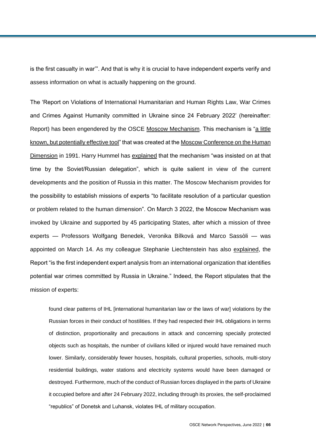is the first casualty in war'". And that is why it is crucial to have independent experts verify and assess information on what is actually happening on the ground.

The 'Report on Violations of International Humanitarian and Human Rights Law, War Crimes and Crimes Against Humanity committed in Ukraine since 24 February 2022' (hereinafter: Report) has been engendered by the OSCE [Moscow Mechanism.](https://www.osce.org/files/f/documents/5/e/20066.pdf) This mechanism is ["a little](https://papers.ssrn.com/sol3/papers.cfm?abstract_id=3972128)  [known, but potentially effective tool"](https://papers.ssrn.com/sol3/papers.cfm?abstract_id=3972128) that was created at the [Moscow Conference on the Human](https://www.osce.org/files/f/documents/2/3/14310.pdf)  [Dimension](https://www.osce.org/files/f/documents/2/3/14310.pdf) in 1991. Harry Hummel has [explained](https://www.shrmonitor.org/how-to-rescue-the-osce-human-dimension/) that the mechanism "was insisted on at that time by the Soviet/Russian delegation", which is quite salient in view of the current developments and the position of Russia in this matter. The Moscow Mechanism provides for the possibility to establish missions of experts "to facilitate resolution of a particular question or problem related to the human dimension". On March 3 2022, the Moscow Mechanism was invoked by Ukraine and supported by 45 participating States, after which a mission of three experts — Professors Wolfgang Benedek, Veronika Bílková and Marco Sassòli — was appointed on March 14. As my colleague Stephanie Liechtenstein has also [explained,](https://www.shrmonitor.org/osce-expert-report-finds-clear-patterns-of-violations-of-international-humanitarian-law-by-russian-forces-in-ukraine/) the Report "is the first independent expert analysis from an international organization that identifies potential war crimes committed by Russia in Ukraine." Indeed, the Report stipulates that the mission of experts:

found clear patterns of IHL [international humanitarian law or the laws of war] violations by the Russian forces in their conduct of hostilities. If they had respected their IHL obligations in terms of distinction, proportionality and precautions in attack and concerning specially protected objects such as hospitals, the number of civilians killed or injured would have remained much lower. Similarly, considerably fewer houses, hospitals, cultural properties, schools, multi-story residential buildings, water stations and electricity systems would have been damaged or destroyed. Furthermore, much of the conduct of Russian forces displayed in the parts of Ukraine it occupied before and after 24 February 2022, including through its proxies, the self-proclaimed "republics" of Donetsk and Luhansk, violates IHL of military occupation.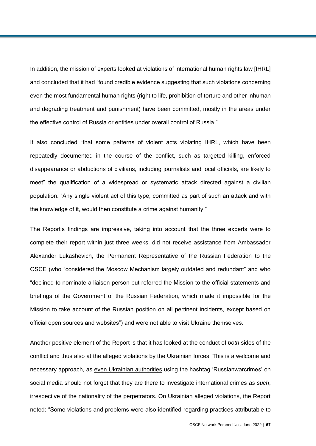In addition, the mission of experts looked at violations of international human rights law [IHRL] and concluded that it had "found credible evidence suggesting that such violations concerning even the most fundamental human rights (right to life, prohibition of torture and other inhuman and degrading treatment and punishment) have been committed, mostly in the areas under the effective control of Russia or entities under overall control of Russia."

It also concluded "that some patterns of violent acts violating IHRL, which have been repeatedly documented in the course of the conflict, such as targeted killing, enforced disappearance or abductions of civilians, including journalists and local officials, are likely to meet" the qualification of a widespread or systematic attack directed against a civilian population. "Any single violent act of this type, committed as part of such an attack and with the knowledge of it, would then constitute a crime against humanity."

The Report's findings are impressive, taking into account that the three experts were to complete their report within just three weeks, did not receive assistance from Ambassador Alexander Lukashevich, the Permanent Representative of the Russian Federation to the OSCE (who "considered the Moscow Mechanism largely outdated and redundant" and who "declined to nominate a liaison person but referred the Mission to the official statements and briefings of the Government of the Russian Federation, which made it impossible for the Mission to take account of the Russian position on all pertinent incidents, except based on official open sources and websites") and were not able to visit Ukraine themselves.

Another positive element of the Report is that it has looked at the conduct of *both* sides of the conflict and thus also at the alleged violations by the Ukrainian forces. This is a welcome and necessary approach, as [even Ukrainian authorities](https://t.co/skuEB7lYkq) using the hashtag 'Russianwarcrimes' on social media should not forget that they are there to investigate international crimes *as such*, irrespective of the nationality of the perpetrators. On Ukrainian alleged violations, the Report noted: "Some violations and problems were also identified regarding practices attributable to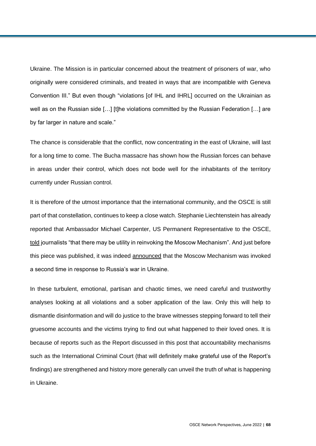Ukraine. The Mission is in particular concerned about the treatment of prisoners of war, who originally were considered criminals, and treated in ways that are incompatible with Geneva Convention III." But even though "violations [of IHL and IHRL] occurred on the Ukrainian as well as on the Russian side [...] [t]he violations committed by the Russian Federation [...] are by far larger in nature and scale."

The chance is considerable that the conflict, now concentrating in the east of Ukraine, will last for a long time to come. The Bucha massacre has shown how the Russian forces can behave in areas under their control, which does not bode well for the inhabitants of the territory currently under Russian control.

It is therefore of the utmost importance that the international community, and the OSCE is still part of that constellation, continues to keep a close watch. Stephanie Liechtenstein has already reported that Ambassador Michael Carpenter, US Permanent Representative to the OSCE, [told](https://www.state.gov/online-press-briefing-with-u-s-ambassador-to-osce-michael-carpenter/) journalists "that there may be utility in reinvoking the Moscow Mechanism". And just before this piece was published, it was indeed [announced](https://www.gov.uk/government/speeches/osce-moscow-mechanism-invoked-again-on-russias-war-in-ukraine-joint-statement) that the Moscow Mechanism was invoked a second time in response to Russia's war in Ukraine.

In these turbulent, emotional, partisan and chaotic times, we need careful and trustworthy analyses looking at all violations and a sober application of the law. Only this will help to dismantle disinformation and will do justice to the brave witnesses stepping forward to tell their gruesome accounts and the victims trying to find out what happened to their loved ones. It is because of reports such as the Report discussed in this post that accountability mechanisms such as the International Criminal Court (that will definitely make grateful use of the Report's findings) are strengthened and history more generally can unveil the truth of what is happening in Ukraine.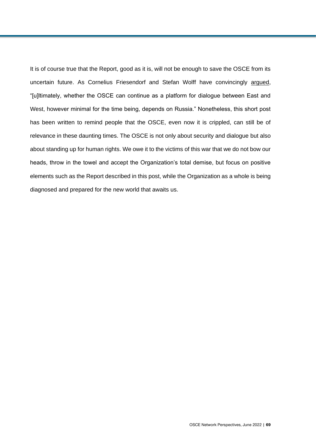It is of course true that the Report, good as it is, will not be enough to save the OSCE from its uncertain future. As Cornelius Friesendorf and Stefan Wolff have convincingly [argued,](https://www.shrmonitor.org/options-for-dealing-with-russia-in-the-osce/) "[u]ltimately, whether the OSCE can continue as a platform for dialogue between East and West, however minimal for the time being, depends on Russia." Nonetheless, this short post has been written to remind people that the OSCE, even now it is crippled, can still be of relevance in these daunting times. The OSCE is not only about security and dialogue but also about standing up for human rights. We owe it to the victims of this war that we do not bow our heads, throw in the towel and accept the Organization's total demise, but focus on positive elements such as the Report described in this post, while the Organization as a whole is being diagnosed and prepared for the new world that awaits us.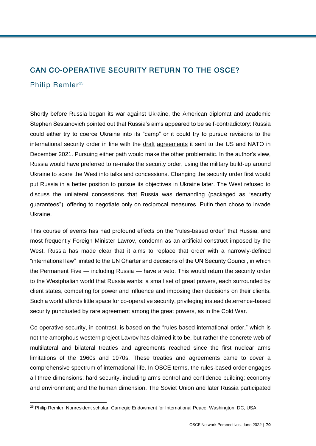# CAN CO-OPERATIVE SECURITY RETURN TO THE OSCE?

## Philip Remler<sup>25</sup>

l

Shortly before Russia began its war against Ukraine, the American diplomat and academic Stephen Sestanovich pointed out that Russia's aims appeared to be self-contradictory: Russia could either try to coerce Ukraine into its "camp" or it could try to pursue revisions to the international security order in line with the [draft](https://mid.ru/ru/foreign_policy/rso/nato/1790818/?lang=en) [agreements](https://mid.ru/ru/foreign_policy/rso/nato/1790803/?lang=en&clear_cache=Y) it sent to the US and NATO in December 2021. Pursuing either path would make the other [problematic.](https://www.youtube.com/watch?v=JyWUuZ1NN_o) In the author's view, Russia would have preferred to re-make the security order, using the military build-up around Ukraine to scare the West into talks and concessions. Changing the security order first would put Russia in a better position to pursue its objectives in Ukraine later. The West refused to discuss the unilateral concessions that Russia was demanding (packaged as "security guarantees"), offering to negotiate only on reciprocal measures. Putin then chose to invade Ukraine.

This course of events has had profound effects on the "rules-based order" that Russia, and most frequently Foreign Minister Lavrov, condemn as an artificial construct imposed by the West. Russia has made clear that it aims to replace that order with a narrowly-defined "international law" limited to the UN Charter and decisions of the UN Security Council, in which the Permanent Five — including Russia — have a veto. This would return the security order to the Westphalian world that Russia wants: a small set of great powers, each surrounded by client states, competing for power and influence and [imposing their decisions](https://www.amazon.com/Russia-New-World-Disorder-Bobo-ebook/dp/B00O127Z2O/ref=sr_1_fkmr1_1?crid=SSA1Y9FWFOT4&keywords=Bobo+Lo%2C+Russia+in+the+New+World+Disorder&qid=1651575892&sprefix=bobo+lo%2C+russia+in+the+new+world+disorder%2Caps%2C81&sr=8-1-fkmr1) on their clients. Such a world affords little space for co-operative security, privileging instead deterrence-based security punctuated by rare agreement among the great powers, as in the Cold War.

Co-operative security, in contrast, is based on the "rules-based international order," which is not the amorphous western project Lavrov has claimed it to be, but rather the concrete web of multilateral and bilateral treaties and agreements reached since the first nuclear arms limitations of the 1960s and 1970s. These treaties and agreements came to cover a comprehensive spectrum of international life. In OSCE terms, the rules-based order engages all three dimensions: hard security, including arms control and confidence building; economy and environment; and the human dimension. The Soviet Union and later Russia participated

<sup>&</sup>lt;sup>25</sup> Philip Remler, Nonresident scholar, Carnegie Endowment for International Peace, Washington, DC, USA.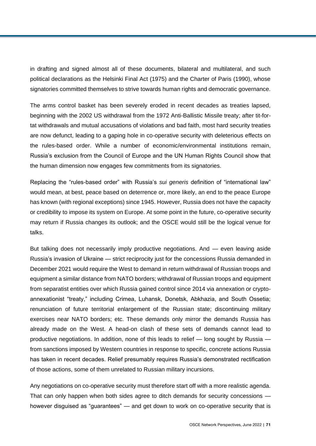in drafting and signed almost all of these documents, bilateral and multilateral, and such political declarations as the Helsinki Final Act (1975) and the Charter of Paris (1990), whose signatories committed themselves to strive towards human rights and democratic governance.

The arms control basket has been severely eroded in recent decades as treaties lapsed, beginning with the 2002 US withdrawal from the 1972 Anti-Ballistic Missile treaty; after tit-fortat withdrawals and mutual accusations of violations and bad faith, most hard security treaties are now defunct, leading to a gaping hole in co-operative security with deleterious effects on the rules-based order. While a number of economic/environmental institutions remain, Russia's exclusion from the Council of Europe and the UN Human Rights Council show that the human dimension now engages few commitments from its signatories.

Replacing the "rules-based order" with Russia's *sui generis* definition of "international law" would mean, at best, peace based on deterrence or, more likely, an end to the peace Europe has known (with regional exceptions) since 1945. However, Russia does not have the capacity or credibility to impose its system on Europe. At some point in the future, co-operative security may return if Russia changes its outlook; and the OSCE would still be the logical venue for talks.

But talking does not necessarily imply productive negotiations. And — even leaving aside Russia's invasion of Ukraine — strict reciprocity just for the concessions Russia demanded in December 2021 would require the West to demand in return withdrawal of Russian troops and equipment a similar distance from NATO borders; withdrawal of Russian troops and equipment from separatist entities over which Russia gained control since 2014 via annexation or cryptoannexationist "treaty," including Crimea, Luhansk, Donetsk, Abkhazia, and South Ossetia; renunciation of future territorial enlargement of the Russian state; discontinuing military exercises near NATO borders; etc. These demands only mirror the demands Russia has already made on the West. A head-on clash of these sets of demands cannot lead to productive negotiations. In addition, none of this leads to relief — long sought by Russia from sanctions imposed by Western countries in response to specific, concrete actions Russia has taken in recent decades. Relief presumably requires Russia's demonstrated rectification of those actions, some of them unrelated to Russian military incursions.

Any negotiations on co-operative security must therefore start off with a more realistic agenda. That can only happen when both sides agree to ditch demands for security concessions however disguised as "guarantees" — and get down to work on co-operative security that is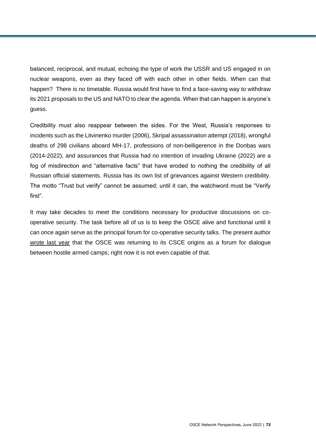balanced, reciprocal, and mutual, echoing the type of work the USSR and US engaged in on nuclear weapons, even as they faced off with each other in other fields. When can that happen? There is no timetable. Russia would first have to find a face-saving way to withdraw its 2021 proposals to the US and NATO to clear the agenda. When that can happen is anyone's guess.

Credibility must also reappear between the sides. For the West, Russia's responses to incidents such as the Litvinenko murder (2006), Skripal assassination attempt (2018), wrongful deaths of 298 civilians aboard MH-17, professions of non-belligerence in the Donbas wars (2014-2022), and assurances that Russia had no intention of invading Ukraine (2022) are a fog of misdirection and "alternative facts" that have eroded to nothing the credibility of all Russian official statements. Russia has its own list of grievances against Western credibility. The motto "Trust but verify" cannot be assumed; until it can, the watchword must be "Verify first".

It may take decades to meet the conditions necessary for productive discussions on cooperative security. The task before all of us is to keep the OSCE alive and functional until it can once again serve as the principal forum for co-operative security talks. The present author [wrote last year](https://www.iai.it/en/pubblicazioni/osce-sisyphus-mediation-peace-operations-human-rights) that the OSCE was returning to its CSCE origins as a forum for dialogue between hostile armed camps; right now it is not even capable of that.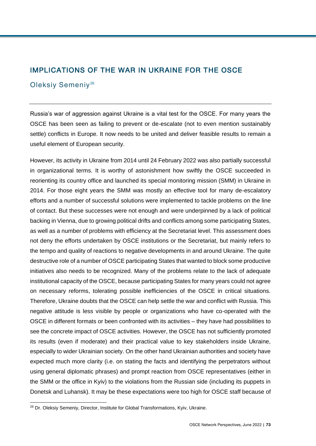# IMPLICATIONS OF THE WAR IN UKRAINE FOR THE OSCE

# Oleksiy Semeniy<sup>26</sup>

Russia's war of aggression against Ukraine is a vital test for the OSCE. For many years the OSCE has been seen as failing to prevent or de-escalate (not to even mention sustainably settle) conflicts in Europe. It now needs to be united and deliver feasible results to remain a useful element of European security.

However, its activity in Ukraine from 2014 until 24 February 2022 was also partially successful in organizational terms. It is worthy of astonishment how swiftly the OSCE succeeded in reorienting its country office and launched its special monitoring mission (SMM) in Ukraine in 2014. For those eight years the SMM was mostly an effective tool for many de-escalatory efforts and a number of successful solutions were implemented to tackle problems on the line of contact. But these successes were not enough and were underpinned by a lack of political backing in Vienna, due to growing political drifts and conflicts among some participating States, as well as a number of problems with efficiency at the Secretariat level. This assessment does not deny the efforts undertaken by OSCE institutions or the Secretariat, but mainly refers to the tempo and quality of reactions to negative developments in and around Ukraine. The quite destructive role of a number of OSCE participating States that wanted to block some productive initiatives also needs to be recognized. Many of the problems relate to the lack of adequate institutional capacity of the OSCE, because participating States for many years could not agree on necessary reforms, tolerating possible inefficiencies of the OSCE in critical situations. Therefore, Ukraine doubts that the OSCE can help settle the war and conflict with Russia. This negative attitude is less visible by people or organizations who have co-operated with the OSCE in different formats or been confronted with its activities – they have had possibilities to see the concrete impact of OSCE activities. However, the OSCE has not sufficiently promoted its results (even if moderate) and their practical value to key stakeholders inside Ukraine, especially to wider Ukrainian society. On the other hand Ukrainian authorities and society have expected much more clarity (i.e. on stating the facts and identifying the perpetrators without using general diplomatic phrases) and prompt reaction from OSCE representatives (either in the SMM or the office in Kyiv) to the violations from the Russian side (including its puppets in Donetsk and Luhansk). It may be these expectations were too high for OSCE staff because of

l

<sup>26</sup> Dr. Oleksiy Semeniy, Director, Institute for Global Transformations, Kyiv, Ukraine.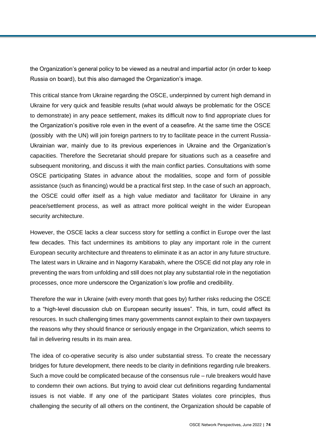the Organization's general policy to be viewed as a neutral and impartial actor (in order to keep Russia on board), but this also damaged the Organization's image.

This critical stance from Ukraine regarding the OSCE, underpinned by current high demand in Ukraine for very quick and feasible results (what would always be problematic for the OSCE to demonstrate) in any peace settlement, makes its difficult now to find appropriate clues for the Organization's positive role even in the event of a ceasefire. At the same time the OSCE (possibly with the UN) will join foreign partners to try to facilitate peace in the current Russia-Ukrainian war, mainly due to its previous experiences in Ukraine and the Organization's capacities. Therefore the Secretariat should prepare for situations such as a ceasefire and subsequent monitoring, and discuss it with the main conflict parties. Consultations with some OSCE participating States in advance about the modalities, scope and form of possible assistance (such as financing) would be a practical first step. In the case of such an approach, the OSCE could offer itself as a high value mediator and facilitator for Ukraine in any peace/settlement process, as well as attract more political weight in the wider European security architecture.

However, the OSCE lacks a clear success story for settling a conflict in Europe over the last few decades. This fact undermines its ambitions to play any important role in the current European security architecture and threatens to eliminate it as an actor in any future structure. The latest wars in Ukraine and in Nagorny Karabakh, where the OSCE did not play any role in preventing the wars from unfolding and still does not play any substantial role in the negotiation processes, once more underscore the Organization's low profile and credibility.

Therefore the war in Ukraine (with every month that goes by) further risks reducing the OSCE to a "high-level discussion club on European security issues". This, in turn, could affect its resources. In such challenging times many governments cannot explain to their own taxpayers the reasons why they should finance or seriously engage in the Organization, which seems to fail in delivering results in its main area.

The idea of co-operative security is also under substantial stress. To create the necessary bridges for future development, there needs to be clarity in definitions regarding rule breakers. Such a move could be complicated because of the consensus rule – rule breakers would have to condemn their own actions. But trying to avoid clear cut definitions regarding fundamental issues is not viable. If any one of the participant States violates core principles, thus challenging the security of all others on the continent, the Organization should be capable of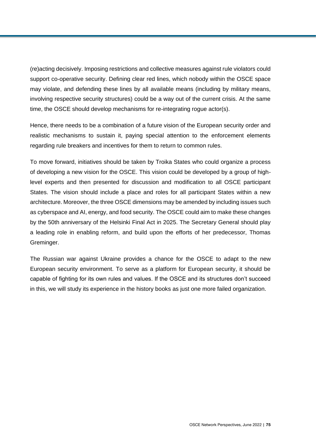(re)acting decisively. Imposing restrictions and collective measures against rule violators could support co-operative security. Defining clear red lines, which nobody within the OSCE space may violate, and defending these lines by all available means (including by military means, involving respective security structures) could be a way out of the current crisis. At the same time, the OSCE should develop mechanisms for re-integrating rogue actor(s).

Hence, there needs to be a combination of a future vision of the European security order and realistic mechanisms to sustain it, paying special attention to the enforcement elements regarding rule breakers and incentives for them to return to common rules.

To move forward, initiatives should be taken by Troika States who could organize a process of developing a new vision for the OSCE. This vision could be developed by a group of highlevel experts and then presented for discussion and modification to all OSCE participant States. The vision should include a place and roles for all participant States within a new architecture. Moreover, the three OSCE dimensions may be amended by including issues such as cyberspace and AI, energy, and food security. The OSCE could aim to make these changes by the 50th anniversary of the Helsinki Final Act in 2025. The Secretary General should play a leading role in enabling reform, and build upon the efforts of her predecessor, Thomas Greminger.

The Russian war against Ukraine provides a chance for the OSCE to adapt to the new European security environment. To serve as a platform for European security, it should be capable of fighting for its own rules and values. If the OSCE and its structures don't succeed in this, we will study its experience in the history books as just one more failed organization.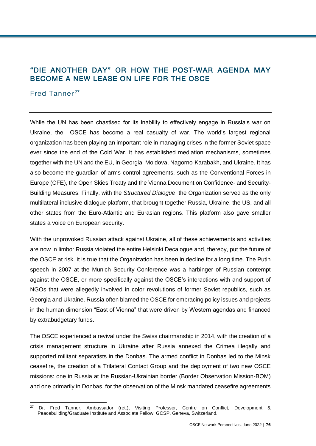# "DIE ANOTHER DAY" OR HOW THE POST-WAR AGENDA MAY BECOME A NEW LEASE ON LIFE FOR THE OSCE

# Fred Tanner<sup>27</sup>

l

While the UN has been chastised for its inability to effectively engage in Russia's war on Ukraine, the OSCE has become a real casualty of war. The world's largest regional organization has been playing an important role in managing crises in the former Soviet space ever since the end of the Cold War. It has established mediation mechanisms, sometimes together with the UN and the EU, in Georgia, Moldova, Nagorno-Karabakh, and Ukraine. It has also become the guardian of arms control agreements, such as the Conventional Forces in Europe (CFE), the Open Skies Treaty and the Vienna Document on Confidence- and Security-Building Measures. Finally, with the *Structured Dialogue*, the Organization served as the only multilateral inclusive dialogue platform, that brought together Russia, Ukraine, the US, and all other states from the Euro-Atlantic and Eurasian regions. This platform also gave smaller states a voice on European security.

With the unprovoked Russian attack against Ukraine, all of these achievements and activities are now in limbo: Russia violated the entire Helsinki Decalogue and, thereby, put the future of the OSCE at risk. It is true that the Organization has been in decline for a long time. The Putin speech in 2007 at the Munich Security Conference was a harbinger of Russian contempt against the OSCE, or more specifically against the OSCE's interactions with and support of NGOs that were allegedly involved in color revolutions of former Soviet republics, such as Georgia and Ukraine. Russia often blamed the OSCE for embracing policy issues and projects in the human dimension "East of Vienna" that were driven by Western agendas and financed by extrabudgetary funds.

The OSCE experienced a revival under the Swiss chairmanship in 2014, with the creation of a crisis management structure in Ukraine after Russia annexed the Crimea illegally and supported militant separatists in the Donbas. The armed conflict in Donbas led to the Minsk ceasefire, the creation of a Trilateral Contact Group and the deployment of two new OSCE missions: one in Russia at the Russian-Ukrainian border (Border Observation Mission-BOM) and one primarily in Donbas, for the observation of the Minsk mandated ceasefire agreements

<sup>&</sup>lt;sup>27</sup> Dr. Fred Tanner, Ambassador (ret.), Visiting Professor, Centre on Conflict, Development & Peacebuilding/Graduate Institute and Associate Fellow, GCSP, Geneva, Switzerland.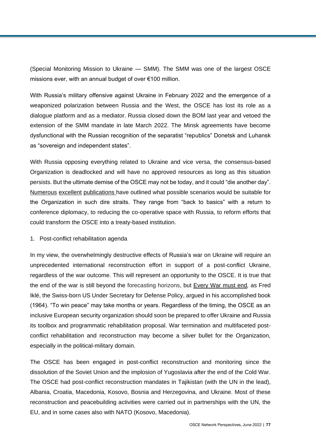(Special Monitoring Mission to Ukraine — SMM). The SMM was one of the largest OSCE missions ever, with an annual budget of over €100 million.

With Russia's military offensive against Ukraine in February 2022 and the emergence of a weaponized polarization between Russia and the West, the OSCE has lost its role as a dialogue platform and as a mediator. Russia closed down the BOM last year and vetoed the extension of the SMM mandate in late March 2022. The Minsk agreements have become dysfunctional with the Russian recognition of the separatist "republics" Donetsk and Luhansk as "sovereign and independent states".

With Russia opposing everything related to Ukraine and vice versa, the consensus-based Organization is deadlocked and will have no approved resources as long as this situation persists. But the ultimate demise of the OSCE may not be today, and it could "die another day". [Numerous](https://www.shrmonitor.org/options-for-dealing-with-russia-in-the-osce/) [excellent](https://www.crisisgroup.org/europe-central-asia/eastern-europe/ukraine/preserving-osce-time-war) [publications h](http://opiniojuris.org/2022/04/22/options-for-a-peace-settlement-for-ukraine-option-paper-ii-new-european-security-order/)ave outlined what possible scenarios would be suitable for the Organization in such dire straits. They range from "back to basics" with a return to conference diplomacy, to reducing the co-operative space with Russia, to reform efforts that could transform the OSCE into a treaty-based institution.

#### 1. Post-conflict rehabilitation agenda

In my view, the overwhelmingly destructive effects of Russia's war on Ukraine will require an unprecedented international reconstruction effort in support of a post-conflict Ukraine, regardless of the war outcome. This will represent an opportunity to the OSCE. It is true that the end of the war is still beyond the forecasting horizons, but [Every War must end](http://cup.columbia.edu/book/every-war-must-end/9780231136662)*,* as Fred Iklé, the Swiss-born US Under Secretary for Defense Policy, argued in his accomplished book (1964). "To win peace" may take months or years. Regardless of the timing, the OSCE as an inclusive European security organization should soon be prepared to offer Ukraine and Russia its toolbox and programmatic rehabilitation proposal. War termination and multifaceted postconflict rehabilitation and reconstruction may become a silver bullet for the Organization, especially in the political-military domain.

The OSCE has been engaged in post-conflict reconstruction and monitoring since the dissolution of the Soviet Union and the implosion of Yugoslavia after the end of the Cold War. The OSCE had post-conflict reconstruction mandates in Tajikistan (with the UN in the lead), Albania, Croatia, Macedonia, Kosovo, Bosnia and Herzegovina, and Ukraine. Most of these reconstruction and peacebuilding activities were carried out in partnerships with the UN, the EU, and in some cases also with NATO (Kosovo, Macedonia).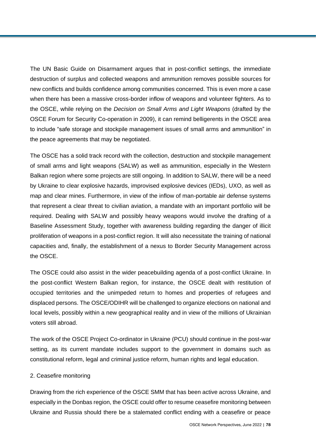The UN Basic Guide on Disarmament argues that in post-conflict settings, the immediate destruction of surplus and collected weapons and ammunition removes possible sources for new conflicts and builds confidence among communities concerned. This is even more a case when there has been a massive cross-border inflow of weapons and volunteer fighters. As to the OSCE, while relying on the *Decision on Small Arms and Light Weapons* (drafted by the OSCE Forum for Security Co-operation in 2009), it can remind belligerents in the OSCE area to include "safe storage and stockpile management issues of small arms and ammunition" in the peace agreements that may be negotiated.

The OSCE has a solid track record with the collection, destruction and stockpile management of small arms and light weapons (SALW) as well as ammunition, especially in the Western Balkan region where some projects are still ongoing. In addition to SALW, there will be a need by Ukraine to clear explosive hazards, improvised explosive devices (IEDs), UXO, as well as map and clear mines. Furthermore, in view of the inflow of man-portable air defense systems that represent a clear threat to civilian aviation, a mandate with an important portfolio will be required. Dealing with SALW and possibly heavy weapons would involve the drafting of a Baseline Assessment Study, together with awareness building regarding the danger of illicit proliferation of weapons in a post-conflict region. It will also necessitate the training of national capacities and, finally, the establishment of a nexus to Border Security Management across the OSCE.

The OSCE could also assist in the wider peacebuilding agenda of a post-conflict Ukraine. In the post-conflict Western Balkan region, for instance, the OSCE dealt with restitution of occupied territories and the unimpeded return to homes and properties of refugees and displaced persons. The OSCE/ODIHR will be challenged to organize elections on national and local levels, possibly within a new geographical reality and in view of the millions of Ukrainian voters still abroad.

The work of the OSCE Project Co-ordinator in Ukraine (PCU) should continue in the post-war setting, as its current mandate includes support to the government in domains such as constitutional reform, legal and criminal justice reform, human rights and legal education.

#### 2. Ceasefire monitoring

Drawing from the rich experience of the OSCE SMM that has been active across Ukraine, and especially in the Donbas region, the OSCE could offer to resume ceasefire monitoring between Ukraine and Russia should there be a stalemated conflict ending with a ceasefire or peace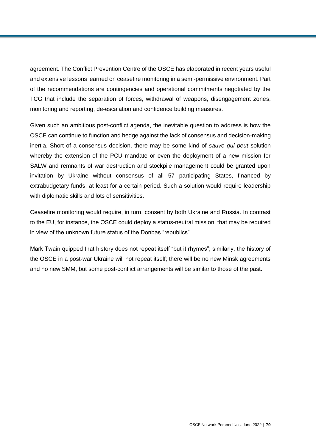agreement. The Conflict Prevention Centre of the OSCE [has elaborated](https://www.osce.org/secretariat/491220) in recent years useful and extensive lessons learned on ceasefire monitoring in a semi-permissive environment. Part of the recommendations are contingencies and operational commitments negotiated by the TCG that include the separation of forces, withdrawal of weapons, disengagement zones, monitoring and reporting, de-escalation and confidence building measures.

Given such an ambitious post-conflict agenda, the inevitable question to address is how the OSCE can continue to function and hedge against the lack of consensus and decision-making inertia. Short of a consensus decision, there may be some kind of *sauve qui peut* solution whereby the extension of the PCU mandate or even the deployment of a new mission for SALW and remnants of war destruction and stockpile management could be granted upon invitation by Ukraine without consensus of all 57 participating States, financed by extrabudgetary funds, at least for a certain period. Such a solution would require leadership with diplomatic skills and lots of sensitivities.

Ceasefire monitoring would require, in turn, consent by both Ukraine and Russia. In contrast to the EU, for instance, the OSCE could deploy a status-neutral mission, that may be required in view of the unknown future status of the Donbas "republics".

Mark Twain quipped that history does not repeat itself "but it rhymes"; similarly, the history of the OSCE in a post-war Ukraine will not repeat itself; there will be no new Minsk agreements and no new SMM, but some post-conflict arrangements will be similar to those of the past.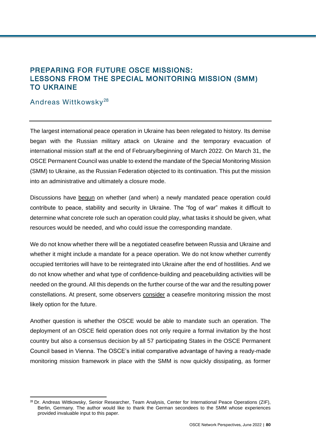# PREPARING FOR FUTURE OSCE MISSIONS: LESSONS FROM THE SPECIAL MONITORING MISSION (SMM) TO UKRAINE

## Andreas Wittkowsky <sup>28</sup>

 $\overline{a}$ 

The largest international peace operation in Ukraine has been relegated to history. Its demise began with the Russian military attack on Ukraine and the temporary evacuation of international mission staff at the end of February/beginning of March 2022. On March 31, the OSCE Permanent Council was unable to extend the mandate of the Special Monitoring Mission (SMM) to Ukraine, as the Russian Federation objected to its continuation. This put the mission into an administrative and ultimately a closure mode.

Discussions have [begun](https://www.zif-berlin.org/sites/zif-berlin.org/files/2022-05/2022-05-ZIF-Brief-Ukraine.pdf) on whether (and when) a newly mandated peace operation could contribute to peace, stability and security in Ukraine. The "fog of war" makes it difficult to determine what concrete role such an operation could play, what tasks it should be given, what resources would be needed, and who could issue the corresponding mandate.

We do not know whether there will be a negotiated ceasefire between Russia and Ukraine and whether it might include a mandate for a peace operation. We do not know whether currently occupied territories will have to be reintegrated into Ukraine after the end of hostilities. And we do not know whether and what type of confidence-building and peacebuilding activities will be needed on the ground. All this depends on the further course of the war and the resulting power constellations. At present, some observers [consider](https://www.crisisgroup.org/europe-central-asia/eastern-europe/ukraine/tentative-first-look-options-peace-operations-ukraine) a ceasefire monitoring mission the most likely option for the future.

Another question is whether the OSCE would be able to mandate such an operation. The deployment of an OSCE field operation does not only require a formal invitation by the host country but also a consensus decision by all 57 participating States in the OSCE Permanent Council based in Vienna. The OSCE's initial comparative advantage of having a ready-made monitoring mission framework in place with the SMM is now quickly dissipating, as former

<sup>&</sup>lt;sup>28</sup> Dr. Andreas Wittkowsky, Senior Researcher, Team Analysis, Center for International Peace Operations (ZIF), Berlin, Germany. The author would like to thank the German secondees to the SMM whose experiences provided invaluable input to this paper.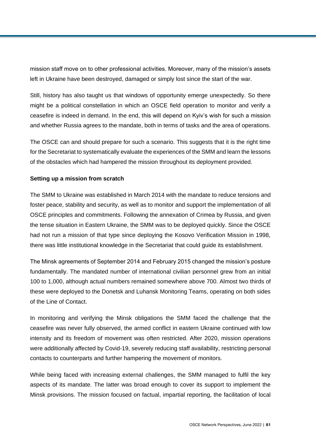mission staff move on to other professional activities. Moreover, many of the mission's assets left in Ukraine have been destroyed, damaged or simply lost since the start of the war.

Still, history has also taught us that windows of opportunity emerge unexpectedly. So there might be a political constellation in which an OSCE field operation to monitor and verify a ceasefire is indeed in demand. In the end, this will depend on Kyiv's wish for such a mission and whether Russia agrees to the mandate, both in terms of tasks and the area of operations.

The OSCE can and should prepare for such a scenario. This suggests that it is the right time for the Secretariat to systematically evaluate the experiences of the SMM and learn the lessons of the obstacles which had hampered the mission throughout its deployment provided.

## **Setting up a mission from scratch**

The SMM to Ukraine was established in March 2014 with the mandate to reduce tensions and foster peace, stability and security, as well as to monitor and support the implementation of all OSCE principles and commitments. Following the annexation of Crimea by Russia, and given the tense situation in Eastern Ukraine, the SMM was to be deployed quickly. Since the OSCE had not run a mission of that type since deploying the Kosovo Verification Mission in 1998, there was little institutional knowledge in the Secretariat that could guide its establishment.

The Minsk agreements of September 2014 and February 2015 changed the mission's posture fundamentally. The mandated number of international civilian personnel grew from an initial 100 to 1,000, although actual numbers remained somewhere above 700. Almost two thirds of these were deployed to the Donetsk and Luhansk Monitoring Teams, operating on both sides of the Line of Contact.

In monitoring and verifying the Minsk obligations the SMM faced the challenge that the ceasefire was never fully observed, the armed conflict in eastern Ukraine continued with low intensity and its freedom of movement was often restricted. After 2020, mission operations were additionally affected by Covid-19, severely reducing staff availability, restricting personal contacts to counterparts and further hampering the movement of monitors.

While being faced with increasing external challenges, the SMM managed to fulfil the key aspects of its mandate. The latter was broad enough to cover its support to implement the Minsk provisions. The mission focused on factual, impartial reporting, the facilitation of local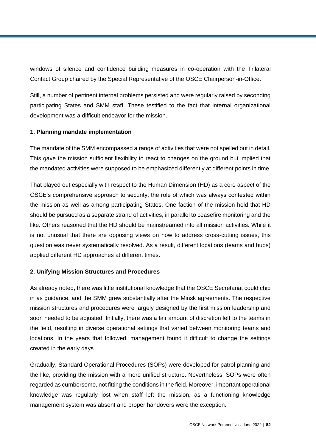windows of silence and confidence building measures in co-operation with the Trilateral Contact Group chaired by the Special Representative of the OSCE Chairperson-in-Office.

Still, a number of pertinent internal problems persisted and were regularly raised by seconding participating States and SMM staff. These testified to the fact that internal organizational development was a difficult endeavor for the mission.

## **1. Planning mandate implementation**

The mandate of the SMM encompassed a range of activities that were not spelled out in detail. This gave the mission sufficient flexibility to react to changes on the ground but implied that the mandated activities were supposed to be emphasized differently at different points in time.

That played out especially with respect to the Human Dimension (HD) as a core aspect of the OSCE's comprehensive approach to security, the role of which was always contested within the mission as well as among participating States. One faction of the mission held that HD should be pursued as a separate strand of activities, in parallel to ceasefire monitoring and the like. Others reasoned that the HD should be mainstreamed into all mission activities. While it is not unusual that there are opposing views on how to address cross-cutting issues, this question was never systematically resolved. As a result, different locations (teams and hubs) applied different HD approaches at different times.

## **2. Unifying Mission Structures and Procedures**

As already noted, there was little institutional knowledge that the OSCE Secretariat could chip in as guidance, and the SMM grew substantially after the Minsk agreements. The respective mission structures and procedures were largely designed by the first mission leadership and soon needed to be adjusted. Initially, there was a fair amount of discretion left to the teams in the field, resulting in diverse operational settings that varied between monitoring teams and locations. In the years that followed, management found it difficult to change the settings created in the early days.

Gradually, Standard Operational Procedures (SOPs) were developed for patrol planning and the like, providing the mission with a more unified structure. Nevertheless, SOPs were often regarded as cumbersome, not fitting the conditions in the field. Moreover, important operational knowledge was regularly lost when staff left the mission, as a functioning knowledge management system was absent and proper handovers were the exception.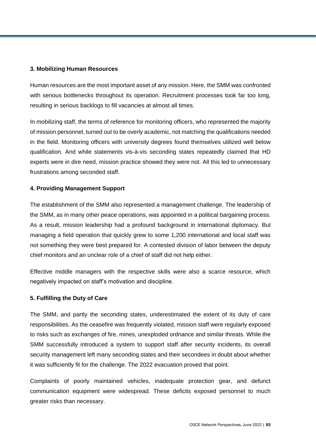#### **3. Mobilizing Human Resources**

Human resources are the most important asset of any mission. Here, the SMM was confronted with serious bottlenecks throughout its operation. Recruitment processes took far too long, resulting in serious backlogs to fill vacancies at almost all times.

In mobilizing staff, the terms of reference for monitoring officers, who represented the majority of mission personnel, turned out to be overly academic, not matching the qualifications needed in the field. Monitoring officers with university degrees found themselves utilized well below qualification. And while statements vis-à-vis seconding states repeatedly claimed that HD experts were in dire need, mission practice showed they were not. All this led to unnecessary frustrations among seconded staff.

#### **4. Providing Management Support**

The establishment of the SMM also represented a management challenge. The leadership of the SMM, as in many other peace operations, was appointed in a political bargaining process. As a result, mission leadership had a profound background in international diplomacy. But managing a field operation that quickly grew to some 1,200 international and local staff was not something they were best prepared for. A contested division of labor between the deputy chief monitors and an unclear role of a chief of staff did not help either.

Effective middle managers with the respective skills were also a scarce resource, which negatively impacted on staff's motivation and discipline.

## **5. Fulfilling the Duty of Care**

The SMM, and partly the seconding states, underestimated the extent of its duty of care responsibilities. As the ceasefire was frequently violated, mission staff were regularly exposed to risks such as exchanges of fire, mines, unexploded ordnance and similar threats. While the SMM successfully introduced a system to support staff after security incidents, its overall security management left many seconding states and their secondees in doubt about whether it was sufficiently fit for the challenge. The 2022 evacuation proved that point.

Complaints of poorly maintained vehicles, inadequate protection gear, and defunct communication equipment were widespread. These deficits exposed personnel to much greater risks than necessary.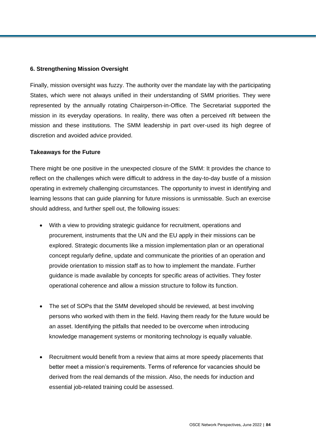## **6. Strengthening Mission Oversight**

Finally, mission oversight was fuzzy. The authority over the mandate lay with the participating States, which were not always unified in their understanding of SMM priorities. They were represented by the annually rotating Chairperson-in-Office. The Secretariat supported the mission in its everyday operations. In reality, there was often a perceived rift between the mission and these institutions. The SMM leadership in part over-used its high degree of discretion and avoided advice provided.

#### **Takeaways for the Future**

There might be one positive in the unexpected closure of the SMM: It provides the chance to reflect on the challenges which were difficult to address in the day-to-day bustle of a mission operating in extremely challenging circumstances. The opportunity to invest in identifying and learning lessons that can guide planning for future missions is unmissable. Such an exercise should address, and further spell out, the following issues:

- With a view to providing strategic guidance for recruitment, operations and procurement, instruments that the UN and the EU apply in their missions can be explored. Strategic documents like a mission implementation plan or an operational concept regularly define, update and communicate the priorities of an operation and provide orientation to mission staff as to how to implement the mandate. Further guidance is made available by concepts for specific areas of activities. They foster operational coherence and allow a mission structure to follow its function.
- The set of SOPs that the SMM developed should be reviewed, at best involving persons who worked with them in the field. Having them ready for the future would be an asset. Identifying the pitfalls that needed to be overcome when introducing knowledge management systems or monitoring technology is equally valuable.
- Recruitment would benefit from a review that aims at more speedy placements that better meet a mission's requirements. Terms of reference for vacancies should be derived from the real demands of the mission. Also, the needs for induction and essential job-related training could be assessed.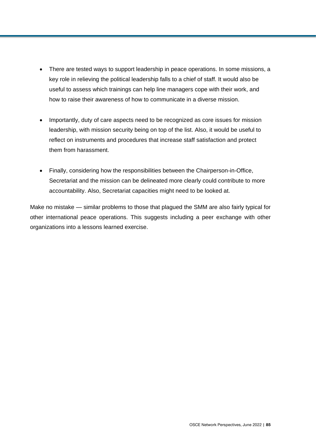- There are tested ways to support leadership in peace operations. In some missions, a key role in relieving the political leadership falls to a chief of staff. It would also be useful to assess which trainings can help line managers cope with their work, and how to raise their awareness of how to communicate in a diverse mission.
- Importantly, duty of care aspects need to be recognized as core issues for mission leadership, with mission security being on top of the list. Also, it would be useful to reflect on instruments and procedures that increase staff satisfaction and protect them from harassment.
- Finally, considering how the responsibilities between the Chairperson-in-Office, Secretariat and the mission can be delineated more clearly could contribute to more accountability. Also, Secretariat capacities might need to be looked at.

Make no mistake — similar problems to those that plagued the SMM are also fairly typical for other international peace operations. This suggests including a peer exchange with other organizations into a lessons learned exercise.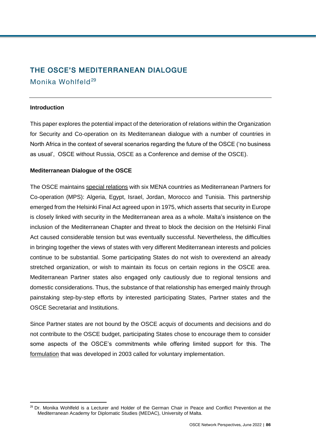# THE OSCE'S MEDITERRANEAN DIALOGUE

Monika Wohlfeld<sup>29</sup>

## **Introduction**

This paper explores the potential impact of the deterioration of relations within the Organization for Security and Co-operation on its Mediterranean dialogue with a number of countries in North Africa in the context of several scenarios regarding the future of the OSCE ('no business as usual', OSCE without Russia, OSCE as a Conference and demise of the OSCE).

## **Mediterranean Dialogue of the OSCE**

The OSCE maintains [special relations](https://www.iai.it/sites/default/files/iai1415.pdf) with six MENA countries as Mediterranean Partners for Co-operation (MPS): Algeria, Egypt, Israel, Jordan, Morocco and Tunisia. This partnership emerged from the Helsinki Final Act agreed upon in 1975, which asserts that security in Europe is closely linked with security in the Mediterranean area as a whole. Malta's insistence on the inclusion of the Mediterranean Chapter and threat to block the decision on the Helsinki Final Act caused considerable tension but was eventually successful. Nevertheless, the difficulties in bringing together the views of states with very different Mediterranean interests and policies continue to be substantial. Some participating States do not wish to overextend an already stretched organization, or wish to maintain its focus on certain regions in the OSCE area. Mediterranean Partner states also engaged only cautiously due to regional tensions and domestic considerations. Thus, the substance of that relationship has emerged mainly through painstaking step-by-step efforts by interested participating States, Partner states and the OSCE Secretariat and Institutions.

Since Partner states are not bound by the OSCE *acquis* of documents and decisions and do not contribute to the OSCE budget, participating States chose to encourage them to consider some aspects of the OSCE's commitments while offering limited support for this. The [formulation](http://www.osce.org/mc/40533) that was developed in 2003 called for voluntary implementation.

l <sup>29</sup> Dr. Monika Wohlfeld is a Lecturer and Holder of the German Chair in Peace and Conflict Prevention at the Mediterranean Academy for Diplomatic Studies (MEDAC), University of Malta.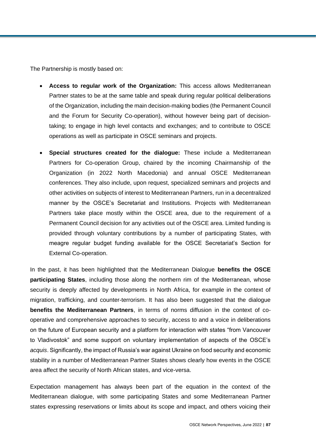The Partnership is mostly based on:

- **Access to regular work of the Organization:** This access allows Mediterranean Partner states to be at the same table and speak during regular political deliberations of the Organization, including the main decision-making bodies (the Permanent Council and the Forum for Security Co-operation), without however being part of decisiontaking; to engage in high level contacts and exchanges; and to contribute to OSCE operations as well as participate in OSCE seminars and projects.
- **Special structures created for the dialogue:** These include a Mediterranean Partners for Co-operation Group, chaired by the incoming Chairmanship of the Organization (in 2022 North Macedonia) and annual OSCE Mediterranean conferences. They also include, upon request, specialized seminars and projects and other activities on subjects of interest to Mediterranean Partners, run in a decentralized manner by the OSCE's Secretariat and Institutions. Projects with Mediterranean Partners take place mostly within the OSCE area, due to the requirement of a Permanent Council decision for any activities out of the OSCE area. Limited funding is provided through voluntary contributions by a number of participating States, with meagre regular budget funding available for the OSCE Secretariat's Section for External Co-operation.

In the past, it has been highlighted that the Mediterranean Dialogue **benefits the OSCE participating States**, including those along the northern rim of the Mediterranean, whose security is deeply affected by developments in North Africa, for example in the context of migration, trafficking, and counter-terrorism. It has also been suggested that the dialogue **benefits the Mediterranean Partners**, in terms of norms diffusion in the context of cooperative and comprehensive approaches to security, access to and a voice in deliberations on the future of European security and a platform for interaction with states "from Vancouver to Vladivostok" and some support on voluntary implementation of aspects of the OSCE's *acquis*. Significantly, the impact of Russia's war against Ukraine on food security and economic stability in a number of Mediterranean Partner States shows clearly how events in the OSCE area affect the security of North African states, and vice-versa.

Expectation management has always been part of the equation in the context of the Mediterranean dialogue, with some participating States and some Mediterranean Partner states expressing reservations or limits about its scope and impact, and others voicing their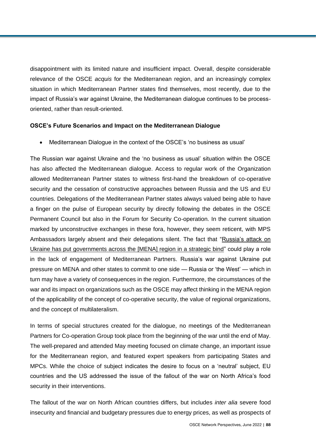disappointment with its limited nature and insufficient impact. Overall, despite considerable relevance of the OSCE *acquis* for the Mediterranean region, and an increasingly complex situation in which Mediterranean Partner states find themselves, most recently, due to the impact of Russia's war against Ukraine, the Mediterranean dialogue continues to be processoriented, rather than result-oriented.

#### **OSCE's Future Scenarios and Impact on the Mediterranean Dialogue**

Mediterranean Dialogue in the context of the OSCE's 'no business as usual'

The Russian war against Ukraine and the 'no business as usual' situation within the OSCE has also affected the Mediterranean dialogue. Access to regular work of the Organization allowed Mediterranean Partner states to witness first-hand the breakdown of co-operative security and the cessation of constructive approaches between Russia and the US and EU countries. Delegations of the Mediterranean Partner states always valued being able to have a finger on the pulse of European security by directly following the debates in the OSCE Permanent Council but also in the Forum for Security Co-operation. In the current situation marked by unconstructive exchanges in these fora, however, they seem reticent, with MPS Ambassadors largely absent and their delegations silent. The fact that ["Russia's attack on](https://www.rusi.org/explore-our-research/publications/commentary/russias-war-ukraine-implications-middle-east-and-north-africa)  [Ukraine has put governments across the \[MENA\] region in a strategic bind"](https://www.rusi.org/explore-our-research/publications/commentary/russias-war-ukraine-implications-middle-east-and-north-africa) could play a role in the lack of engagement of Mediterranean Partners. Russia's war against Ukraine put pressure on MENA and other states to commit to one side — Russia or 'the West' — which in turn may have a variety of consequences in the region. Furthermore, the circumstances of the war and its impact on organizations such as the OSCE may affect thinking in the MENA region of the applicability of the concept of co-operative security, the value of regional organizations, and the concept of multilateralism.

In terms of special structures created for the dialogue, no meetings of the Mediterranean Partners for Co-operation Group took place from the beginning of the war until the end of May. The well-prepared and attended May meeting focused on climate change, an important issue for the Mediterranean region, and featured expert speakers from participating States and MPCs. While the choice of subject indicates the desire to focus on a 'neutral' subject, EU countries and the US addressed the issue of the fallout of the war on North Africa's food security in their interventions.

The fallout of the war on North African countries differs, but includes *inter alia* severe food insecurity and financial and budgetary pressures due to energy prices, as well as prospects of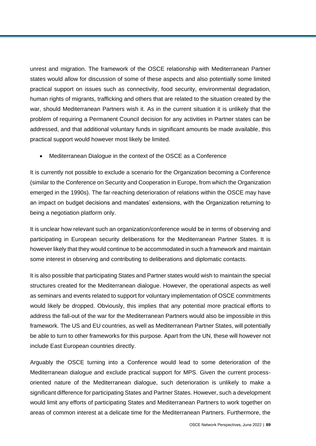unrest and migration. The framework of the OSCE relationship with Mediterranean Partner states would allow for discussion of some of these aspects and also potentially some limited practical support on issues such as connectivity, food security, environmental degradation, human rights of migrants, trafficking and others that are related to the situation created by the war, should Mediterranean Partners wish it. As in the current situation it is unlikely that the problem of requiring a Permanent Council decision for any activities in Partner states can be addressed, and that additional voluntary funds in significant amounts be made available, this practical support would however most likely be limited.

Mediterranean Dialogue in the context of the OSCE as a Conference

It is currently not possible to exclude a scenario for the Organization becoming a Conference (similar to the Conference on Security and Cooperation in Europe, from which the Organization emerged in the 1990s). The far-reaching deterioration of relations within the OSCE may have an impact on budget decisions and mandates' extensions, with the Organization returning to being a negotiation platform only.

It is unclear how relevant such an organization/conference would be in terms of observing and participating in European security deliberations for the Mediterranean Partner States. It is however likely that they would continue to be accommodated in such a framework and maintain some interest in observing and contributing to deliberations and diplomatic contacts.

It is also possible that participating States and Partner states would wish to maintain the special structures created for the Mediterranean dialogue. However, the operational aspects as well as seminars and events related to support for voluntary implementation of OSCE commitments would likely be dropped. Obviously, this implies that any potential more practical efforts to address the fall-out of the war for the Mediterranean Partners would also be impossible in this framework. The US and EU countries, as well as Mediterranean Partner States, will potentially be able to turn to other frameworks for this purpose. Apart from the UN, these will however not include East European countries directly.

Arguably the OSCE turning into a Conference would lead to some deterioration of the Mediterranean dialogue and exclude practical support for MPS. Given the current processoriented nature of the Mediterranean dialogue, such deterioration is unlikely to make a significant difference for participating States and Partner States. However, such a development would limit any efforts of participating States and Mediterranean Partners to work together on areas of common interest at a delicate time for the Mediterranean Partners. Furthermore, the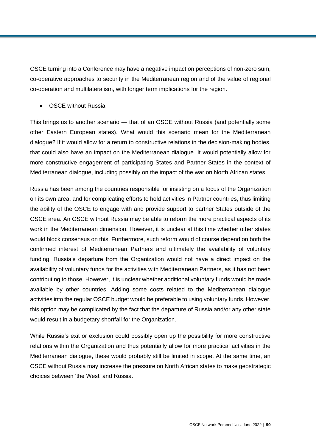OSCE turning into a Conference may have a negative impact on perceptions of non-zero sum, co-operative approaches to security in the Mediterranean region and of the value of regional co-operation and multilateralism, with longer term implications for the region.

OSCE without Russia

This brings us to another scenario — that of an OSCE without Russia (and potentially some other Eastern European states). What would this scenario mean for the Mediterranean dialogue? If it would allow for a return to constructive relations in the decision-making bodies, that could also have an impact on the Mediterranean dialogue. It would potentially allow for more constructive engagement of participating States and Partner States in the context of Mediterranean dialogue, including possibly on the impact of the war on North African states.

Russia has been among the countries responsible for insisting on a focus of the Organization on its own area, and for complicating efforts to hold activities in Partner countries, thus limiting the ability of the OSCE to engage with and provide support to partner States outside of the OSCE area. An OSCE without Russia may be able to reform the more practical aspects of its work in the Mediterranean dimension. However, it is unclear at this time whether other states would block consensus on this. Furthermore, such reform would of course depend on both the confirmed interest of Mediterranean Partners and ultimately the availability of voluntary funding. Russia's departure from the Organization would not have a direct impact on the availability of voluntary funds for the activities with Mediterranean Partners, as it has not been contributing to those. However, it is unclear whether additional voluntary funds would be made available by other countries. Adding some costs related to the Mediterranean dialogue activities into the regular OSCE budget would be preferable to using voluntary funds. However, this option may be complicated by the fact that the departure of Russia and/or any other state would result in a budgetary shortfall for the Organization.

While Russia's exit or exclusion could possibly open up the possibility for more constructive relations within the Organization and thus potentially allow for more practical activities in the Mediterranean dialogue, these would probably still be limited in scope. At the same time, an OSCE without Russia may increase the pressure on North African states to make geostrategic choices between 'the West' and Russia.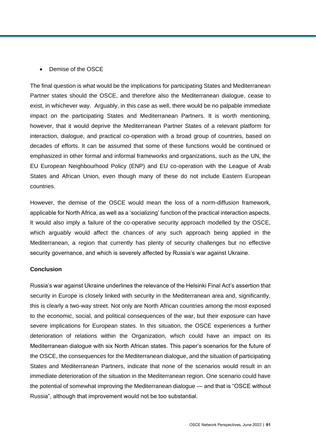#### Demise of the OSCE

The final question is what would be the implications for participating States and Mediterranean Partner states should the OSCE, and therefore also the Mediterranean dialogue, cease to exist, in whichever way. Arguably, in this case as well, there would be no palpable immediate impact on the participating States and Mediterranean Partners. It is worth mentioning, however, that it would deprive the Mediterranean Partner States of a relevant platform for interaction, dialogue, and practical co-operation with a broad group of countries, based on decades of efforts. It can be assumed that some of these functions would be continued or emphasized in other formal and informal frameworks and organizations, such as the UN, the EU European Neighbourhood Policy (ENP) and EU co-operation with the League of Arab States and African Union, even though many of these do not include Eastern European countries.

However, the demise of the OSCE would mean the loss of a norm-diffusion framework, applicable for North Africa, as well as a 'socializing' function of the practical interaction aspects. It would also imply a failure of the co-operative security approach modelled by the OSCE, which arguably would affect the chances of any such approach being applied in the Mediterranean, a region that currently has plenty of security challenges but no effective security governance, and which is severely affected by Russia's war against Ukraine.

#### **Conclusion**

Russia's war against Ukraine underlines the relevance of the Helsinki Final Act's assertion that security in Europe is closely linked with security in the Mediterranean area and, significantly, this is clearly a two-way street. Not only are North African countries among the most exposed to the economic, social, and political consequences of the war, but their exposure can have severe implications for European states. In this situation, the OSCE experiences a further deterioration of relations within the Organization, which could have an impact on its Mediterranean dialogue with six North African states. This paper's scenarios for the future of the OSCE, the consequences for the Mediterranean dialogue, and the situation of participating States and Mediterranean Partners, indicate that none of the scenarios would result in an immediate deterioration of the situation in the Mediterranean region. One scenario could have the potential of somewhat improving the Mediterranean dialogue — and that is "OSCE without Russia", although that improvement would not be too substantial.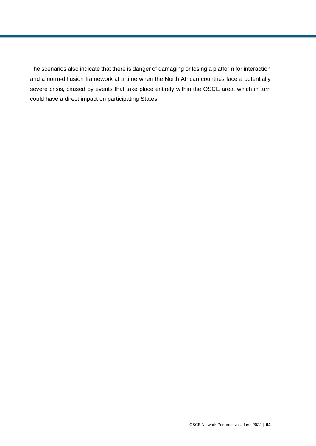The scenarios also indicate that there is danger of damaging or losing a platform for interaction and a norm-diffusion framework at a time when the North African countries face a potentially severe crisis, caused by events that take place entirely within the OSCE area, which in turn could have a direct impact on participating States.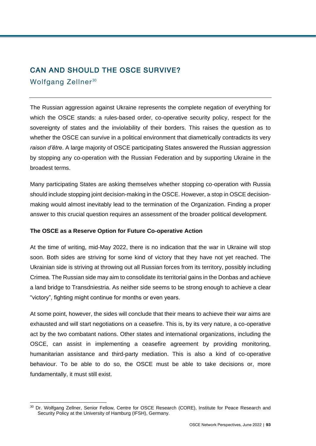# CAN AND SHOULD THE OSCE SURVIVE?

Wolfgang Zellner<sup>30</sup>

The Russian aggression against Ukraine represents the complete negation of everything for which the OSCE stands: a rules-based order, co-operative security policy, respect for the sovereignty of states and the inviolability of their borders. This raises the question as to whether the OSCE can survive in a political environment that diametrically contradicts its very *raison d'être*. A large majority of OSCE participating States answered the Russian aggression by stopping any co-operation with the Russian Federation and by supporting Ukraine in the broadest terms.

Many participating States are asking themselves whether stopping co-operation with Russia should include stopping joint decision-making in the OSCE. However, a stop in OSCE decisionmaking would almost inevitably lead to the termination of the Organization. Finding a proper answer to this crucial question requires an assessment of the broader political development.

## **The OSCE as a Reserve Option for Future Co-operative Action**

At the time of writing, mid-May 2022, there is no indication that the war in Ukraine will stop soon. Both sides are striving for some kind of victory that they have not yet reached. The Ukrainian side is striving at throwing out all Russian forces from its territory, possibly including Crimea. The Russian side may aim to consolidate its territorial gains in the Donbas and achieve a land bridge to Transdniestria. As neither side seems to be strong enough to achieve a clear "victory", fighting might continue for months or even years.

At some point, however, the sides will conclude that their means to achieve their war aims are exhausted and will start negotiations on a ceasefire. This is, by its very nature, a co-operative act by the two combatant nations. Other states and international organizations, including the OSCE, can assist in implementing a ceasefire agreement by providing monitoring, humanitarian assistance and third-party mediation. This is also a kind of co-operative behaviour. To be able to do so, the OSCE must be able to take decisions or, more fundamentally, it must still exist.

l <sup>30</sup> Dr. Wolfgang Zellner, Senior Fellow, Centre for OSCE Research (CORE), Institute for Peace Research and Security Policy at the University of Hamburg (IFSH), Germany.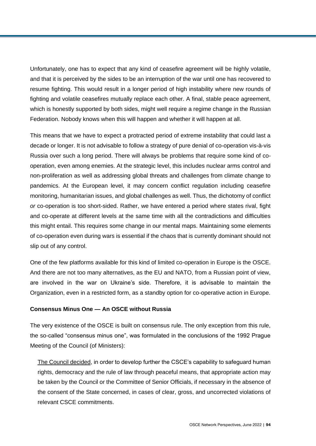Unfortunately, one has to expect that any kind of ceasefire agreement will be highly volatile, and that it is perceived by the sides to be an interruption of the war until one has recovered to resume fighting. This would result in a longer period of high instability where new rounds of fighting and volatile ceasefires mutually replace each other. A final, stable peace agreement, which is honestly supported by both sides, might well require a regime change in the Russian Federation. Nobody knows when this will happen and whether it will happen at all.

This means that we have to expect a protracted period of extreme instability that could last a decade or longer. It is not advisable to follow a strategy of pure denial of co-operation vis-à-vis Russia over such a long period. There will always be problems that require some kind of cooperation, even among enemies. At the strategic level, this includes nuclear arms control and non-proliferation as well as addressing global threats and challenges from climate change to pandemics. At the European level, it may concern conflict regulation including ceasefire monitoring, humanitarian issues, and global challenges as well. Thus, the dichotomy of conflict *or* co-operation is too short-sided. Rather, we have entered a period where states rival, fight and co-operate at different levels at the same time with all the contradictions and difficulties this might entail. This requires some change in our mental maps. Maintaining some elements of co-operation even during wars is essential if the chaos that is currently dominant should not slip out of any control.

One of the few platforms available for this kind of limited co-operation in Europe is the OSCE. And there are not too many alternatives, as the EU and NATO, from a Russian point of view, are involved in the war on Ukraine's side. Therefore, it is advisable to maintain the Organization, even in a restricted form, as a standby option for co-operative action in Europe.

## **Consensus Minus One — An OSCE without Russia**

The very existence of the OSCE is built on consensus rule. The only exception from this rule, the so-called "consensus minus one", was formulated in the conclusions of the 1992 Prague Meeting of the Council (of Ministers):

[The Council decided,](https://www.osce.org/mc/40270) in order to develop further the CSCE's capability to safeguard human rights, democracy and the rule of law through peaceful means, that appropriate action may be taken by the Council or the Committee of Senior Officials, if necessary in the absence of the consent of the State concerned, in cases of clear, gross, and uncorrected violations of relevant CSCE commitments.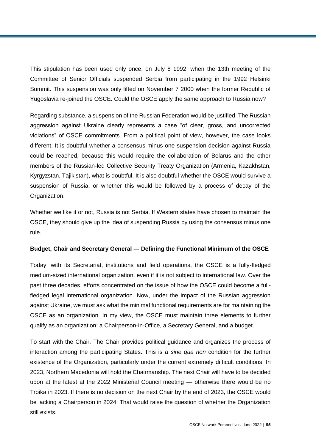This stipulation has been used only once, on July 8 1992, when the 13th meeting of the Committee of Senior Officials suspended Serbia from participating in the 1992 Helsinki Summit. This suspension was only lifted on November 7 2000 when the former Republic of Yugoslavia re-joined the OSCE. Could the OSCE apply the same approach to Russia now?

Regarding substance, a suspension of the Russian Federation would be justified. The Russian aggression against Ukraine clearly represents a case "of clear, gross, and uncorrected violations" of OSCE commitments. From a political point of view, however, the case looks different. It is doubtful whether a consensus minus one suspension decision against Russia could be reached, because this would require the collaboration of Belarus and the other members of the Russian-led Collective Security Treaty Organization (Armenia, Kazakhstan, Kyrgyzstan, Tajikistan), what is doubtful. It is also doubtful whether the OSCE would survive a suspension of Russia, or whether this would be followed by a process of decay of the Organization.

Whether we like it or not, Russia is not Serbia. If Western states have chosen to maintain the OSCE, they should give up the idea of suspending Russia by using the consensus minus one rule.

#### **Budget, Chair and Secretary General — Defining the Functional Minimum of the OSCE**

Today, with its Secretariat, institutions and field operations, the OSCE is a fully-fledged medium-sized international organization, even if it is not subject to international law. Over the past three decades, efforts concentrated on the issue of how the OSCE could become a fullfledged legal international organization. Now, under the impact of the Russian aggression against Ukraine, we must ask what the minimal functional requirements are for maintaining the OSCE as an organization. In my view, the OSCE must maintain three elements to further qualify as an organization: a Chairperson-in-Office, a Secretary General, and a budget.

To start with the Chair. The Chair provides political guidance and organizes the process of interaction among the participating States. This is a *sine qua non* condition for the further existence of the Organization, particularly under the current extremely difficult conditions. In 2023, Northern Macedonia will hold the Chairmanship. The next Chair will have to be decided upon at the latest at the 2022 Ministerial Council meeting — otherwise there would be no Troika in 2023. If there is no decision on the next Chair by the end of 2023, the OSCE would be lacking a Chairperson in 2024. That would raise the question of whether the Organization still exists.